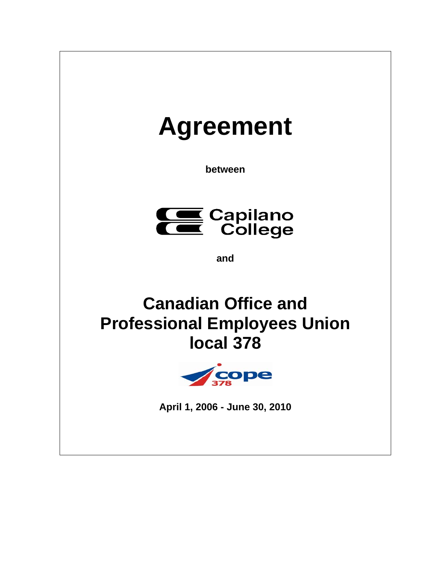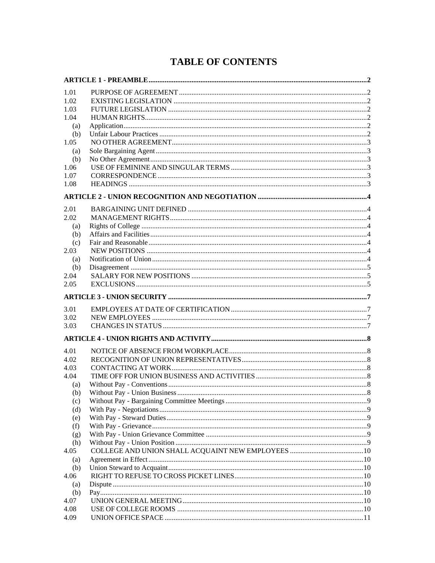# **TABLE OF CONTENTS**

| 1.01 |  |
|------|--|
| 1.02 |  |
| 1.03 |  |
| 1.04 |  |
| (a)  |  |
| (b)  |  |
| 1.05 |  |
| (a)  |  |
| (b)  |  |
| 1.06 |  |
| 1.07 |  |
| 1.08 |  |
|      |  |
|      |  |
| 2.01 |  |
| 2.02 |  |
| (a)  |  |
| (b)  |  |
| (c)  |  |
| 2.03 |  |
| (a)  |  |
| (b)  |  |
| 2.04 |  |
| 2.05 |  |
|      |  |
| 3.01 |  |
| 3.02 |  |
| 3.03 |  |
|      |  |
|      |  |
| 4.01 |  |
| 4.02 |  |
| 4.03 |  |
| 4.04 |  |
| (a)  |  |
| (b)  |  |
| (c)  |  |
| (d)  |  |
| (e)  |  |
| (f)  |  |
| (g)  |  |
| (h)  |  |
| 4.05 |  |
| (a)  |  |
| (b)  |  |
| 4.06 |  |
| (a)  |  |
| (b)  |  |
| 4.07 |  |
| 4.08 |  |
| 4.09 |  |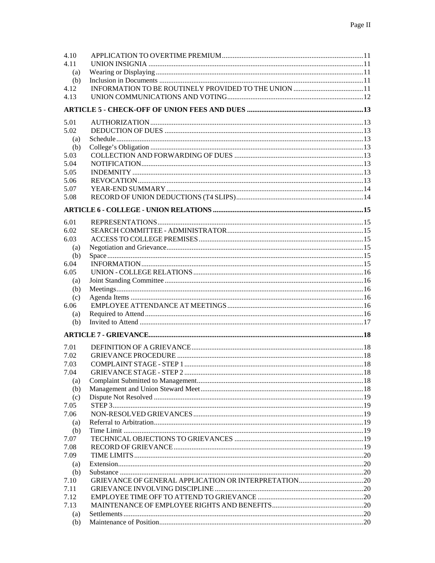| 4.10 |  |
|------|--|
| 4.11 |  |
| (a)  |  |
| (b)  |  |
| 4.12 |  |
| 4.13 |  |
|      |  |
|      |  |
| 5.01 |  |
| 5.02 |  |
| (a)  |  |
| (b)  |  |
| 5.03 |  |
| 5.04 |  |
| 5.05 |  |
| 5.06 |  |
| 5.07 |  |
| 5.08 |  |
|      |  |
|      |  |
| 6.01 |  |
| 6.02 |  |
| 6.03 |  |
|      |  |
| (a)  |  |
| (b)  |  |
| 6.04 |  |
| 6.05 |  |
| (a)  |  |
| (b)  |  |
| (c)  |  |
| 6.06 |  |
| (a)  |  |
| (b)  |  |
|      |  |
|      |  |
| 7.01 |  |
| 7.02 |  |
| 7.03 |  |
| 7.04 |  |
| (a)  |  |
| (b)  |  |
| (c)  |  |
| 7.05 |  |
| 7.06 |  |
| (a)  |  |
| (b)  |  |
| 7.07 |  |
| 7.08 |  |
| 7.09 |  |
| (a)  |  |
| (b)  |  |
| 7.10 |  |
| 7.11 |  |
| 7.12 |  |
| 7.13 |  |
| (a)  |  |
| (b)  |  |
|      |  |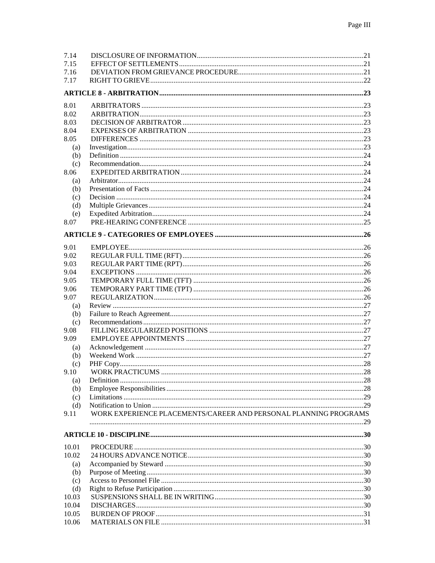| 7.14         |                                                                  |  |
|--------------|------------------------------------------------------------------|--|
| 7.15         |                                                                  |  |
| 7.16         |                                                                  |  |
| 7.17         |                                                                  |  |
|              |                                                                  |  |
| 8.01         |                                                                  |  |
| 8.02         |                                                                  |  |
| 8.03         |                                                                  |  |
| 8.04         |                                                                  |  |
| 8.05         |                                                                  |  |
| (a)          |                                                                  |  |
| (b)          |                                                                  |  |
| (c)          |                                                                  |  |
| 8.06         |                                                                  |  |
| (a)          |                                                                  |  |
| (b)          |                                                                  |  |
| (c)          |                                                                  |  |
| (d)          |                                                                  |  |
| (e)          |                                                                  |  |
| 8.07         |                                                                  |  |
|              |                                                                  |  |
| 9.01         |                                                                  |  |
| 9.02         |                                                                  |  |
| 9.03         |                                                                  |  |
| 9.04         |                                                                  |  |
| 9.05         |                                                                  |  |
| 9.06         |                                                                  |  |
| 9.07         |                                                                  |  |
| (a)          |                                                                  |  |
| (b)          |                                                                  |  |
| (c)          |                                                                  |  |
| 9.08         |                                                                  |  |
| 9.09         |                                                                  |  |
| (a)          |                                                                  |  |
| (b)          |                                                                  |  |
| (c)          |                                                                  |  |
| 9.10         |                                                                  |  |
| (a)          |                                                                  |  |
| (b)          |                                                                  |  |
| (c)          |                                                                  |  |
| (d)          |                                                                  |  |
| 9.11         | WORK EXPERIENCE PLACEMENTS/CAREER AND PERSONAL PLANNING PROGRAMS |  |
|              |                                                                  |  |
|              |                                                                  |  |
| 10.01        |                                                                  |  |
| 10.02        |                                                                  |  |
| (a)          |                                                                  |  |
| (b)          |                                                                  |  |
| (c)          |                                                                  |  |
| (d)<br>10.03 |                                                                  |  |
| 10.04        |                                                                  |  |
| 10.05        |                                                                  |  |
| 10.06        |                                                                  |  |
|              |                                                                  |  |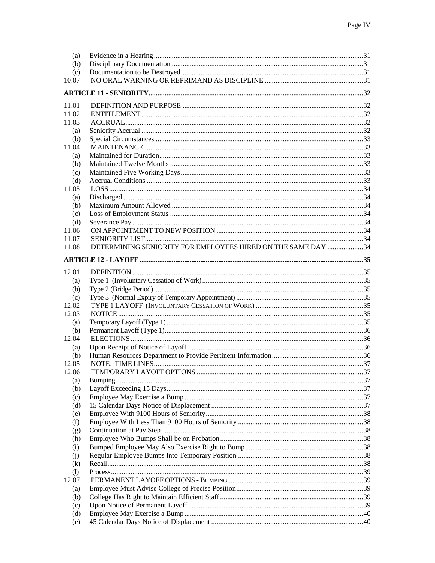| (a)                        |                                                              |  |
|----------------------------|--------------------------------------------------------------|--|
| (b)                        |                                                              |  |
| (c)                        |                                                              |  |
| 10.07                      |                                                              |  |
|                            |                                                              |  |
| 11.01                      |                                                              |  |
| 11.02                      |                                                              |  |
| 11.03                      |                                                              |  |
| (a)                        |                                                              |  |
| (b)                        |                                                              |  |
| 11.04                      |                                                              |  |
|                            |                                                              |  |
| (a)                        |                                                              |  |
| (b)                        |                                                              |  |
| (c)                        |                                                              |  |
| (d)                        |                                                              |  |
| 11.05                      |                                                              |  |
| (a)                        |                                                              |  |
| (b)                        |                                                              |  |
| (c)                        |                                                              |  |
| (d)                        |                                                              |  |
| 11.06                      |                                                              |  |
| 11.07                      |                                                              |  |
| 11.08                      | DETERMINING SENIORITY FOR EMPLOYEES HIRED ON THE SAME DAY 34 |  |
|                            |                                                              |  |
|                            |                                                              |  |
| 12.01                      |                                                              |  |
| (a)                        |                                                              |  |
|                            |                                                              |  |
| (b)                        |                                                              |  |
| (c)                        |                                                              |  |
| 12.02                      |                                                              |  |
| 12.03                      |                                                              |  |
| (a)                        |                                                              |  |
| (b)                        |                                                              |  |
| 12.04                      |                                                              |  |
| (a)                        |                                                              |  |
| (b)                        |                                                              |  |
| 12.05                      |                                                              |  |
| 12.06                      |                                                              |  |
| (a)                        |                                                              |  |
| (b)                        |                                                              |  |
|                            |                                                              |  |
| (c)                        |                                                              |  |
| (d)                        |                                                              |  |
| (e)                        |                                                              |  |
| (f)                        |                                                              |  |
| (g)                        |                                                              |  |
| (h)                        |                                                              |  |
| (i)                        |                                                              |  |
| (i)                        |                                                              |  |
| (k)                        |                                                              |  |
| $\left( \mathrm{l}\right)$ |                                                              |  |
| 12.07                      |                                                              |  |
| (a)                        |                                                              |  |
| (b)                        |                                                              |  |
| (c)                        |                                                              |  |
| (d)                        |                                                              |  |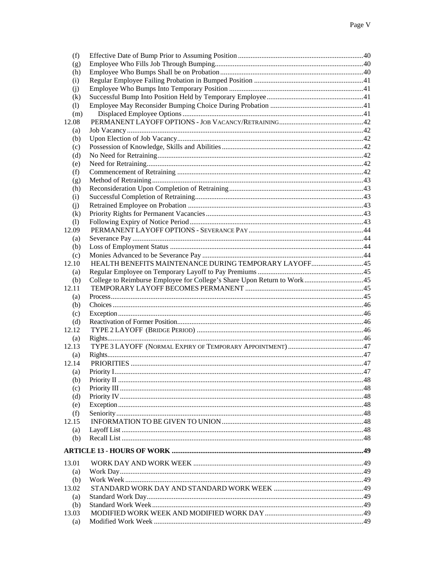| (f)   |                                                       |  |
|-------|-------------------------------------------------------|--|
| (g)   |                                                       |  |
| (h)   |                                                       |  |
| (i)   |                                                       |  |
| (i)   |                                                       |  |
| (k)   |                                                       |  |
| (1)   |                                                       |  |
| (m)   |                                                       |  |
| 12.08 |                                                       |  |
| (a)   |                                                       |  |
|       |                                                       |  |
| (b)   |                                                       |  |
| (c)   |                                                       |  |
| (d)   |                                                       |  |
| (e)   |                                                       |  |
| (f)   |                                                       |  |
| (g)   |                                                       |  |
| (h)   |                                                       |  |
| (i)   |                                                       |  |
| (i)   |                                                       |  |
| (k)   |                                                       |  |
| (1)   |                                                       |  |
| 12.09 |                                                       |  |
| (a)   |                                                       |  |
|       |                                                       |  |
| (b)   |                                                       |  |
| (c)   |                                                       |  |
| 12.10 | HEALTH BENEFITS MAINTENANCE DURING TEMPORARY LAYOFF45 |  |
| (a)   |                                                       |  |
| (b)   |                                                       |  |
| 12.11 |                                                       |  |
| (a)   |                                                       |  |
| (b)   |                                                       |  |
| (c)   |                                                       |  |
| (d)   |                                                       |  |
| 12.12 |                                                       |  |
| (a)   |                                                       |  |
| 12.13 |                                                       |  |
| (a)   |                                                       |  |
| 12.14 |                                                       |  |
|       |                                                       |  |
| (a)   |                                                       |  |
| (b)   |                                                       |  |
| (c)   |                                                       |  |
| (d)   |                                                       |  |
| (e)   |                                                       |  |
| (f)   |                                                       |  |
| 12.15 |                                                       |  |
| (a)   |                                                       |  |
| (b)   |                                                       |  |
|       |                                                       |  |
|       |                                                       |  |
| 13.01 |                                                       |  |
| (a)   |                                                       |  |
| (b)   |                                                       |  |
| 13.02 |                                                       |  |
| (a)   |                                                       |  |
| (b)   |                                                       |  |
| 13.03 |                                                       |  |
| (a)   |                                                       |  |
|       |                                                       |  |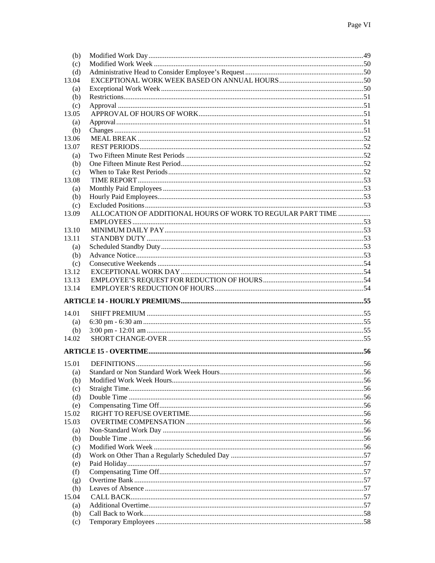| (b)            |                                                             |  |
|----------------|-------------------------------------------------------------|--|
| (c)            |                                                             |  |
| (d)            |                                                             |  |
| 13.04          |                                                             |  |
| (a)            |                                                             |  |
| (b)            |                                                             |  |
| (c)            |                                                             |  |
| 13.05          |                                                             |  |
|                |                                                             |  |
| (a)            |                                                             |  |
| (b)            |                                                             |  |
| 13.06          |                                                             |  |
| 13.07          |                                                             |  |
| (a)            |                                                             |  |
| (b)            |                                                             |  |
| (c)            |                                                             |  |
| 13.08          |                                                             |  |
| (a)            |                                                             |  |
| (b)            |                                                             |  |
| (c)            |                                                             |  |
| 13.09          | ALLOCATION OF ADDITIONAL HOURS OF WORK TO REGULAR PART TIME |  |
|                |                                                             |  |
| 13.10          |                                                             |  |
| 13.11          |                                                             |  |
| (a)            |                                                             |  |
|                |                                                             |  |
| (b)            |                                                             |  |
| (c)<br>13.12   |                                                             |  |
|                |                                                             |  |
| 13.13<br>13.14 |                                                             |  |
|                |                                                             |  |
|                |                                                             |  |
|                |                                                             |  |
|                |                                                             |  |
| 14.01          |                                                             |  |
| (a)            |                                                             |  |
| (b)            |                                                             |  |
| 14.02          |                                                             |  |
|                |                                                             |  |
|                |                                                             |  |
| 15.01          |                                                             |  |
| (a)            |                                                             |  |
| (b)            |                                                             |  |
| (c)            |                                                             |  |
| (d)            |                                                             |  |
| (e)            |                                                             |  |
| 15.02          |                                                             |  |
| 15.03          |                                                             |  |
| (a)            |                                                             |  |
| (b)            |                                                             |  |
|                |                                                             |  |
| (c)<br>(d)     |                                                             |  |
|                |                                                             |  |
| (e)            |                                                             |  |
| (f)            |                                                             |  |
| (g)            |                                                             |  |
| (h)            |                                                             |  |
| 15.04          |                                                             |  |
| (a)            |                                                             |  |
| (b)<br>(c)     |                                                             |  |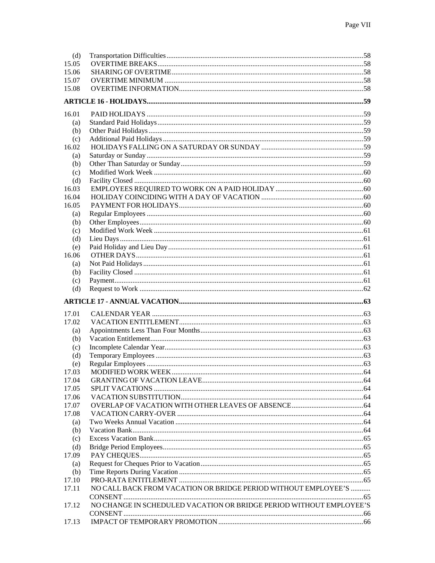| (d)   |                                                                     |  |
|-------|---------------------------------------------------------------------|--|
| 15.05 |                                                                     |  |
| 15.06 |                                                                     |  |
| 15.07 |                                                                     |  |
| 15.08 |                                                                     |  |
|       |                                                                     |  |
|       |                                                                     |  |
| 16.01 |                                                                     |  |
| (a)   |                                                                     |  |
| (b)   |                                                                     |  |
| (c)   |                                                                     |  |
| 16.02 |                                                                     |  |
| (a)   |                                                                     |  |
| (b)   |                                                                     |  |
| (c)   |                                                                     |  |
| (d)   |                                                                     |  |
| 16.03 |                                                                     |  |
| 16.04 |                                                                     |  |
| 16.05 |                                                                     |  |
| (a)   |                                                                     |  |
| (b)   |                                                                     |  |
| (c)   |                                                                     |  |
| (d)   |                                                                     |  |
| (e)   |                                                                     |  |
| 16.06 |                                                                     |  |
| (a)   |                                                                     |  |
| (b)   |                                                                     |  |
| (c)   |                                                                     |  |
| (d)   |                                                                     |  |
|       |                                                                     |  |
|       |                                                                     |  |
|       |                                                                     |  |
| 17.01 |                                                                     |  |
| 17.02 |                                                                     |  |
| (a)   |                                                                     |  |
| (b)   |                                                                     |  |
| (c)   |                                                                     |  |
| (d)   |                                                                     |  |
| (e)   |                                                                     |  |
| 17.03 |                                                                     |  |
| 17.04 |                                                                     |  |
| 17.05 |                                                                     |  |
| 17.06 |                                                                     |  |
| 17.07 |                                                                     |  |
| 17.08 |                                                                     |  |
| (a)   |                                                                     |  |
| (b)   |                                                                     |  |
| (c)   |                                                                     |  |
| (d)   |                                                                     |  |
| 17.09 |                                                                     |  |
| (a)   |                                                                     |  |
| (b)   |                                                                     |  |
| 17.10 |                                                                     |  |
| 17.11 | NO CALL BACK FROM VACATION OR BRIDGE PERIOD WITHOUT EMPLOYEE'S      |  |
|       |                                                                     |  |
| 17.12 | NO CHANGE IN SCHEDULED VACATION OR BRIDGE PERIOD WITHOUT EMPLOYEE'S |  |
| 17.13 |                                                                     |  |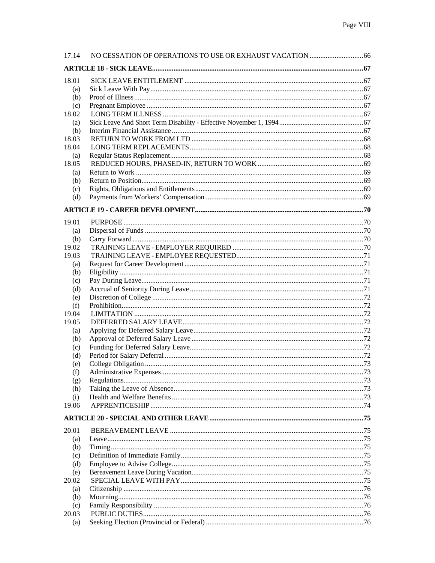| 17.14      |  |
|------------|--|
|            |  |
| 18.01      |  |
| (a)        |  |
| (b)        |  |
| (c)        |  |
| 18.02      |  |
| (a)        |  |
| (b)        |  |
| 18.03      |  |
| 18.04      |  |
| (a)        |  |
| 18.05      |  |
| (a)        |  |
| (b)        |  |
| (c)        |  |
| (d)        |  |
|            |  |
| 19.01      |  |
| (a)        |  |
| (b)        |  |
| 19.02      |  |
| 19.03      |  |
| (a)        |  |
| (b)        |  |
| (c)        |  |
| (d)        |  |
| (e)        |  |
| (f)        |  |
| 19.04      |  |
| 19.05      |  |
| (a)        |  |
| (b)        |  |
| (c)<br>(d) |  |
| (e)        |  |
| (f)        |  |
| (g)        |  |
| (h)        |  |
| (i)        |  |
| 19.06      |  |
|            |  |
| 20.01      |  |
| (a)        |  |
| (b)        |  |
| (c)        |  |
| (d)        |  |
| (e)        |  |
| 20.02      |  |
| (a)        |  |
| (b)        |  |
| (c)        |  |
| 20.03      |  |
| (a)        |  |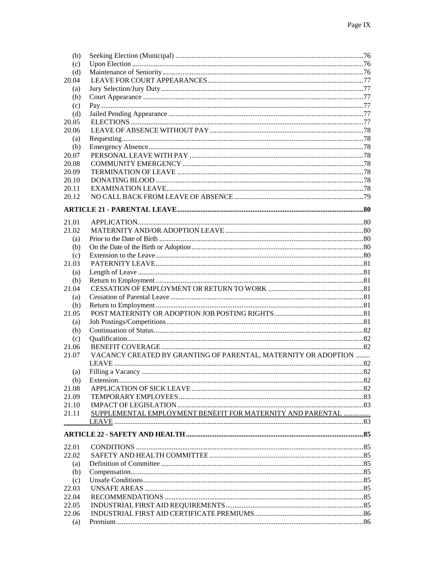| (b)   |                                                                |      |
|-------|----------------------------------------------------------------|------|
| (c)   |                                                                |      |
| (d)   |                                                                |      |
| 20.04 |                                                                |      |
| (a)   |                                                                |      |
| (b)   |                                                                |      |
| (c)   |                                                                |      |
| (d)   |                                                                |      |
| 20.05 |                                                                |      |
| 20.06 |                                                                |      |
| (a)   |                                                                |      |
| (b)   |                                                                |      |
| 20.07 |                                                                |      |
| 20.08 |                                                                |      |
| 20.09 |                                                                |      |
| 20.10 |                                                                |      |
| 20.11 |                                                                |      |
| 20.12 |                                                                |      |
|       |                                                                |      |
|       |                                                                |      |
| 21.01 |                                                                |      |
| 21.02 |                                                                |      |
| (a)   |                                                                |      |
| (b)   |                                                                |      |
| (c)   |                                                                |      |
| 21.03 |                                                                |      |
| (a)   |                                                                |      |
| (b)   |                                                                |      |
| 21.04 |                                                                |      |
| (a)   |                                                                |      |
| (b)   |                                                                |      |
| 21.05 |                                                                |      |
| (a)   |                                                                |      |
| (b)   |                                                                |      |
| (c)   |                                                                |      |
| 21.06 |                                                                |      |
| 21.07 | VACANCY CREATED BY GRANTING OF PARENTAL, MATERNITY OR ADOPTION |      |
|       |                                                                |      |
| (a)   | Filling a Vacancy                                              | . 82 |
| (b)   |                                                                |      |
| 21.08 |                                                                |      |
| 21.09 |                                                                |      |
| 21.10 |                                                                |      |
| 21.11 | SUPPLEMENTAL EMPLOYMENT BENEFIT FOR MATERNITY AND PARENTAL     |      |
|       |                                                                |      |
|       |                                                                |      |
|       |                                                                |      |
| 22.01 |                                                                |      |
| 22.02 |                                                                |      |
| (a)   |                                                                |      |
| (b)   |                                                                |      |
| (c)   |                                                                |      |
| 22.03 |                                                                |      |
| 22.04 |                                                                |      |
| 22.05 |                                                                |      |
| 22.06 |                                                                |      |
| (a)   |                                                                |      |
|       |                                                                |      |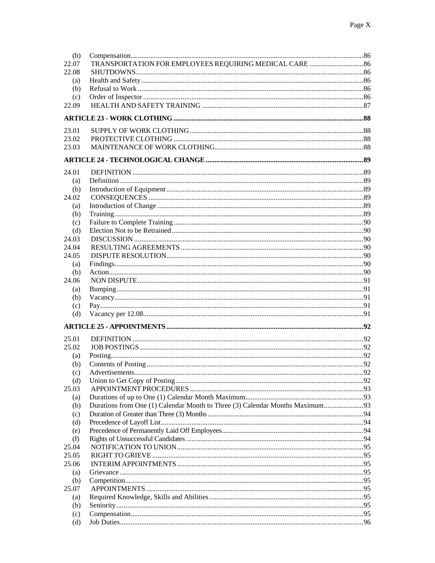| (b)<br>22.07 | TRANSPORTATION FOR EMPLOYEES REQUIRING MEDICAL CARE  86 |  |
|--------------|---------------------------------------------------------|--|
| 22.08        |                                                         |  |
| (a)<br>(b)   |                                                         |  |
| (c)          |                                                         |  |
| 22.09        |                                                         |  |
|              |                                                         |  |
|              |                                                         |  |
| 23.01        |                                                         |  |
| 23.02        |                                                         |  |
| 23.03        |                                                         |  |
|              |                                                         |  |
|              |                                                         |  |
| 24.01        |                                                         |  |
| (a)          |                                                         |  |
| (b)<br>24.02 |                                                         |  |
|              |                                                         |  |
| (a)          |                                                         |  |
| (b)<br>(c)   |                                                         |  |
| (d)          |                                                         |  |
| 24.03        |                                                         |  |
| 24.04        |                                                         |  |
| 24.05        |                                                         |  |
| (a)          |                                                         |  |
| (b)          |                                                         |  |
| 24.06        |                                                         |  |
| (a)          |                                                         |  |
| (b)          |                                                         |  |
| (c)          |                                                         |  |
| (d)          |                                                         |  |
|              |                                                         |  |
|              |                                                         |  |
| 25.01        |                                                         |  |
| 25.02        |                                                         |  |
| (a)          |                                                         |  |
| (b)          |                                                         |  |
| (c)          |                                                         |  |
| (d)          |                                                         |  |
| 25.03        |                                                         |  |
| (a)          |                                                         |  |
| (b)          |                                                         |  |
| (c)          |                                                         |  |
| (d)          |                                                         |  |
| (e)          |                                                         |  |
| (f)          |                                                         |  |
| 25.04        |                                                         |  |
| 25.05        |                                                         |  |
| 25.06        |                                                         |  |
| (a)          |                                                         |  |
| (b)          |                                                         |  |
| 25.07        |                                                         |  |
| (a)          |                                                         |  |
| (b)          |                                                         |  |
| (c)          |                                                         |  |
| (d)          |                                                         |  |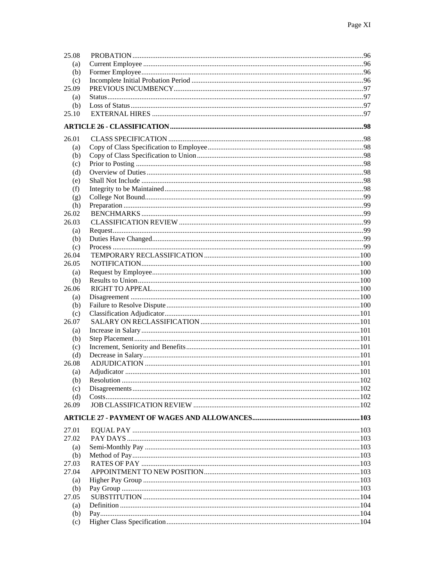| 25.08                    |  |
|--------------------------|--|
| (a)                      |  |
| (b)                      |  |
| (c)                      |  |
| 25.09                    |  |
| (a)                      |  |
| (b)                      |  |
| 25.10                    |  |
|                          |  |
|                          |  |
| 26.01                    |  |
| (a)                      |  |
| (b)                      |  |
| (c)                      |  |
| (d)                      |  |
| (e)                      |  |
| (f)                      |  |
| (g)                      |  |
| (h)                      |  |
| 26.02                    |  |
| 26.03                    |  |
| (a)                      |  |
| (b)                      |  |
| (c)                      |  |
| 26.04                    |  |
| 26.05                    |  |
| (a)                      |  |
| (b)                      |  |
| 26.06                    |  |
| (a)                      |  |
| (b)                      |  |
| (c)                      |  |
| 26.07                    |  |
| (a)                      |  |
| (b)                      |  |
| (c)                      |  |
| (d)                      |  |
| 26.08                    |  |
| $\left( \text{a}\right)$ |  |
| (b)                      |  |
| (c)                      |  |
| (d)                      |  |
| 26.09                    |  |
|                          |  |
|                          |  |
| 27.01                    |  |
| 27.02                    |  |
| (a)                      |  |
| (b)                      |  |
| 27.03                    |  |
| 27.04                    |  |
| (a)                      |  |
| (b)                      |  |
| 27.05                    |  |
| (a)                      |  |
| (b)                      |  |
| (c)                      |  |
|                          |  |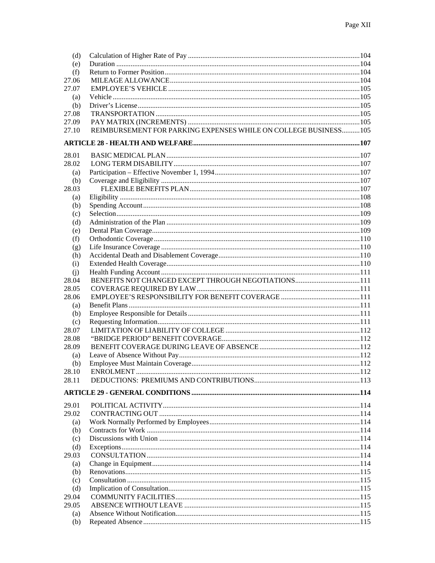| (d)        |                                                                 |  |
|------------|-----------------------------------------------------------------|--|
| (e)        |                                                                 |  |
| (f)        |                                                                 |  |
| 27.06      |                                                                 |  |
| 27.07      |                                                                 |  |
| (a)        |                                                                 |  |
| (b)        |                                                                 |  |
| 27.08      |                                                                 |  |
| 27.09      |                                                                 |  |
| 27.10      | REIMBURSEMENT FOR PARKING EXPENSES WHILE ON COLLEGE BUSINESS105 |  |
|            |                                                                 |  |
| 28.01      |                                                                 |  |
| 28.02      |                                                                 |  |
| (a)        |                                                                 |  |
| (b)        |                                                                 |  |
| 28.03      |                                                                 |  |
| (a)        |                                                                 |  |
| (b)        |                                                                 |  |
| (c)        |                                                                 |  |
| (d)        |                                                                 |  |
| (e)        |                                                                 |  |
| (f)        |                                                                 |  |
| (g)        |                                                                 |  |
| (h)        |                                                                 |  |
| (i)        |                                                                 |  |
| (i)        |                                                                 |  |
| 28.04      |                                                                 |  |
| 28.05      |                                                                 |  |
| 28.06      |                                                                 |  |
| (a)        |                                                                 |  |
| (b)<br>(c) |                                                                 |  |
| 28.07      |                                                                 |  |
| 28.08      |                                                                 |  |
| 28.09      |                                                                 |  |
| (a)        |                                                                 |  |
| (b)        |                                                                 |  |
| 28.10      |                                                                 |  |
| 28.11      |                                                                 |  |
|            |                                                                 |  |
| 29.01      |                                                                 |  |
| 29.02      |                                                                 |  |
| (a)        |                                                                 |  |
| (b)        |                                                                 |  |
| (c)        |                                                                 |  |
| (d)        |                                                                 |  |
| 29.03      |                                                                 |  |
| (a)        |                                                                 |  |
| (b)        |                                                                 |  |
| (c)        |                                                                 |  |
| (d)        |                                                                 |  |
| 29.04      |                                                                 |  |
| 29.05      |                                                                 |  |
| (a)        |                                                                 |  |
| (b)        |                                                                 |  |
|            |                                                                 |  |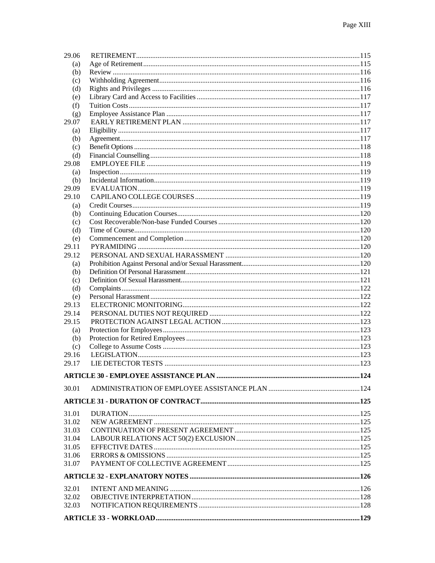| 29.06 |  |  |  |  |  |
|-------|--|--|--|--|--|
| (a)   |  |  |  |  |  |
| (b)   |  |  |  |  |  |
| (c)   |  |  |  |  |  |
| (d)   |  |  |  |  |  |
| (e)   |  |  |  |  |  |
| (f)   |  |  |  |  |  |
| (g)   |  |  |  |  |  |
| 29.07 |  |  |  |  |  |
| (a)   |  |  |  |  |  |
| (b)   |  |  |  |  |  |
| (c)   |  |  |  |  |  |
| (d)   |  |  |  |  |  |
| 29.08 |  |  |  |  |  |
| (a)   |  |  |  |  |  |
| (b)   |  |  |  |  |  |
| 29.09 |  |  |  |  |  |
| 29.10 |  |  |  |  |  |
| (a)   |  |  |  |  |  |
| (b)   |  |  |  |  |  |
| (c)   |  |  |  |  |  |
| (d)   |  |  |  |  |  |
| (e)   |  |  |  |  |  |
| 29.11 |  |  |  |  |  |
| 29.12 |  |  |  |  |  |
| (a)   |  |  |  |  |  |
| (b)   |  |  |  |  |  |
| (c)   |  |  |  |  |  |
| (d)   |  |  |  |  |  |
| (e)   |  |  |  |  |  |
| 29.13 |  |  |  |  |  |
| 29.14 |  |  |  |  |  |
| 29.15 |  |  |  |  |  |
| (a)   |  |  |  |  |  |
| (b)   |  |  |  |  |  |
| (c)   |  |  |  |  |  |
| 29.16 |  |  |  |  |  |
| 29.17 |  |  |  |  |  |
|       |  |  |  |  |  |
| 30.01 |  |  |  |  |  |
|       |  |  |  |  |  |
|       |  |  |  |  |  |
| 31.01 |  |  |  |  |  |
| 31.02 |  |  |  |  |  |
| 31.03 |  |  |  |  |  |
| 31.04 |  |  |  |  |  |
| 31.05 |  |  |  |  |  |
| 31.06 |  |  |  |  |  |
| 31.07 |  |  |  |  |  |
|       |  |  |  |  |  |
| 32.01 |  |  |  |  |  |
| 32.02 |  |  |  |  |  |
| 32.03 |  |  |  |  |  |
|       |  |  |  |  |  |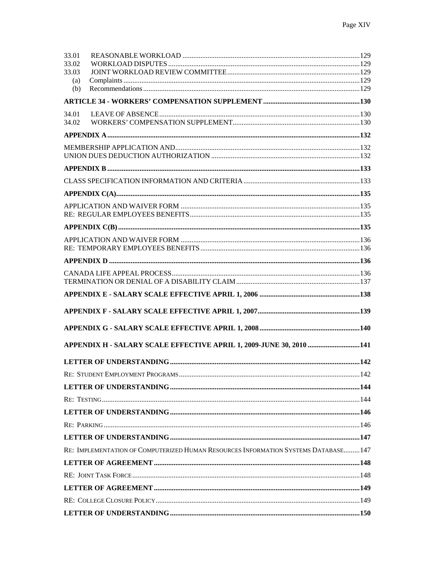| 33.01        |                                                                                     |  |
|--------------|-------------------------------------------------------------------------------------|--|
| 33.02        |                                                                                     |  |
| 33.03<br>(a) |                                                                                     |  |
| (b)          |                                                                                     |  |
|              |                                                                                     |  |
| 34.01        |                                                                                     |  |
| 34.02        |                                                                                     |  |
|              |                                                                                     |  |
|              |                                                                                     |  |
|              |                                                                                     |  |
|              |                                                                                     |  |
|              |                                                                                     |  |
|              |                                                                                     |  |
|              |                                                                                     |  |
|              |                                                                                     |  |
|              |                                                                                     |  |
|              |                                                                                     |  |
|              |                                                                                     |  |
|              |                                                                                     |  |
|              |                                                                                     |  |
|              |                                                                                     |  |
|              |                                                                                     |  |
|              |                                                                                     |  |
|              |                                                                                     |  |
|              |                                                                                     |  |
|              | APPENDIX H - SALARY SCALE EFFECTIVE APRIL 1, 2009-JUNE 30, 2010 141                 |  |
|              |                                                                                     |  |
|              |                                                                                     |  |
|              |                                                                                     |  |
|              |                                                                                     |  |
|              |                                                                                     |  |
|              |                                                                                     |  |
|              |                                                                                     |  |
|              | RE: IMPLEMENTATION OF COMPUTERIZED HUMAN RESOURCES INFORMATION SYSTEMS DATABASE 147 |  |
|              |                                                                                     |  |
|              |                                                                                     |  |
|              |                                                                                     |  |
|              |                                                                                     |  |
|              |                                                                                     |  |
|              |                                                                                     |  |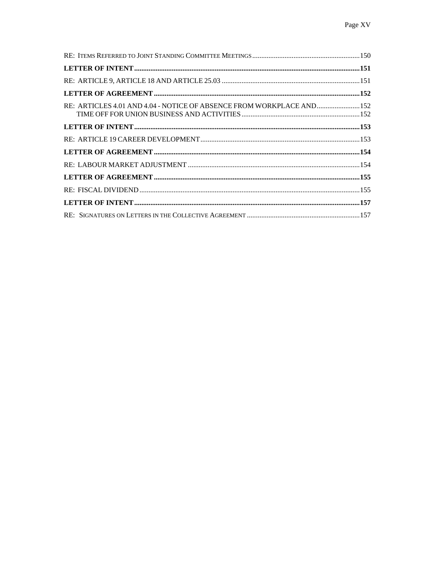| RE: ARTICLES 4.01 AND 4.04 - NOTICE OF ABSENCE FROM WORKPLACE AND  152 |  |
|------------------------------------------------------------------------|--|
|                                                                        |  |
|                                                                        |  |
|                                                                        |  |
|                                                                        |  |
|                                                                        |  |
|                                                                        |  |
|                                                                        |  |
|                                                                        |  |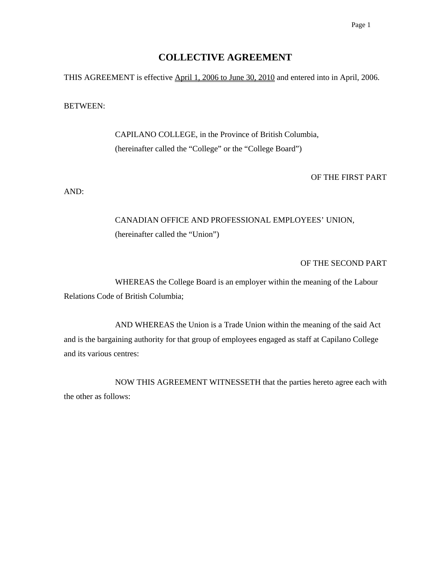# **COLLECTIVE AGREEMENT**

THIS AGREEMENT is effective **April 1, 2006 to June 30, 2010** and entered into in April, 2006.

#### BETWEEN:

 CAPILANO COLLEGE, in the Province of British Columbia, (hereinafter called the "College" or the "College Board")

## OF THE FIRST PART

AND:

# CANADIAN OFFICE AND PROFESSIONAL EMPLOYEES' UNION, (hereinafter called the "Union")

## OF THE SECOND PART

 WHEREAS the College Board is an employer within the meaning of the Labour Relations Code of British Columbia;

 AND WHEREAS the Union is a Trade Union within the meaning of the said Act and is the bargaining authority for that group of employees engaged as staff at Capilano College and its various centres:

 NOW THIS AGREEMENT WITNESSETH that the parties hereto agree each with the other as follows: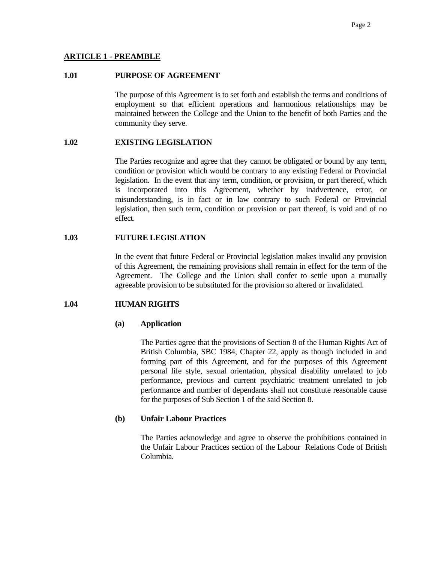#### **ARTICLE 1 - PREAMBLE**

#### **1.01 PURPOSE OF AGREEMENT**

 The purpose of this Agreement is to set forth and establish the terms and conditions of employment so that efficient operations and harmonious relationships may be maintained between the College and the Union to the benefit of both Parties and the community they serve.

# **1.02 EXISTING LEGISLATION**

 The Parties recognize and agree that they cannot be obligated or bound by any term, condition or provision which would be contrary to any existing Federal or Provincial legislation. In the event that any term, condition, or provision, or part thereof, which is incorporated into this Agreement, whether by inadvertence, error, or misunderstanding, is in fact or in law contrary to such Federal or Provincial legislation, then such term, condition or provision or part thereof, is void and of no effect.

#### **1.03 FUTURE LEGISLATION**

 In the event that future Federal or Provincial legislation makes invalid any provision of this Agreement, the remaining provisions shall remain in effect for the term of the Agreement. The College and the Union shall confer to settle upon a mutually agreeable provision to be substituted for the provision so altered or invalidated.

#### **1.04 HUMAN RIGHTS**

#### **(a) Application**

 The Parties agree that the provisions of Section 8 of the Human Rights Act of British Columbia, SBC 1984, Chapter 22, apply as though included in and forming part of this Agreement, and for the purposes of this Agreement personal life style, sexual orientation, physical disability unrelated to job performance, previous and current psychiatric treatment unrelated to job performance and number of dependants shall not constitute reasonable cause for the purposes of Sub Section 1 of the said Section 8.

#### **(b) Unfair Labour Practices**

 The Parties acknowledge and agree to observe the prohibitions contained in the Unfair Labour Practices section of the Labour Relations Code of British Columbia.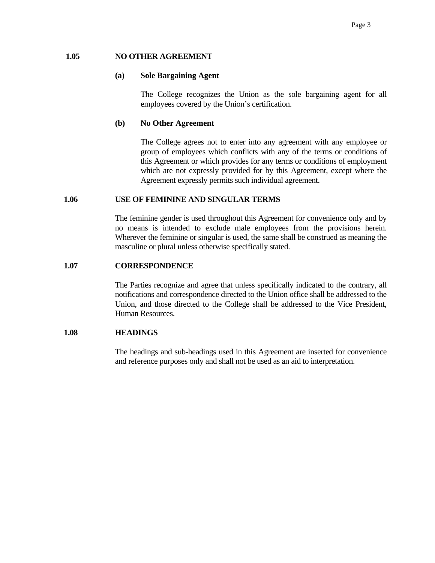#### **1.05 NO OTHER AGREEMENT**

#### **(a) Sole Bargaining Agent**

 The College recognizes the Union as the sole bargaining agent for all employees covered by the Union's certification.

#### **(b) No Other Agreement**

 The College agrees not to enter into any agreement with any employee or group of employees which conflicts with any of the terms or conditions of this Agreement or which provides for any terms or conditions of employment which are not expressly provided for by this Agreement, except where the Agreement expressly permits such individual agreement.

#### **1.06 USE OF FEMININE AND SINGULAR TERMS**

 The feminine gender is used throughout this Agreement for convenience only and by no means is intended to exclude male employees from the provisions herein. Wherever the feminine or singular is used, the same shall be construed as meaning the masculine or plural unless otherwise specifically stated.

#### **1.07 CORRESPONDENCE**

 The Parties recognize and agree that unless specifically indicated to the contrary, all notifications and correspondence directed to the Union office shall be addressed to the Union, and those directed to the College shall be addressed to the Vice President, Human Resources.

#### **1.08 HEADINGS**

 The headings and sub-headings used in this Agreement are inserted for convenience and reference purposes only and shall not be used as an aid to interpretation.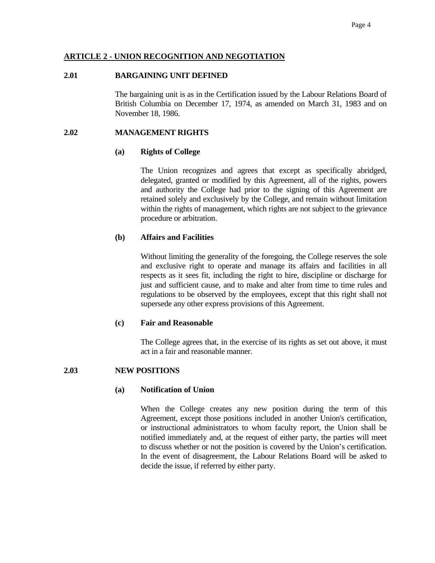## **ARTICLE 2 - UNION RECOGNITION AND NEGOTIATION**

#### **2.01 BARGAINING UNIT DEFINED**

 The bargaining unit is as in the Certification issued by the Labour Relations Board of British Columbia on December 17, 1974, as amended on March 31, 1983 and on November 18, 1986.

## **2.02 MANAGEMENT RIGHTS**

## **(a) Rights of College**

 The Union recognizes and agrees that except as specifically abridged, delegated, granted or modified by this Agreement, all of the rights, powers and authority the College had prior to the signing of this Agreement are retained solely and exclusively by the College, and remain without limitation within the rights of management, which rights are not subject to the grievance procedure or arbitration.

## **(b) Affairs and Facilities**

 Without limiting the generality of the foregoing, the College reserves the sole and exclusive right to operate and manage its affairs and facilities in all respects as it sees fit, including the right to hire, discipline or discharge for just and sufficient cause, and to make and alter from time to time rules and regulations to be observed by the employees, except that this right shall not supersede any other express provisions of this Agreement.

## **(c) Fair and Reasonable**

 The College agrees that, in the exercise of its rights as set out above, it must act in a fair and reasonable manner.

## **2.03 NEW POSITIONS**

## **(a) Notification of Union**

 When the College creates any new position during the term of this Agreement, except those positions included in another Union's certification, or instructional administrators to whom faculty report, the Union shall be notified immediately and, at the request of either party, the parties will meet to discuss whether or not the position is covered by the Union's certification. In the event of disagreement, the Labour Relations Board will be asked to decide the issue, if referred by either party.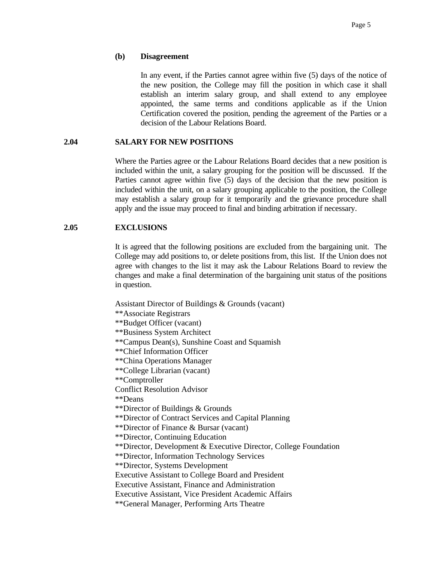#### **(b) Disagreement**

 In any event, if the Parties cannot agree within five (5) days of the notice of the new position, the College may fill the position in which case it shall establish an interim salary group, and shall extend to any employee appointed, the same terms and conditions applicable as if the Union Certification covered the position, pending the agreement of the Parties or a decision of the Labour Relations Board.

#### **2.04 SALARY FOR NEW POSITIONS**

 Where the Parties agree or the Labour Relations Board decides that a new position is included within the unit, a salary grouping for the position will be discussed. If the Parties cannot agree within five (5) days of the decision that the new position is included within the unit, on a salary grouping applicable to the position, the College may establish a salary group for it temporarily and the grievance procedure shall apply and the issue may proceed to final and binding arbitration if necessary.

#### **2.05 EXCLUSIONS**

 It is agreed that the following positions are excluded from the bargaining unit. The College may add positions to, or delete positions from, this list. If the Union does not agree with changes to the list it may ask the Labour Relations Board to review the changes and make a final determination of the bargaining unit status of the positions in question.

Assistant Director of Buildings & Grounds (vacant) \*\*Associate Registrars \*\*Budget Officer (vacant) \*\*Business System Architect \*\*Campus Dean(s), Sunshine Coast and Squamish \*\*Chief Information Officer \*\*China Operations Manager \*\*College Librarian (vacant) \*\*Comptroller Conflict Resolution Advisor \*\*Deans \*\*Director of Buildings & Grounds \*\*Director of Contract Services and Capital Planning \*\*Director of Finance & Bursar (vacant) \*\*Director, Continuing Education \*\*Director, Development & Executive Director, College Foundation \*\*Director, Information Technology Services \*\*Director, Systems Development Executive Assistant to College Board and President Executive Assistant, Finance and Administration Executive Assistant, Vice President Academic Affairs \*\*General Manager, Performing Arts Theatre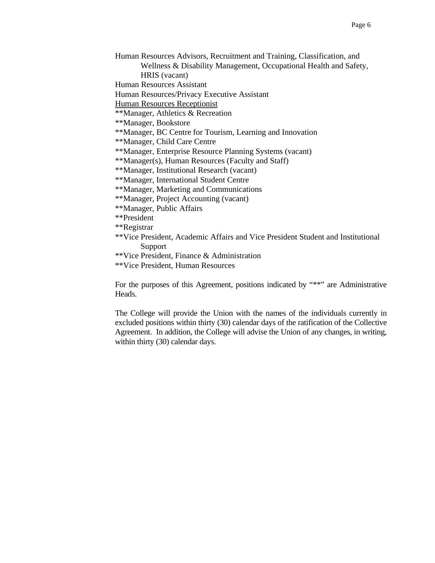Human Resources Advisors, Recruitment and Training, Classification, and Wellness & Disability Management, Occupational Health and Safety, HRIS (vacant)

Human Resources Assistant

Human Resources/Privacy Executive Assistant

Human Resources Receptionist

\*\*Manager, Athletics & Recreation

\*\*Manager, Bookstore

\*\*Manager, BC Centre for Tourism, Learning and Innovation

\*\*Manager, Child Care Centre

\*\*Manager, Enterprise Resource Planning Systems (vacant)

\*\*Manager(s), Human Resources (Faculty and Staff)

\*\*Manager, Institutional Research (vacant)

\*\*Manager, International Student Centre

\*\*Manager, Marketing and Communications

\*\*Manager, Project Accounting (vacant)

\*\*Manager, Public Affairs

\*\*President

\*\*Registrar

\*\*Vice President, Academic Affairs and Vice President Student and Institutional Support

\*\*Vice President, Finance & Administration

\*\*Vice President, Human Resources

For the purposes of this Agreement, positions indicated by "\*\*" are Administrative Heads.

The College will provide the Union with the names of the individuals currently in excluded positions within thirty (30) calendar days of the ratification of the Collective Agreement. In addition, the College will advise the Union of any changes, in writing, within thirty (30) calendar days.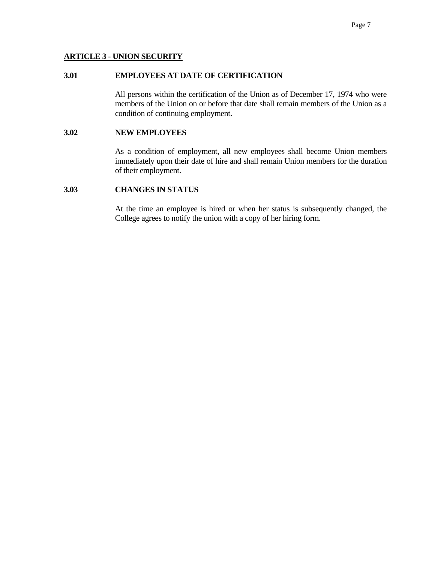## **ARTICLE 3 - UNION SECURITY**

## **3.01 EMPLOYEES AT DATE OF CERTIFICATION**

 All persons within the certification of the Union as of December 17, 1974 who were members of the Union on or before that date shall remain members of the Union as a condition of continuing employment.

#### **3.02 NEW EMPLOYEES**

 As a condition of employment, all new employees shall become Union members immediately upon their date of hire and shall remain Union members for the duration of their employment.

#### **3.03 CHANGES IN STATUS**

 At the time an employee is hired or when her status is subsequently changed, the College agrees to notify the union with a copy of her hiring form.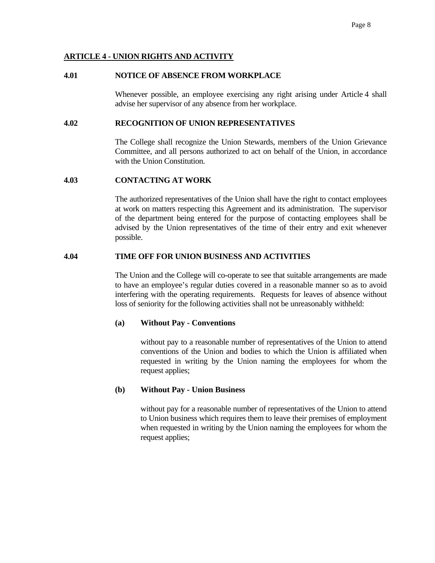## **ARTICLE 4 - UNION RIGHTS AND ACTIVITY**

#### **4.01 NOTICE OF ABSENCE FROM WORKPLACE**

 Whenever possible, an employee exercising any right arising under Article 4 shall advise her supervisor of any absence from her workplace.

#### **4.02 RECOGNITION OF UNION REPRESENTATIVES**

 The College shall recognize the Union Stewards, members of the Union Grievance Committee, and all persons authorized to act on behalf of the Union, in accordance with the Union Constitution.

## **4.03 CONTACTING AT WORK**

 The authorized representatives of the Union shall have the right to contact employees at work on matters respecting this Agreement and its administration. The supervisor of the department being entered for the purpose of contacting employees shall be advised by the Union representatives of the time of their entry and exit whenever possible.

#### **4.04 TIME OFF FOR UNION BUSINESS AND ACTIVITIES**

 The Union and the College will co-operate to see that suitable arrangements are made to have an employee's regular duties covered in a reasonable manner so as to avoid interfering with the operating requirements. Requests for leaves of absence without loss of seniority for the following activities shall not be unreasonably withheld:

#### **(a) Without Pay - Conventions**

 without pay to a reasonable number of representatives of the Union to attend conventions of the Union and bodies to which the Union is affiliated when requested in writing by the Union naming the employees for whom the request applies;

#### **(b) Without Pay - Union Business**

 without pay for a reasonable number of representatives of the Union to attend to Union business which requires them to leave their premises of employment when requested in writing by the Union naming the employees for whom the request applies;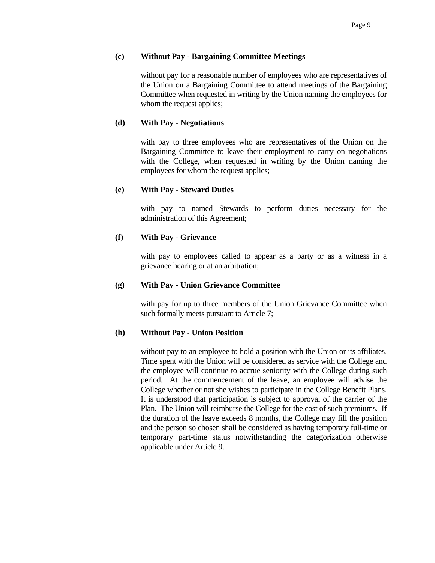## **(c) Without Pay - Bargaining Committee Meetings**

 without pay for a reasonable number of employees who are representatives of the Union on a Bargaining Committee to attend meetings of the Bargaining Committee when requested in writing by the Union naming the employees for whom the request applies;

# **(d) With Pay - Negotiations**

 with pay to three employees who are representatives of the Union on the Bargaining Committee to leave their employment to carry on negotiations with the College, when requested in writing by the Union naming the employees for whom the request applies;

# **(e) With Pay - Steward Duties**

 with pay to named Stewards to perform duties necessary for the administration of this Agreement;

# **(f) With Pay - Grievance**

 with pay to employees called to appear as a party or as a witness in a grievance hearing or at an arbitration;

## **(g) With Pay - Union Grievance Committee**

 with pay for up to three members of the Union Grievance Committee when such formally meets pursuant to Article 7;

## **(h) Without Pay - Union Position**

 without pay to an employee to hold a position with the Union or its affiliates. Time spent with the Union will be considered as service with the College and the employee will continue to accrue seniority with the College during such period. At the commencement of the leave, an employee will advise the College whether or not she wishes to participate in the College Benefit Plans. It is understood that participation is subject to approval of the carrier of the Plan. The Union will reimburse the College for the cost of such premiums. If the duration of the leave exceeds 8 months, the College may fill the position and the person so chosen shall be considered as having temporary full-time or temporary part-time status notwithstanding the categorization otherwise applicable under Article 9.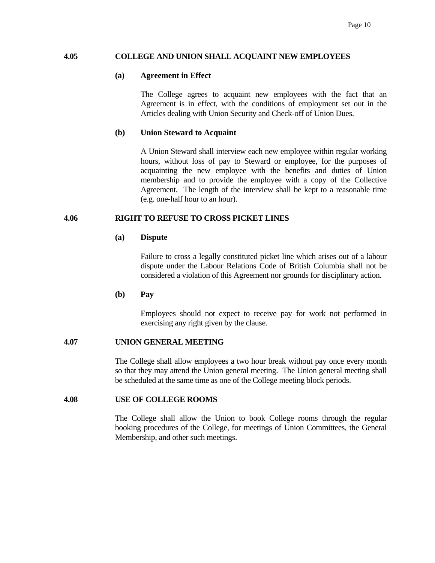#### **4.05 COLLEGE AND UNION SHALL ACQUAINT NEW EMPLOYEES**

#### **(a) Agreement in Effect**

 The College agrees to acquaint new employees with the fact that an Agreement is in effect, with the conditions of employment set out in the Articles dealing with Union Security and Check-off of Union Dues.

#### **(b) Union Steward to Acquaint**

 A Union Steward shall interview each new employee within regular working hours, without loss of pay to Steward or employee, for the purposes of acquainting the new employee with the benefits and duties of Union membership and to provide the employee with a copy of the Collective Agreement. The length of the interview shall be kept to a reasonable time (e.g. one-half hour to an hour).

#### **4.06 RIGHT TO REFUSE TO CROSS PICKET LINES**

#### **(a) Dispute**

 Failure to cross a legally constituted picket line which arises out of a labour dispute under the Labour Relations Code of British Columbia shall not be considered a violation of this Agreement nor grounds for disciplinary action.

#### **(b) Pay**

 Employees should not expect to receive pay for work not performed in exercising any right given by the clause.

#### **4.07 UNION GENERAL MEETING**

 The College shall allow employees a two hour break without pay once every month so that they may attend the Union general meeting. The Union general meeting shall be scheduled at the same time as one of the College meeting block periods.

#### **4.08 USE OF COLLEGE ROOMS**

 The College shall allow the Union to book College rooms through the regular booking procedures of the College, for meetings of Union Committees, the General Membership, and other such meetings.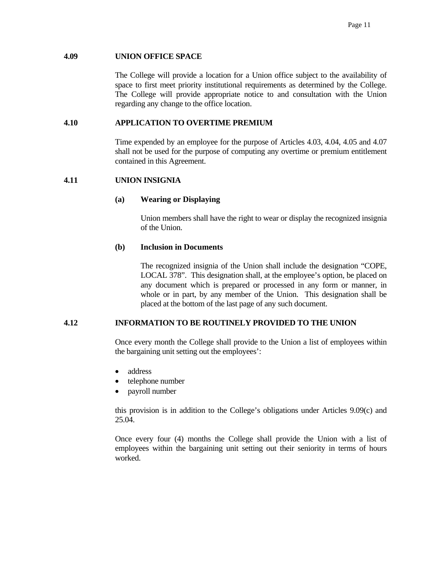#### **4.09 UNION OFFICE SPACE**

 The College will provide a location for a Union office subject to the availability of space to first meet priority institutional requirements as determined by the College. The College will provide appropriate notice to and consultation with the Union regarding any change to the office location.

## **4.10 APPLICATION TO OVERTIME PREMIUM**

 Time expended by an employee for the purpose of Articles 4.03, 4.04, 4.05 and 4.07 shall not be used for the purpose of computing any overtime or premium entitlement contained in this Agreement.

## **4.11 UNION INSIGNIA**

## **(a) Wearing or Displaying**

 Union members shall have the right to wear or display the recognized insignia of the Union.

#### **(b) Inclusion in Documents**

 The recognized insignia of the Union shall include the designation "COPE, LOCAL 378". This designation shall, at the employee's option, be placed on any document which is prepared or processed in any form or manner, in whole or in part, by any member of the Union. This designation shall be placed at the bottom of the last page of any such document.

## **4.12 INFORMATION TO BE ROUTINELY PROVIDED TO THE UNION**

Once every month the College shall provide to the Union a list of employees within the bargaining unit setting out the employees':

- address
- telephone number
- payroll number

 this provision is in addition to the College's obligations under Articles 9.09(c) and 25.04.

 Once every four (4) months the College shall provide the Union with a list of employees within the bargaining unit setting out their seniority in terms of hours worked.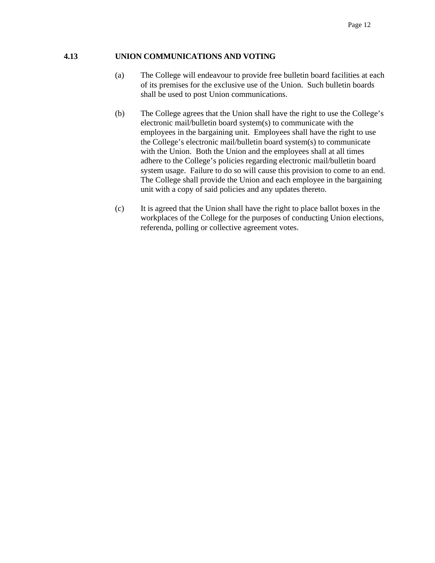# **4.13 UNION COMMUNICATIONS AND VOTING**

- (a) The College will endeavour to provide free bulletin board facilities at each of its premises for the exclusive use of the Union. Such bulletin boards shall be used to post Union communications.
- (b) The College agrees that the Union shall have the right to use the College's electronic mail/bulletin board system(s) to communicate with the employees in the bargaining unit. Employees shall have the right to use the College's electronic mail/bulletin board system(s) to communicate with the Union. Both the Union and the employees shall at all times adhere to the College's policies regarding electronic mail/bulletin board system usage. Failure to do so will cause this provision to come to an end. The College shall provide the Union and each employee in the bargaining unit with a copy of said policies and any updates thereto.
- (c) It is agreed that the Union shall have the right to place ballot boxes in the workplaces of the College for the purposes of conducting Union elections, referenda, polling or collective agreement votes.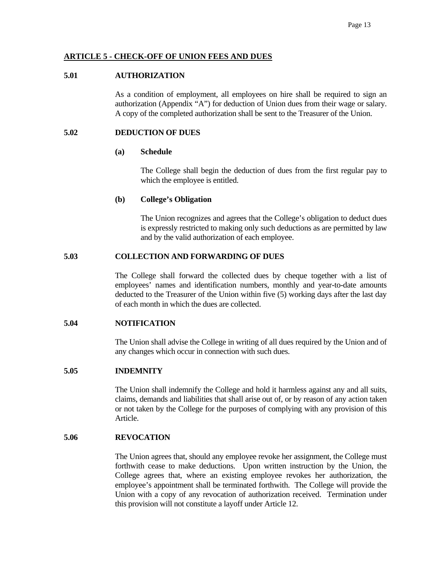## **ARTICLE 5 - CHECK-OFF OF UNION FEES AND DUES**

#### **5.01 AUTHORIZATION**

 As a condition of employment, all employees on hire shall be required to sign an authorization (Appendix "A") for deduction of Union dues from their wage or salary. A copy of the completed authorization shall be sent to the Treasurer of the Union.

#### **5.02 DEDUCTION OF DUES**

#### **(a) Schedule**

 The College shall begin the deduction of dues from the first regular pay to which the employee is entitled.

#### **(b) College's Obligation**

 The Union recognizes and agrees that the College's obligation to deduct dues is expressly restricted to making only such deductions as are permitted by law and by the valid authorization of each employee.

## **5.03 COLLECTION AND FORWARDING OF DUES**

 The College shall forward the collected dues by cheque together with a list of employees' names and identification numbers, monthly and year-to-date amounts deducted to the Treasurer of the Union within five (5) working days after the last day of each month in which the dues are collected.

## **5.04 NOTIFICATION**

 The Union shall advise the College in writing of all dues required by the Union and of any changes which occur in connection with such dues.

## **5.05 INDEMNITY**

 The Union shall indemnify the College and hold it harmless against any and all suits, claims, demands and liabilities that shall arise out of, or by reason of any action taken or not taken by the College for the purposes of complying with any provision of this Article.

# **5.06 REVOCATION**

 The Union agrees that, should any employee revoke her assignment, the College must forthwith cease to make deductions. Upon written instruction by the Union, the College agrees that, where an existing employee revokes her authorization, the employee's appointment shall be terminated forthwith. The College will provide the Union with a copy of any revocation of authorization received. Termination under this provision will not constitute a layoff under Article 12.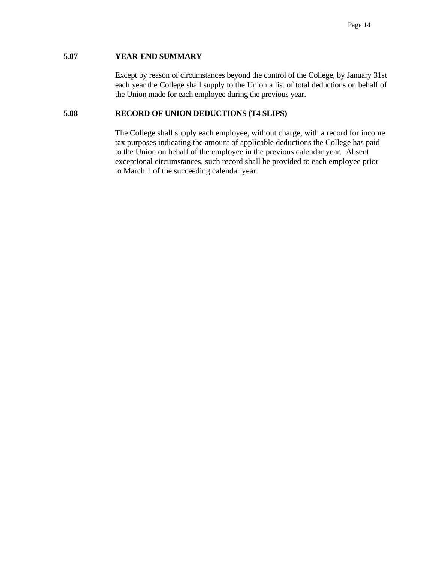# **5.07 YEAR-END SUMMARY**

 Except by reason of circumstances beyond the control of the College, by January 31st each year the College shall supply to the Union a list of total deductions on behalf of the Union made for each employee during the previous year.

## **5.08 RECORD OF UNION DEDUCTIONS (T4 SLIPS)**

The College shall supply each employee, without charge, with a record for income tax purposes indicating the amount of applicable deductions the College has paid to the Union on behalf of the employee in the previous calendar year. Absent exceptional circumstances, such record shall be provided to each employee prior to March 1 of the succeeding calendar year.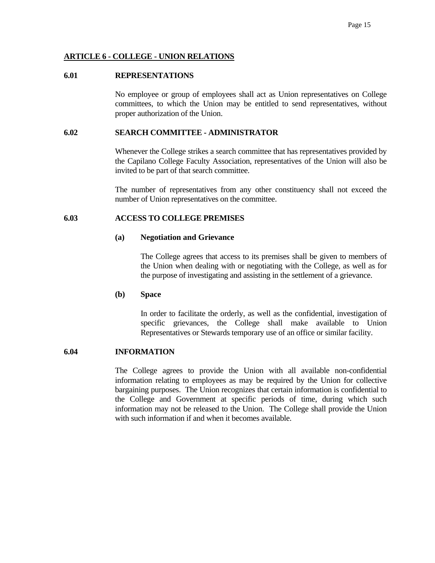#### **ARTICLE 6 - COLLEGE - UNION RELATIONS**

#### **6.01 REPRESENTATIONS**

 No employee or group of employees shall act as Union representatives on College committees, to which the Union may be entitled to send representatives, without proper authorization of the Union.

#### **6.02 SEARCH COMMITTEE - ADMINISTRATOR**

 Whenever the College strikes a search committee that has representatives provided by the Capilano College Faculty Association, representatives of the Union will also be invited to be part of that search committee.

 The number of representatives from any other constituency shall not exceed the number of Union representatives on the committee.

#### **6.03 ACCESS TO COLLEGE PREMISES**

#### **(a) Negotiation and Grievance**

 The College agrees that access to its premises shall be given to members of the Union when dealing with or negotiating with the College, as well as for the purpose of investigating and assisting in the settlement of a grievance.

#### **(b) Space**

 In order to facilitate the orderly, as well as the confidential, investigation of specific grievances, the College shall make available to Union Representatives or Stewards temporary use of an office or similar facility.

# **6.04 INFORMATION**

 The College agrees to provide the Union with all available non-confidential information relating to employees as may be required by the Union for collective bargaining purposes. The Union recognizes that certain information is confidential to the College and Government at specific periods of time, during which such information may not be released to the Union. The College shall provide the Union with such information if and when it becomes available.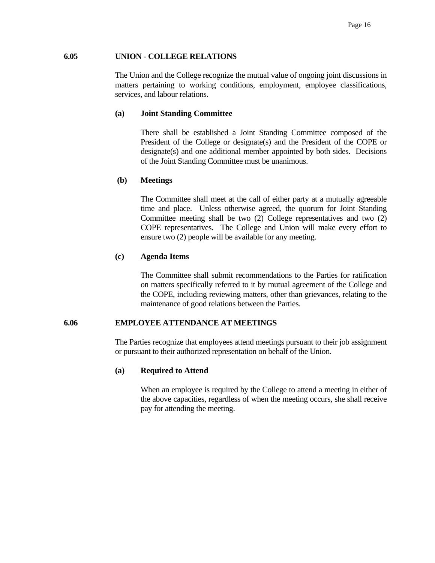#### **6.05 UNION - COLLEGE RELATIONS**

 The Union and the College recognize the mutual value of ongoing joint discussions in matters pertaining to working conditions, employment, employee classifications, services, and labour relations.

#### **(a) Joint Standing Committee**

 There shall be established a Joint Standing Committee composed of the President of the College or designate(s) and the President of the COPE or designate(s) and one additional member appointed by both sides. Decisions of the Joint Standing Committee must be unanimous.

#### **(b) Meetings**

 The Committee shall meet at the call of either party at a mutually agreeable time and place. Unless otherwise agreed, the quorum for Joint Standing Committee meeting shall be two (2) College representatives and two (2) COPE representatives. The College and Union will make every effort to ensure two (2) people will be available for any meeting.

#### **(c) Agenda Items**

 The Committee shall submit recommendations to the Parties for ratification on matters specifically referred to it by mutual agreement of the College and the COPE, including reviewing matters, other than grievances, relating to the maintenance of good relations between the Parties.

#### **6.06 EMPLOYEE ATTENDANCE AT MEETINGS**

 The Parties recognize that employees attend meetings pursuant to their job assignment or pursuant to their authorized representation on behalf of the Union.

#### **(a) Required to Attend**

 When an employee is required by the College to attend a meeting in either of the above capacities, regardless of when the meeting occurs, she shall receive pay for attending the meeting.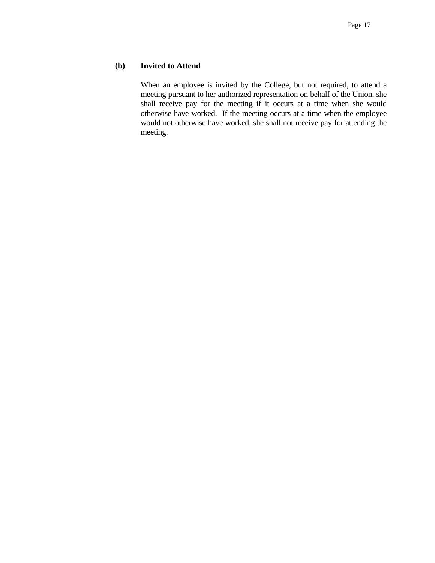## **(b) Invited to Attend**

When an employee is invited by the College, but not required, to attend a meeting pursuant to her authorized representation on behalf of the Union, she shall receive pay for the meeting if it occurs at a time when she would otherwise have worked. If the meeting occurs at a time when the employee would not otherwise have worked, she shall not receive pay for attending the meeting.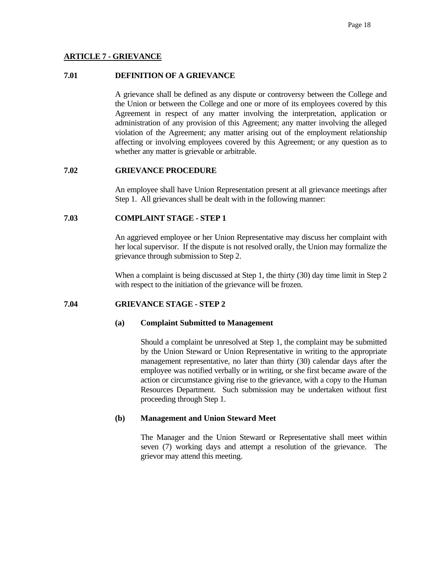## **ARTICLE 7 - GRIEVANCE**

## **7.01 DEFINITION OF A GRIEVANCE**

 A grievance shall be defined as any dispute or controversy between the College and the Union or between the College and one or more of its employees covered by this Agreement in respect of any matter involving the interpretation, application or administration of any provision of this Agreement; any matter involving the alleged violation of the Agreement; any matter arising out of the employment relationship affecting or involving employees covered by this Agreement; or any question as to whether any matter is grievable or arbitrable.

## **7.02 GRIEVANCE PROCEDURE**

 An employee shall have Union Representation present at all grievance meetings after Step 1. All grievances shall be dealt with in the following manner:

# **7.03 COMPLAINT STAGE - STEP 1**

 An aggrieved employee or her Union Representative may discuss her complaint with her local supervisor. If the dispute is not resolved orally, the Union may formalize the grievance through submission to Step 2.

 When a complaint is being discussed at Step 1, the thirty (30) day time limit in Step 2 with respect to the initiation of the grievance will be frozen.

## **7.04 GRIEVANCE STAGE - STEP 2**

#### **(a) Complaint Submitted to Management**

 Should a complaint be unresolved at Step 1, the complaint may be submitted by the Union Steward or Union Representative in writing to the appropriate management representative, no later than thirty (30) calendar days after the employee was notified verbally or in writing, or she first became aware of the action or circumstance giving rise to the grievance, with a copy to the Human Resources Department. Such submission may be undertaken without first proceeding through Step 1.

## **(b) Management and Union Steward Meet**

 The Manager and the Union Steward or Representative shall meet within seven (7) working days and attempt a resolution of the grievance. The grievor may attend this meeting.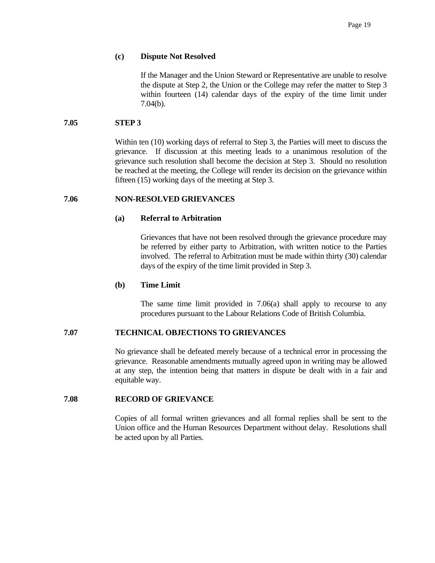#### **(c) Dispute Not Resolved**

 If the Manager and the Union Steward or Representative are unable to resolve the dispute at Step 2, the Union or the College may refer the matter to Step 3 within fourteen (14) calendar days of the expiry of the time limit under 7.04(b).

#### **7.05 STEP 3**

Within ten (10) working days of referral to Step 3, the Parties will meet to discuss the grievance. If discussion at this meeting leads to a unanimous resolution of the grievance such resolution shall become the decision at Step 3. Should no resolution be reached at the meeting, the College will render its decision on the grievance within fifteen (15) working days of the meeting at Step 3.

## **7.06 NON-RESOLVED GRIEVANCES**

#### **(a) Referral to Arbitration**

 Grievances that have not been resolved through the grievance procedure may be referred by either party to Arbitration, with written notice to the Parties involved. The referral to Arbitration must be made within thirty (30) calendar days of the expiry of the time limit provided in Step 3.

## **(b) Time Limit**

 The same time limit provided in 7.06(a) shall apply to recourse to any procedures pursuant to the Labour Relations Code of British Columbia.

## **7.07 TECHNICAL OBJECTIONS TO GRIEVANCES**

 No grievance shall be defeated merely because of a technical error in processing the grievance. Reasonable amendments mutually agreed upon in writing may be allowed at any step, the intention being that matters in dispute be dealt with in a fair and equitable way.

#### **7.08 RECORD OF GRIEVANCE**

 Copies of all formal written grievances and all formal replies shall be sent to the Union office and the Human Resources Department without delay. Resolutions shall be acted upon by all Parties.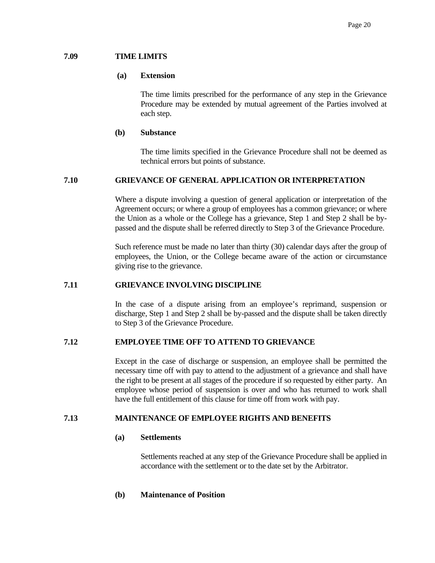## **7.09 TIME LIMITS**

## **(a) Extension**

 The time limits prescribed for the performance of any step in the Grievance Procedure may be extended by mutual agreement of the Parties involved at each step.

## **(b) Substance**

 The time limits specified in the Grievance Procedure shall not be deemed as technical errors but points of substance.

# **7.10 GRIEVANCE OF GENERAL APPLICATION OR INTERPRETATION**

 Where a dispute involving a question of general application or interpretation of the Agreement occurs; or where a group of employees has a common grievance; or where the Union as a whole or the College has a grievance, Step 1 and Step 2 shall be bypassed and the dispute shall be referred directly to Step 3 of the Grievance Procedure.

 Such reference must be made no later than thirty (30) calendar days after the group of employees, the Union, or the College became aware of the action or circumstance giving rise to the grievance.

## **7.11 GRIEVANCE INVOLVING DISCIPLINE**

 In the case of a dispute arising from an employee's reprimand, suspension or discharge, Step 1 and Step 2 shall be by-passed and the dispute shall be taken directly to Step 3 of the Grievance Procedure.

# **7.12 EMPLOYEE TIME OFF TO ATTEND TO GRIEVANCE**

 Except in the case of discharge or suspension, an employee shall be permitted the necessary time off with pay to attend to the adjustment of a grievance and shall have the right to be present at all stages of the procedure if so requested by either party. An employee whose period of suspension is over and who has returned to work shall have the full entitlement of this clause for time off from work with pay.

# **7.13 MAINTENANCE OF EMPLOYEE RIGHTS AND BENEFITS**

# **(a) Settlements**

 Settlements reached at any step of the Grievance Procedure shall be applied in accordance with the settlement or to the date set by the Arbitrator.

## **(b) Maintenance of Position**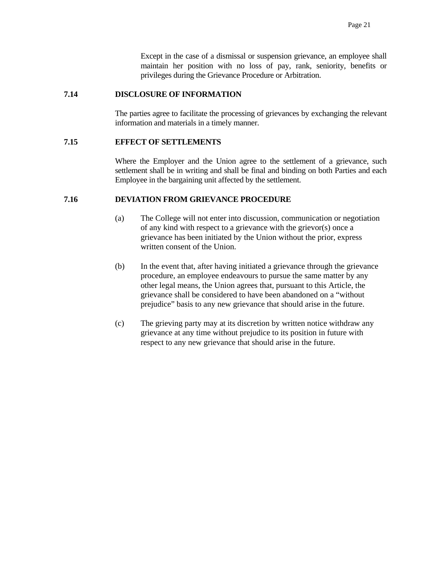Except in the case of a dismissal or suspension grievance, an employee shall maintain her position with no loss of pay, rank, seniority, benefits or privileges during the Grievance Procedure or Arbitration.

### **7.14 DISCLOSURE OF INFORMATION**

 The parties agree to facilitate the processing of grievances by exchanging the relevant information and materials in a timely manner.

# **7.15 EFFECT OF SETTLEMENTS**

 Where the Employer and the Union agree to the settlement of a grievance, such settlement shall be in writing and shall be final and binding on both Parties and each Employee in the bargaining unit affected by the settlement.

# **7.16 DEVIATION FROM GRIEVANCE PROCEDURE**

- (a) The College will not enter into discussion, communication or negotiation of any kind with respect to a grievance with the grievor(s) once a grievance has been initiated by the Union without the prior, express written consent of the Union.
- (b) In the event that, after having initiated a grievance through the grievance procedure, an employee endeavours to pursue the same matter by any other legal means, the Union agrees that, pursuant to this Article, the grievance shall be considered to have been abandoned on a "without prejudice" basis to any new grievance that should arise in the future.
- (c) The grieving party may at its discretion by written notice withdraw any grievance at any time without prejudice to its position in future with respect to any new grievance that should arise in the future.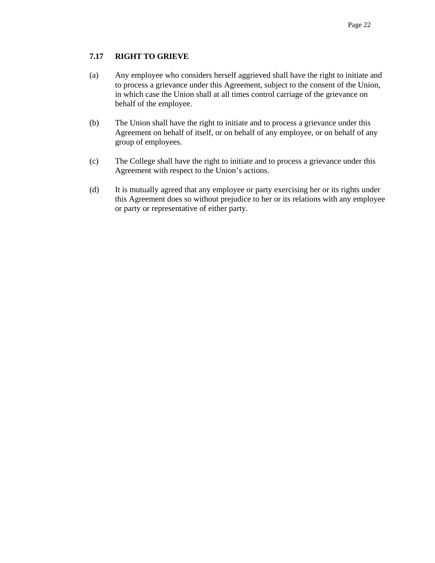# **7.17 RIGHT TO GRIEVE**

- (a) Any employee who considers herself aggrieved shall have the right to initiate and to process a grievance under this Agreement, subject to the consent of the Union, in which case the Union shall at all times control carriage of the grievance on behalf of the employee.
- (b) The Union shall have the right to initiate and to process a grievance under this Agreement on behalf of itself, or on behalf of any employee, or on behalf of any group of employees.
- (c) The College shall have the right to initiate and to process a grievance under this Agreement with respect to the Union's actions.
- (d) It is mutually agreed that any employee or party exercising her or its rights under this Agreement does so without prejudice to her or its relations with any employee or party or representative of either party.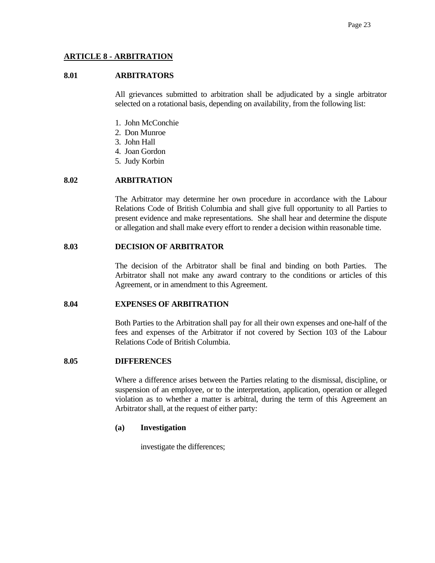# **ARTICLE 8 - ARBITRATION**

# **8.01 ARBITRATORS**

 All grievances submitted to arbitration shall be adjudicated by a single arbitrator selected on a rotational basis, depending on availability, from the following list:

- 1. John McConchie
- 2. Don Munroe
- 3. John Hall
- 4. Joan Gordon
- 5. Judy Korbin

# **8.02 ARBITRATION**

 The Arbitrator may determine her own procedure in accordance with the Labour Relations Code of British Columbia and shall give full opportunity to all Parties to present evidence and make representations. She shall hear and determine the dispute or allegation and shall make every effort to render a decision within reasonable time.

# **8.03 DECISION OF ARBITRATOR**

 The decision of the Arbitrator shall be final and binding on both Parties. The Arbitrator shall not make any award contrary to the conditions or articles of this Agreement, or in amendment to this Agreement.

#### **8.04 EXPENSES OF ARBITRATION**

 Both Parties to the Arbitration shall pay for all their own expenses and one-half of the fees and expenses of the Arbitrator if not covered by Section 103 of the Labour Relations Code of British Columbia.

#### **8.05 DIFFERENCES**

 Where a difference arises between the Parties relating to the dismissal, discipline, or suspension of an employee, or to the interpretation, application, operation or alleged violation as to whether a matter is arbitral, during the term of this Agreement an Arbitrator shall, at the request of either party:

#### **(a) Investigation**

investigate the differences;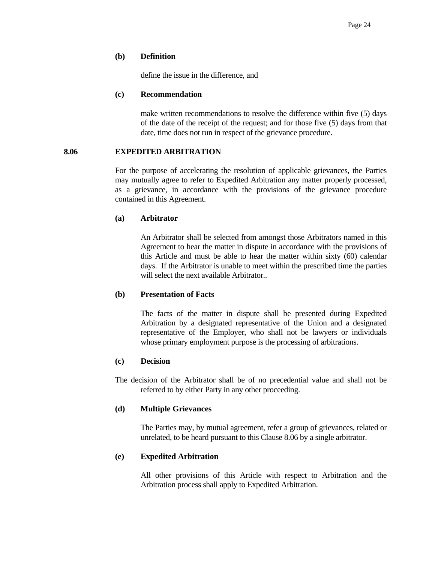## **(b) Definition**

define the issue in the difference, and

#### **(c) Recommendation**

 make written recommendations to resolve the difference within five (5) days of the date of the receipt of the request; and for those five (5) days from that date, time does not run in respect of the grievance procedure.

# **8.06 EXPEDITED ARBITRATION**

 For the purpose of accelerating the resolution of applicable grievances, the Parties may mutually agree to refer to Expedited Arbitration any matter properly processed, as a grievance, in accordance with the provisions of the grievance procedure contained in this Agreement.

# **(a) Arbitrator**

 An Arbitrator shall be selected from amongst those Arbitrators named in this Agreement to hear the matter in dispute in accordance with the provisions of this Article and must be able to hear the matter within sixty (60) calendar days. If the Arbitrator is unable to meet within the prescribed time the parties will select the next available Arbitrator..

# **(b) Presentation of Facts**

 The facts of the matter in dispute shall be presented during Expedited Arbitration by a designated representative of the Union and a designated representative of the Employer, who shall not be lawyers or individuals whose primary employment purpose is the processing of arbitrations.

# **(c) Decision**

 The decision of the Arbitrator shall be of no precedential value and shall not be referred to by either Party in any other proceeding.

# **(d) Multiple Grievances**

 The Parties may, by mutual agreement, refer a group of grievances, related or unrelated, to be heard pursuant to this Clause 8.06 by a single arbitrator.

# **(e) Expedited Arbitration**

 All other provisions of this Article with respect to Arbitration and the Arbitration process shall apply to Expedited Arbitration.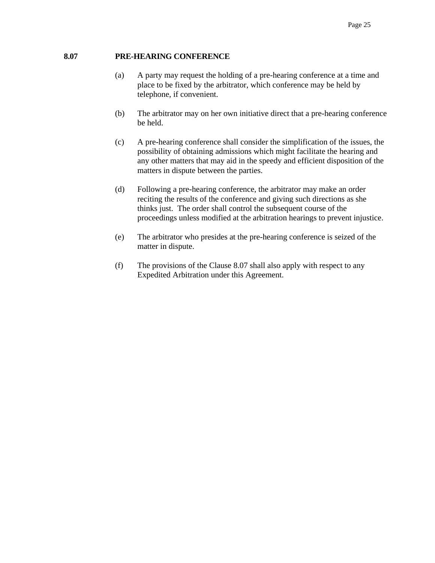# **8.07 PRE-HEARING CONFERENCE**

- (a) A party may request the holding of a pre-hearing conference at a time and place to be fixed by the arbitrator, which conference may be held by telephone, if convenient.
- (b) The arbitrator may on her own initiative direct that a pre-hearing conference be held.
- (c) A pre-hearing conference shall consider the simplification of the issues, the possibility of obtaining admissions which might facilitate the hearing and any other matters that may aid in the speedy and efficient disposition of the matters in dispute between the parties.
- (d) Following a pre-hearing conference, the arbitrator may make an order reciting the results of the conference and giving such directions as she thinks just. The order shall control the subsequent course of the proceedings unless modified at the arbitration hearings to prevent injustice.
- (e) The arbitrator who presides at the pre-hearing conference is seized of the matter in dispute.
- (f) The provisions of the Clause 8.07 shall also apply with respect to any Expedited Arbitration under this Agreement.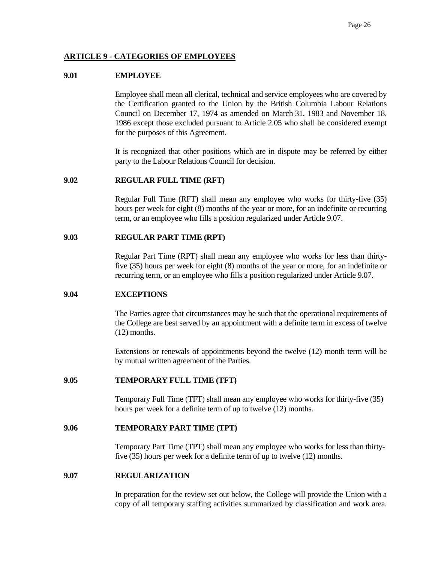# **ARTICLE 9 - CATEGORIES OF EMPLOYEES**

## **9.01 EMPLOYEE**

 Employee shall mean all clerical, technical and service employees who are covered by the Certification granted to the Union by the British Columbia Labour Relations Council on December 17, 1974 as amended on March 31, 1983 and November 18, 1986 except those excluded pursuant to Article 2.05 who shall be considered exempt for the purposes of this Agreement.

 It is recognized that other positions which are in dispute may be referred by either party to the Labour Relations Council for decision.

# **9.02 REGULAR FULL TIME (RFT)**

 Regular Full Time (RFT) shall mean any employee who works for thirty-five (35) hours per week for eight (8) months of the year or more, for an indefinite or recurring term, or an employee who fills a position regularized under Article 9.07.

### **9.03 REGULAR PART TIME (RPT)**

 Regular Part Time (RPT) shall mean any employee who works for less than thirtyfive (35) hours per week for eight (8) months of the year or more, for an indefinite or recurring term, or an employee who fills a position regularized under Article 9.07.

#### **9.04 EXCEPTIONS**

 The Parties agree that circumstances may be such that the operational requirements of the College are best served by an appointment with a definite term in excess of twelve (12) months.

 Extensions or renewals of appointments beyond the twelve (12) month term will be by mutual written agreement of the Parties.

# **9.05 TEMPORARY FULL TIME (TFT)**

Temporary Full Time (TFT) shall mean any employee who works for thirty-five (35) hours per week for a definite term of up to twelve (12) months.

### **9.06 TEMPORARY PART TIME (TPT)**

Temporary Part Time (TPT) shall mean any employee who works for less than thirtyfive (35) hours per week for a definite term of up to twelve (12) months.

#### **9.07 REGULARIZATION**

 In preparation for the review set out below, the College will provide the Union with a copy of all temporary staffing activities summarized by classification and work area.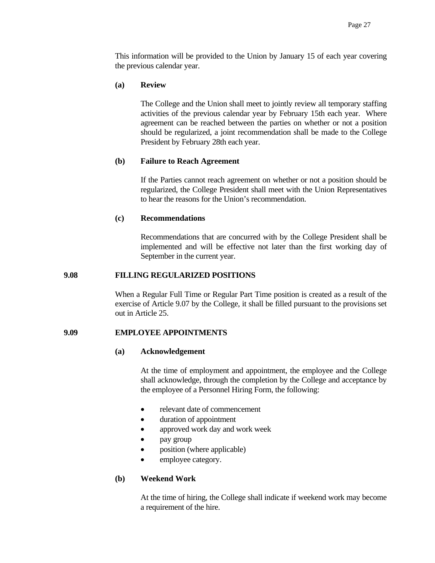This information will be provided to the Union by January 15 of each year covering the previous calendar year.

### **(a) Review**

 The College and the Union shall meet to jointly review all temporary staffing activities of the previous calendar year by February 15th each year. Where agreement can be reached between the parties on whether or not a position should be regularized, a joint recommendation shall be made to the College President by February 28th each year.

### **(b) Failure to Reach Agreement**

 If the Parties cannot reach agreement on whether or not a position should be regularized, the College President shall meet with the Union Representatives to hear the reasons for the Union's recommendation.

### **(c) Recommendations**

 Recommendations that are concurred with by the College President shall be implemented and will be effective not later than the first working day of September in the current year.

## **9.08 FILLING REGULARIZED POSITIONS**

 When a Regular Full Time or Regular Part Time position is created as a result of the exercise of Article 9.07 by the College, it shall be filled pursuant to the provisions set out in Article 25.

# **9.09 EMPLOYEE APPOINTMENTS**

#### **(a) Acknowledgement**

 At the time of employment and appointment, the employee and the College shall acknowledge, through the completion by the College and acceptance by the employee of a Personnel Hiring Form, the following:

- relevant date of commencement
- duration of appointment
- approved work day and work week
- pay group
- position (where applicable)
- employee category.

# **(b) Weekend Work**

 At the time of hiring, the College shall indicate if weekend work may become a requirement of the hire.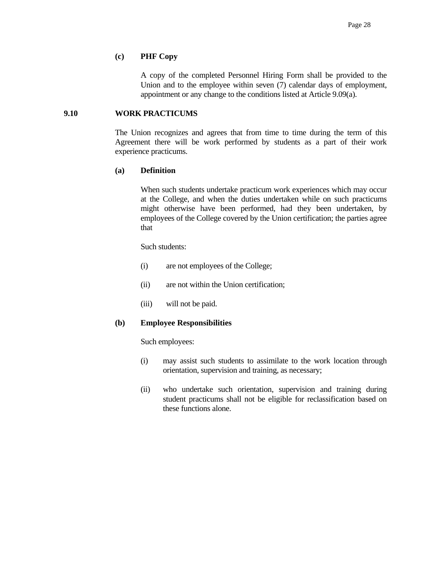### **(c) PHF Copy**

 A copy of the completed Personnel Hiring Form shall be provided to the Union and to the employee within seven (7) calendar days of employment, appointment or any change to the conditions listed at Article 9.09(a).

# **9.10 WORK PRACTICUMS**

 The Union recognizes and agrees that from time to time during the term of this Agreement there will be work performed by students as a part of their work experience practicums.

# **(a) Definition**

 When such students undertake practicum work experiences which may occur at the College, and when the duties undertaken while on such practicums might otherwise have been performed, had they been undertaken, by employees of the College covered by the Union certification; the parties agree that

Such students:

- (i) are not employees of the College;
- (ii) are not within the Union certification;
- (iii) will not be paid.

# **(b) Employee Responsibilities**

Such employees:

- (i) may assist such students to assimilate to the work location through orientation, supervision and training, as necessary;
- (ii) who undertake such orientation, supervision and training during student practicums shall not be eligible for reclassification based on these functions alone.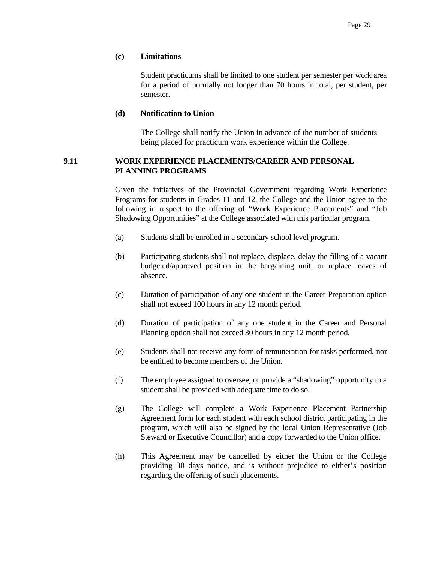# **(c) Limitations**

 Student practicums shall be limited to one student per semester per work area for a period of normally not longer than 70 hours in total, per student, per semester.

### **(d) Notification to Union**

 The College shall notify the Union in advance of the number of students being placed for practicum work experience within the College.

# **9.11 WORK EXPERIENCE PLACEMENTS/CAREER AND PERSONAL PLANNING PROGRAMS**

Given the initiatives of the Provincial Government regarding Work Experience Programs for students in Grades 11 and 12, the College and the Union agree to the following in respect to the offering of "Work Experience Placements" and "Job Shadowing Opportunities" at the College associated with this particular program.

- (a) Students shall be enrolled in a secondary school level program.
- (b) Participating students shall not replace, displace, delay the filling of a vacant budgeted/approved position in the bargaining unit, or replace leaves of absence.
- (c) Duration of participation of any one student in the Career Preparation option shall not exceed 100 hours in any 12 month period.
- (d) Duration of participation of any one student in the Career and Personal Planning option shall not exceed 30 hours in any 12 month period.
- (e) Students shall not receive any form of remuneration for tasks performed, nor be entitled to become members of the Union.
- (f) The employee assigned to oversee, or provide a "shadowing" opportunity to a student shall be provided with adequate time to do so.
- (g) The College will complete a Work Experience Placement Partnership Agreement form for each student with each school district participating in the program, which will also be signed by the local Union Representative (Job Steward or Executive Councillor) and a copy forwarded to the Union office.
- (h) This Agreement may be cancelled by either the Union or the College providing 30 days notice, and is without prejudice to either's position regarding the offering of such placements.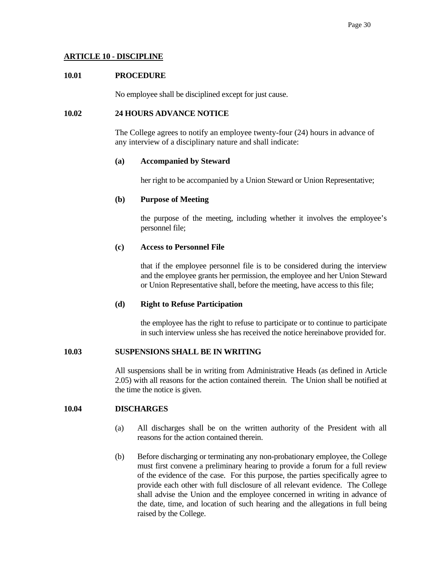# **ARTICLE 10 - DISCIPLINE**

# **10.01 PROCEDURE**

No employee shall be disciplined except for just cause.

# **10.02 24 HOURS ADVANCE NOTICE**

 The College agrees to notify an employee twenty-four (24) hours in advance of any interview of a disciplinary nature and shall indicate:

# **(a) Accompanied by Steward**

her right to be accompanied by a Union Steward or Union Representative;

# **(b) Purpose of Meeting**

 the purpose of the meeting, including whether it involves the employee's personnel file;

# **(c) Access to Personnel File**

 that if the employee personnel file is to be considered during the interview and the employee grants her permission, the employee and her Union Steward or Union Representative shall, before the meeting, have access to this file;

# **(d) Right to Refuse Participation**

 the employee has the right to refuse to participate or to continue to participate in such interview unless she has received the notice hereinabove provided for.

# **10.03 SUSPENSIONS SHALL BE IN WRITING**

 All suspensions shall be in writing from Administrative Heads (as defined in Article 2.05) with all reasons for the action contained therein. The Union shall be notified at the time the notice is given.

### **10.04 DISCHARGES**

- (a) All discharges shall be on the written authority of the President with all reasons for the action contained therein.
- (b) Before discharging or terminating any non-probationary employee, the College must first convene a preliminary hearing to provide a forum for a full review of the evidence of the case. For this purpose, the parties specifically agree to provide each other with full disclosure of all relevant evidence. The College shall advise the Union and the employee concerned in writing in advance of the date, time, and location of such hearing and the allegations in full being raised by the College.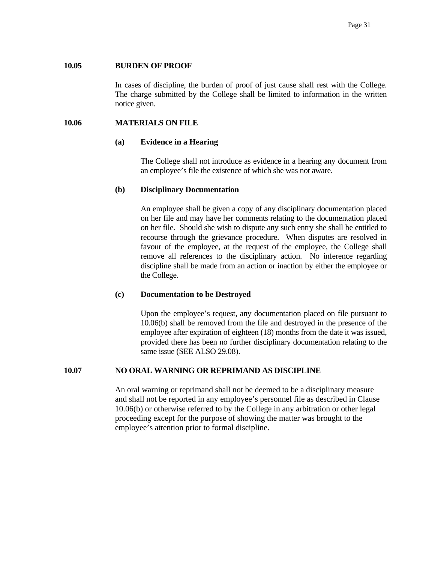### **10.05 BURDEN OF PROOF**

 In cases of discipline, the burden of proof of just cause shall rest with the College. The charge submitted by the College shall be limited to information in the written notice given.

### **10.06 MATERIALS ON FILE**

#### **(a) Evidence in a Hearing**

 The College shall not introduce as evidence in a hearing any document from an employee's file the existence of which she was not aware.

#### **(b) Disciplinary Documentation**

 An employee shall be given a copy of any disciplinary documentation placed on her file and may have her comments relating to the documentation placed on her file. Should she wish to dispute any such entry she shall be entitled to recourse through the grievance procedure. When disputes are resolved in favour of the employee, at the request of the employee, the College shall remove all references to the disciplinary action. No inference regarding discipline shall be made from an action or inaction by either the employee or the College.

#### **(c) Documentation to be Destroyed**

 Upon the employee's request, any documentation placed on file pursuant to 10.06(b) shall be removed from the file and destroyed in the presence of the employee after expiration of eighteen (18) months from the date it was issued, provided there has been no further disciplinary documentation relating to the same issue (SEE ALSO 29.08).

## **10.07 NO ORAL WARNING OR REPRIMAND AS DISCIPLINE**

An oral warning or reprimand shall not be deemed to be a disciplinary measure and shall not be reported in any employee's personnel file as described in Clause 10.06(b) or otherwise referred to by the College in any arbitration or other legal proceeding except for the purpose of showing the matter was brought to the employee's attention prior to formal discipline.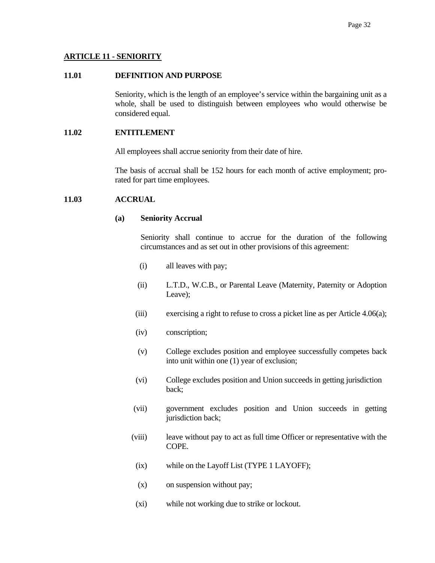# **ARTICLE 11 - SENIORITY**

### **11.01 DEFINITION AND PURPOSE**

 Seniority, which is the length of an employee's service within the bargaining unit as a whole, shall be used to distinguish between employees who would otherwise be considered equal.

## **11.02 ENTITLEMENT**

All employees shall accrue seniority from their date of hire.

 The basis of accrual shall be 152 hours for each month of active employment; prorated for part time employees.

# **11.03 ACCRUAL**

# **(a) Seniority Accrual**

 Seniority shall continue to accrue for the duration of the following circumstances and as set out in other provisions of this agreement:

- (i) all leaves with pay;
- (ii) L.T.D., W.C.B., or Parental Leave (Maternity, Paternity or Adoption Leave);
- (iii) exercising a right to refuse to cross a picket line as per Article 4.06(a);
- (iv) conscription;
- (v) College excludes position and employee successfully competes back into unit within one (1) year of exclusion;
- (vi) College excludes position and Union succeeds in getting jurisdiction back;
- (vii) government excludes position and Union succeeds in getting jurisdiction back;
- (viii) leave without pay to act as full time Officer or representative with the COPE.
- (ix) while on the Layoff List (TYPE 1 LAYOFF);
- (x) on suspension without pay;
- (xi) while not working due to strike or lockout.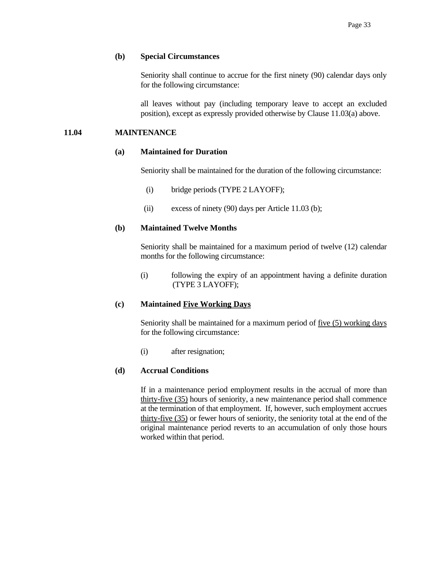# **(b) Special Circumstances**

 Seniority shall continue to accrue for the first ninety (90) calendar days only for the following circumstance:

 all leaves without pay (including temporary leave to accept an excluded position), except as expressly provided otherwise by Clause 11.03(a) above.

# **11.04 MAINTENANCE**

# **(a) Maintained for Duration**

Seniority shall be maintained for the duration of the following circumstance:

- (i) bridge periods (TYPE 2 LAYOFF);
- (ii) excess of ninety  $(90)$  days per Article 11.03 (b);

# **(b) Maintained Twelve Months**

 Seniority shall be maintained for a maximum period of twelve (12) calendar months for the following circumstance:

 (i) following the expiry of an appointment having a definite duration (TYPE 3 LAYOFF);

# **(c) Maintained Five Working Days**

Seniority shall be maintained for a maximum period of <u>five (5) working days</u> for the following circumstance:

(i) after resignation;

# **(d) Accrual Conditions**

 If in a maintenance period employment results in the accrual of more than thirty-five (35) hours of seniority, a new maintenance period shall commence at the termination of that employment. If, however, such employment accrues thirty-five (35) or fewer hours of seniority, the seniority total at the end of the original maintenance period reverts to an accumulation of only those hours worked within that period.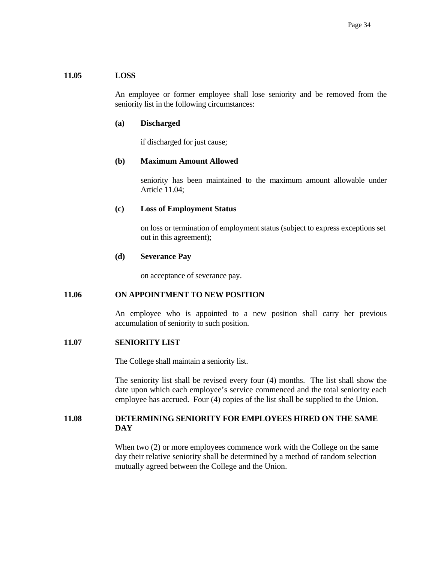# **11.05 LOSS**

 An employee or former employee shall lose seniority and be removed from the seniority list in the following circumstances:

### **(a) Discharged**

if discharged for just cause;

### **(b) Maximum Amount Allowed**

 seniority has been maintained to the maximum amount allowable under Article 11.04;

### **(c) Loss of Employment Status**

 on loss or termination of employment status (subject to express exceptions set out in this agreement);

### **(d) Severance Pay**

on acceptance of severance pay.

# **11.06 ON APPOINTMENT TO NEW POSITION**

 An employee who is appointed to a new position shall carry her previous accumulation of seniority to such position.

#### **11.07 SENIORITY LIST**

The College shall maintain a seniority list.

 The seniority list shall be revised every four (4) months. The list shall show the date upon which each employee's service commenced and the total seniority each employee has accrued. Four (4) copies of the list shall be supplied to the Union.

# **11.08 DETERMINING SENIORITY FOR EMPLOYEES HIRED ON THE SAME DAY**

When two  $(2)$  or more employees commence work with the College on the same day their relative seniority shall be determined by a method of random selection mutually agreed between the College and the Union.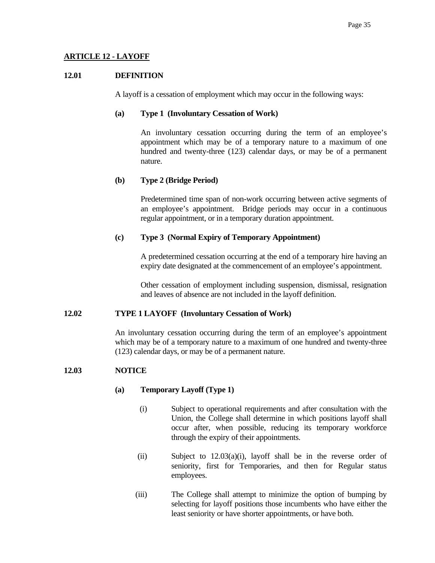# **ARTICLE 12 - LAYOFF**

### **12.01 DEFINITION**

A layoff is a cessation of employment which may occur in the following ways:

### **(a) Type 1 (Involuntary Cessation of Work)**

 An involuntary cessation occurring during the term of an employee's appointment which may be of a temporary nature to a maximum of one hundred and twenty-three (123) calendar days, or may be of a permanent nature.

### **(b) Type 2 (Bridge Period)**

 Predetermined time span of non-work occurring between active segments of an employee's appointment. Bridge periods may occur in a continuous regular appointment, or in a temporary duration appointment.

### **(c) Type 3 (Normal Expiry of Temporary Appointment)**

 A predetermined cessation occurring at the end of a temporary hire having an expiry date designated at the commencement of an employee's appointment.

 Other cessation of employment including suspension, dismissal, resignation and leaves of absence are not included in the layoff definition.

#### **12.02 TYPE 1 LAYOFF (Involuntary Cessation of Work)**

 An involuntary cessation occurring during the term of an employee's appointment which may be of a temporary nature to a maximum of one hundred and twenty-three (123) calendar days, or may be of a permanent nature.

#### **12.03 NOTICE**

# **(a) Temporary Layoff (Type 1)**

- (i) Subject to operational requirements and after consultation with the Union, the College shall determine in which positions layoff shall occur after, when possible, reducing its temporary workforce through the expiry of their appointments.
- (ii) Subject to 12.03(a)(i), layoff shall be in the reverse order of seniority, first for Temporaries, and then for Regular status employees.
- (iii) The College shall attempt to minimize the option of bumping by selecting for layoff positions those incumbents who have either the least seniority or have shorter appointments, or have both.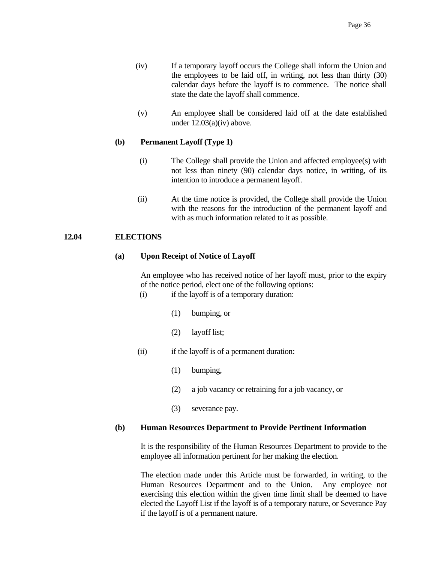- (iv) If a temporary layoff occurs the College shall inform the Union and the employees to be laid off, in writing, not less than thirty (30) calendar days before the layoff is to commence. The notice shall state the date the layoff shall commence.
- (v) An employee shall be considered laid off at the date established under 12.03(a)(iv) above.

# **(b) Permanent Layoff (Type 1)**

- (i) The College shall provide the Union and affected employee(s) with not less than ninety (90) calendar days notice, in writing, of its intention to introduce a permanent layoff.
- (ii) At the time notice is provided, the College shall provide the Union with the reasons for the introduction of the permanent layoff and with as much information related to it as possible.

### **12.04 ELECTIONS**

### **(a) Upon Receipt of Notice of Layoff**

 An employee who has received notice of her layoff must, prior to the expiry of the notice period, elect one of the following options:

- (i) if the layoff is of a temporary duration:
	- (1) bumping, or
	- (2) layoff list;
- (ii) if the layoff is of a permanent duration:
	- (1) bumping,
	- (2) a job vacancy or retraining for a job vacancy, or
	- (3) severance pay.

#### **(b) Human Resources Department to Provide Pertinent Information**

 It is the responsibility of the Human Resources Department to provide to the employee all information pertinent for her making the election.

 The election made under this Article must be forwarded, in writing, to the Human Resources Department and to the Union. Any employee not exercising this election within the given time limit shall be deemed to have elected the Layoff List if the layoff is of a temporary nature, or Severance Pay if the layoff is of a permanent nature.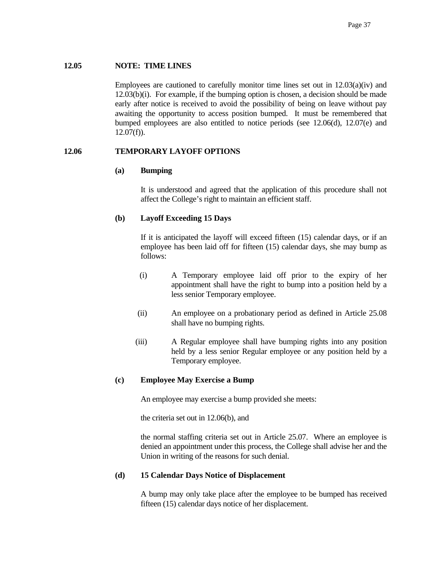## **12.05 NOTE: TIME LINES**

Employees are cautioned to carefully monitor time lines set out in  $12.03(a)(iv)$  and 12.03(b)(i). For example, if the bumping option is chosen, a decision should be made early after notice is received to avoid the possibility of being on leave without pay awaiting the opportunity to access position bumped. It must be remembered that bumped employees are also entitled to notice periods (see 12.06(d), 12.07(e) and  $12.07(f)$ ).

### **12.06 TEMPORARY LAYOFF OPTIONS**

### **(a) Bumping**

 It is understood and agreed that the application of this procedure shall not affect the College's right to maintain an efficient staff.

# **(b) Layoff Exceeding 15 Days**

 If it is anticipated the layoff will exceed fifteen (15) calendar days, or if an employee has been laid off for fifteen (15) calendar days, she may bump as follows:

- (i) A Temporary employee laid off prior to the expiry of her appointment shall have the right to bump into a position held by a less senior Temporary employee.
- (ii) An employee on a probationary period as defined in Article 25.08 shall have no bumping rights.
- (iii) A Regular employee shall have bumping rights into any position held by a less senior Regular employee or any position held by a Temporary employee.

# **(c) Employee May Exercise a Bump**

An employee may exercise a bump provided she meets:

the criteria set out in 12.06(b), and

 the normal staffing criteria set out in Article 25.07. Where an employee is denied an appointment under this process, the College shall advise her and the Union in writing of the reasons for such denial.

# **(d) 15 Calendar Days Notice of Displacement**

 A bump may only take place after the employee to be bumped has received fifteen (15) calendar days notice of her displacement.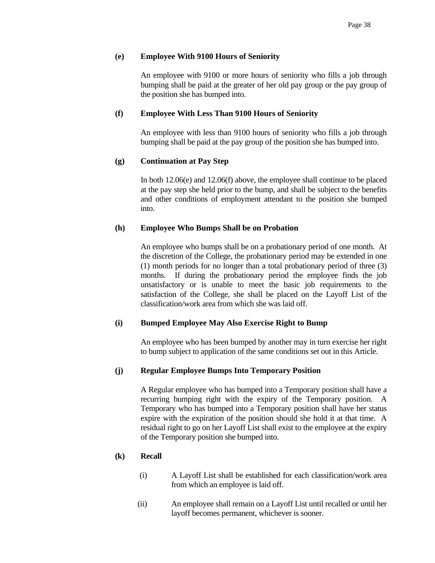## **(e) Employee With 9100 Hours of Seniority**

 An employee with 9100 or more hours of seniority who fills a job through bumping shall be paid at the greater of her old pay group or the pay group of the position she has bumped into.

## **(f) Employee With Less Than 9100 Hours of Seniority**

 An employee with less than 9100 hours of seniority who fills a job through bumping shall be paid at the pay group of the position she has bumped into.

# **(g) Continuation at Pay Step**

 In both 12.06(e) and 12.06(f) above, the employee shall continue to be placed at the pay step she held prior to the bump, and shall be subject to the benefits and other conditions of employment attendant to the position she bumped into.

### **(h) Employee Who Bumps Shall be on Probation**

 An employee who bumps shall be on a probationary period of one month. At the discretion of the College, the probationary period may be extended in one (1) month periods for no longer than a total probationary period of three (3) months. If during the probationary period the employee finds the job unsatisfactory or is unable to meet the basic job requirements to the satisfaction of the College, she shall be placed on the Layoff List of the classification/work area from which she was laid off.

# **(i) Bumped Employee May Also Exercise Right to Bump**

 An employee who has been bumped by another may in turn exercise her right to bump subject to application of the same conditions set out in this Article.

#### **(j) Regular Employee Bumps Into Temporary Position**

 A Regular employee who has bumped into a Temporary position shall have a recurring bumping right with the expiry of the Temporary position. A Temporary who has bumped into a Temporary position shall have her status expire with the expiration of the position should she hold it at that time. A residual right to go on her Layoff List shall exist to the employee at the expiry of the Temporary position she bumped into.

#### **(k) Recall**

- (i) A Layoff List shall be established for each classification/work area from which an employee is laid off.
- (ii) An employee shall remain on a Layoff List until recalled or until her layoff becomes permanent, whichever is sooner.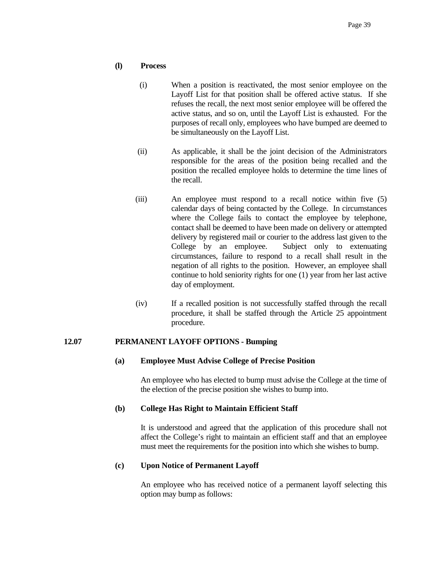# **(l) Process**

- (i) When a position is reactivated, the most senior employee on the Layoff List for that position shall be offered active status. If she refuses the recall, the next most senior employee will be offered the active status, and so on, until the Layoff List is exhausted. For the purposes of recall only, employees who have bumped are deemed to be simultaneously on the Layoff List.
- (ii) As applicable, it shall be the joint decision of the Administrators responsible for the areas of the position being recalled and the position the recalled employee holds to determine the time lines of the recall.
- (iii) An employee must respond to a recall notice within five (5) calendar days of being contacted by the College. In circumstances where the College fails to contact the employee by telephone, contact shall be deemed to have been made on delivery or attempted delivery by registered mail or courier to the address last given to the College by an employee. Subject only to extenuating circumstances, failure to respond to a recall shall result in the negation of all rights to the position. However, an employee shall continue to hold seniority rights for one (1) year from her last active day of employment.
- (iv) If a recalled position is not successfully staffed through the recall procedure, it shall be staffed through the Article 25 appointment procedure.

# **12.07 PERMANENT LAYOFF OPTIONS - Bumping**

# **(a) Employee Must Advise College of Precise Position**

 An employee who has elected to bump must advise the College at the time of the election of the precise position she wishes to bump into.

# **(b) College Has Right to Maintain Efficient Staff**

 It is understood and agreed that the application of this procedure shall not affect the College's right to maintain an efficient staff and that an employee must meet the requirements for the position into which she wishes to bump.

# **(c) Upon Notice of Permanent Layoff**

 An employee who has received notice of a permanent layoff selecting this option may bump as follows: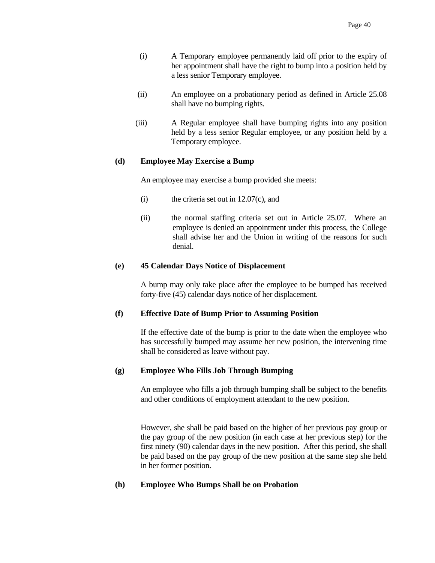- (i) A Temporary employee permanently laid off prior to the expiry of her appointment shall have the right to bump into a position held by a less senior Temporary employee.
- (ii) An employee on a probationary period as defined in Article 25.08 shall have no bumping rights.
- (iii) A Regular employee shall have bumping rights into any position held by a less senior Regular employee, or any position held by a Temporary employee.

### **(d) Employee May Exercise a Bump**

An employee may exercise a bump provided she meets:

- (i) the criteria set out in 12.07(c), and
- (ii) the normal staffing criteria set out in Article 25.07. Where an employee is denied an appointment under this process, the College shall advise her and the Union in writing of the reasons for such denial.

# **(e) 45 Calendar Days Notice of Displacement**

 A bump may only take place after the employee to be bumped has received forty-five (45) calendar days notice of her displacement.

# **(f) Effective Date of Bump Prior to Assuming Position**

 If the effective date of the bump is prior to the date when the employee who has successfully bumped may assume her new position, the intervening time shall be considered as leave without pay.

# **(g) Employee Who Fills Job Through Bumping**

 An employee who fills a job through bumping shall be subject to the benefits and other conditions of employment attendant to the new position.

 However, she shall be paid based on the higher of her previous pay group or the pay group of the new position (in each case at her previous step) for the first ninety (90) calendar days in the new position. After this period, she shall be paid based on the pay group of the new position at the same step she held in her former position.

# **(h) Employee Who Bumps Shall be on Probation**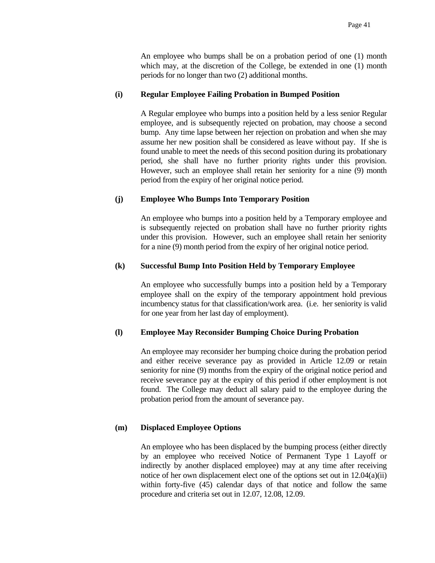An employee who bumps shall be on a probation period of one (1) month which may, at the discretion of the College, be extended in one (1) month periods for no longer than two (2) additional months.

#### **(i) Regular Employee Failing Probation in Bumped Position**

 A Regular employee who bumps into a position held by a less senior Regular employee, and is subsequently rejected on probation, may choose a second bump. Any time lapse between her rejection on probation and when she may assume her new position shall be considered as leave without pay. If she is found unable to meet the needs of this second position during its probationary period, she shall have no further priority rights under this provision. However, such an employee shall retain her seniority for a nine (9) month period from the expiry of her original notice period.

#### **(j) Employee Who Bumps Into Temporary Position**

 An employee who bumps into a position held by a Temporary employee and is subsequently rejected on probation shall have no further priority rights under this provision. However, such an employee shall retain her seniority for a nine (9) month period from the expiry of her original notice period.

#### **(k) Successful Bump Into Position Held by Temporary Employee**

 An employee who successfully bumps into a position held by a Temporary employee shall on the expiry of the temporary appointment hold previous incumbency status for that classification/work area. (i.e. her seniority is valid for one year from her last day of employment).

## **(l) Employee May Reconsider Bumping Choice During Probation**

 An employee may reconsider her bumping choice during the probation period and either receive severance pay as provided in Article 12.09 or retain seniority for nine (9) months from the expiry of the original notice period and receive severance pay at the expiry of this period if other employment is not found. The College may deduct all salary paid to the employee during the probation period from the amount of severance pay.

#### **(m) Displaced Employee Options**

 An employee who has been displaced by the bumping process (either directly by an employee who received Notice of Permanent Type 1 Layoff or indirectly by another displaced employee) may at any time after receiving notice of her own displacement elect one of the options set out in 12.04(a)(ii) within forty-five (45) calendar days of that notice and follow the same procedure and criteria set out in 12.07, 12.08, 12.09.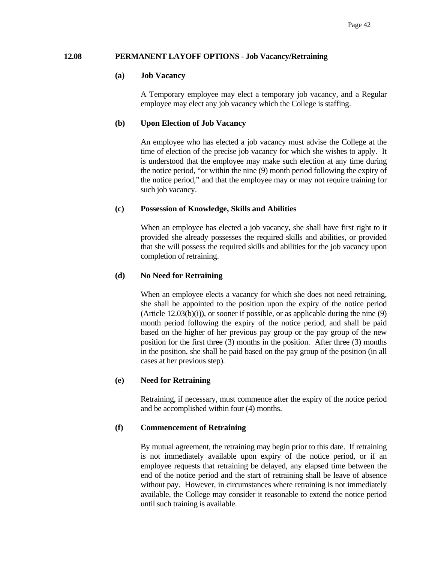#### **12.08 PERMANENT LAYOFF OPTIONS - Job Vacancy/Retraining**

#### **(a) Job Vacancy**

 A Temporary employee may elect a temporary job vacancy, and a Regular employee may elect any job vacancy which the College is staffing.

# **(b) Upon Election of Job Vacancy**

 An employee who has elected a job vacancy must advise the College at the time of election of the precise job vacancy for which she wishes to apply. It is understood that the employee may make such election at any time during the notice period, "or within the nine (9) month period following the expiry of the notice period," and that the employee may or may not require training for such job vacancy.

### **(c) Possession of Knowledge, Skills and Abilities**

 When an employee has elected a job vacancy, she shall have first right to it provided she already possesses the required skills and abilities, or provided that she will possess the required skills and abilities for the job vacancy upon completion of retraining.

# **(d) No Need for Retraining**

When an employee elects a vacancy for which she does not need retraining, she shall be appointed to the position upon the expiry of the notice period (Article  $12.03(b)(i)$ ), or sooner if possible, or as applicable during the nine (9) month period following the expiry of the notice period, and shall be paid based on the higher of her previous pay group or the pay group of the new position for the first three (3) months in the position. After three (3) months in the position, she shall be paid based on the pay group of the position (in all cases at her previous step).

#### **(e) Need for Retraining**

 Retraining, if necessary, must commence after the expiry of the notice period and be accomplished within four (4) months.

# **(f) Commencement of Retraining**

 By mutual agreement, the retraining may begin prior to this date. If retraining is not immediately available upon expiry of the notice period, or if an employee requests that retraining be delayed, any elapsed time between the end of the notice period and the start of retraining shall be leave of absence without pay. However, in circumstances where retraining is not immediately available, the College may consider it reasonable to extend the notice period until such training is available.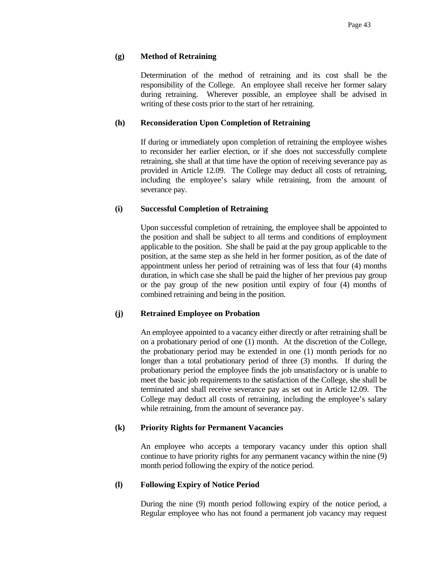# **(g) Method of Retraining**

 Determination of the method of retraining and its cost shall be the responsibility of the College. An employee shall receive her former salary during retraining. Wherever possible, an employee shall be advised in writing of these costs prior to the start of her retraining.

# **(h) Reconsideration Upon Completion of Retraining**

 If during or immediately upon completion of retraining the employee wishes to reconsider her earlier election, or if she does not successfully complete retraining, she shall at that time have the option of receiving severance pay as provided in Article 12.09. The College may deduct all costs of retraining, including the employee's salary while retraining, from the amount of severance pay.

# **(i) Successful Completion of Retraining**

 Upon successful completion of retraining, the employee shall be appointed to the position and shall be subject to all terms and conditions of employment applicable to the position. She shall be paid at the pay group applicable to the position, at the same step as she held in her former position, as of the date of appointment unless her period of retraining was of less that four (4) months duration, in which case she shall be paid the higher of her previous pay group or the pay group of the new position until expiry of four (4) months of combined retraining and being in the position.

# **(j) Retrained Employee on Probation**

 An employee appointed to a vacancy either directly or after retraining shall be on a probationary period of one (1) month. At the discretion of the College, the probationary period may be extended in one (1) month periods for no longer than a total probationary period of three (3) months. If during the probationary period the employee finds the job unsatisfactory or is unable to meet the basic job requirements to the satisfaction of the College, she shall be terminated and shall receive severance pay as set out in Article 12.09. The College may deduct all costs of retraining, including the employee's salary while retraining, from the amount of severance pay.

#### **(k) Priority Rights for Permanent Vacancies**

 An employee who accepts a temporary vacancy under this option shall continue to have priority rights for any permanent vacancy within the nine (9) month period following the expiry of the notice period.

# **(l) Following Expiry of Notice Period**

 During the nine (9) month period following expiry of the notice period, a Regular employee who has not found a permanent job vacancy may request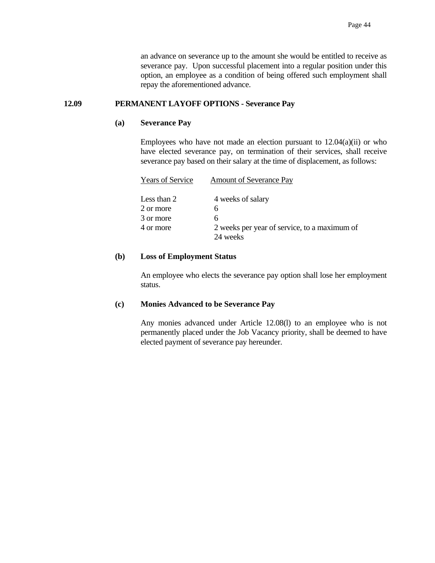an advance on severance up to the amount she would be entitled to receive as severance pay. Upon successful placement into a regular position under this option, an employee as a condition of being offered such employment shall repay the aforementioned advance.

### **12.09 PERMANENT LAYOFF OPTIONS - Severance Pay**

#### **(a) Severance Pay**

Employees who have not made an election pursuant to  $12.04(a)(ii)$  or who have elected severance pay, on termination of their services, shall receive severance pay based on their salary at the time of displacement, as follows:

| <b>Years of Service</b> | <b>Amount of Severance Pay</b>               |
|-------------------------|----------------------------------------------|
| Less than 2             | 4 weeks of salary                            |
| 2 or more               | h                                            |
| 3 or more               | h                                            |
| 4 or more               | 2 weeks per year of service, to a maximum of |
|                         | 24 weeks                                     |
|                         |                                              |

#### **(b) Loss of Employment Status**

 An employee who elects the severance pay option shall lose her employment status.

#### **(c) Monies Advanced to be Severance Pay**

 Any monies advanced under Article 12.08(l) to an employee who is not permanently placed under the Job Vacancy priority, shall be deemed to have elected payment of severance pay hereunder.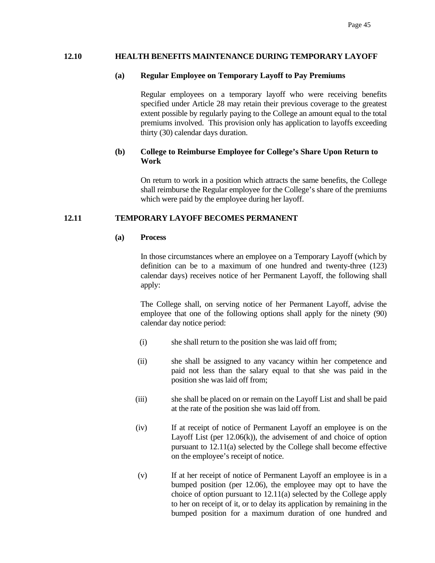### **12.10 HEALTH BENEFITS MAINTENANCE DURING TEMPORARY LAYOFF**

### **(a) Regular Employee on Temporary Layoff to Pay Premiums**

 Regular employees on a temporary layoff who were receiving benefits specified under Article 28 may retain their previous coverage to the greatest extent possible by regularly paying to the College an amount equal to the total premiums involved. This provision only has application to layoffs exceeding thirty (30) calendar days duration.

# **(b) College to Reimburse Employee for College's Share Upon Return to Work**

 On return to work in a position which attracts the same benefits, the College shall reimburse the Regular employee for the College's share of the premiums which were paid by the employee during her layoff.

### **12.11 TEMPORARY LAYOFF BECOMES PERMANENT**

#### **(a) Process**

 In those circumstances where an employee on a Temporary Layoff (which by definition can be to a maximum of one hundred and twenty-three (123) calendar days) receives notice of her Permanent Layoff, the following shall apply:

 The College shall, on serving notice of her Permanent Layoff, advise the employee that one of the following options shall apply for the ninety (90) calendar day notice period:

- (i) she shall return to the position she was laid off from;
- (ii) she shall be assigned to any vacancy within her competence and paid not less than the salary equal to that she was paid in the position she was laid off from;
- (iii) she shall be placed on or remain on the Layoff List and shall be paid at the rate of the position she was laid off from.
- (iv) If at receipt of notice of Permanent Layoff an employee is on the Layoff List (per 12.06(k)), the advisement of and choice of option pursuant to 12.11(a) selected by the College shall become effective on the employee's receipt of notice.
- (v) If at her receipt of notice of Permanent Layoff an employee is in a bumped position (per 12.06), the employee may opt to have the choice of option pursuant to 12.11(a) selected by the College apply to her on receipt of it, or to delay its application by remaining in the bumped position for a maximum duration of one hundred and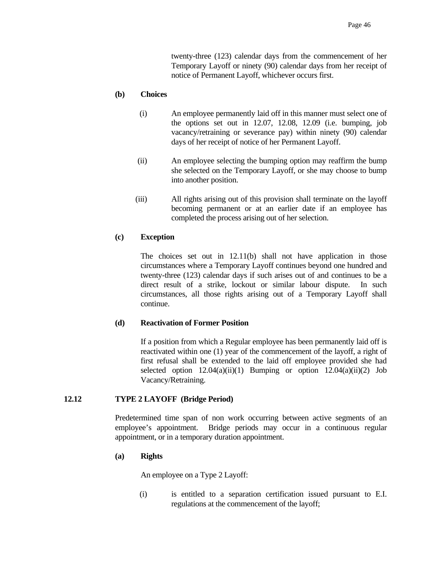twenty-three (123) calendar days from the commencement of her Temporary Layoff or ninety (90) calendar days from her receipt of notice of Permanent Layoff, whichever occurs first.

# **(b) Choices**

- (i) An employee permanently laid off in this manner must select one of the options set out in 12.07, 12.08, 12.09 (i.e. bumping, job vacancy/retraining or severance pay) within ninety (90) calendar days of her receipt of notice of her Permanent Layoff.
- (ii) An employee selecting the bumping option may reaffirm the bump she selected on the Temporary Layoff, or she may choose to bump into another position.
- (iii) All rights arising out of this provision shall terminate on the layoff becoming permanent or at an earlier date if an employee has completed the process arising out of her selection.

# **(c) Exception**

 The choices set out in 12.11(b) shall not have application in those circumstances where a Temporary Layoff continues beyond one hundred and twenty-three (123) calendar days if such arises out of and continues to be a direct result of a strike, lockout or similar labour dispute. In such circumstances, all those rights arising out of a Temporary Layoff shall continue.

#### **(d) Reactivation of Former Position**

 If a position from which a Regular employee has been permanently laid off is reactivated within one (1) year of the commencement of the layoff, a right of first refusal shall be extended to the laid off employee provided she had selected option  $12.04(a)(ii)(1)$  Bumping or option  $12.04(a)(ii)(2)$  Job Vacancy/Retraining.

# **12.12 TYPE 2 LAYOFF (Bridge Period)**

 Predetermined time span of non work occurring between active segments of an employee's appointment. Bridge periods may occur in a continuous regular appointment, or in a temporary duration appointment.

#### **(a) Rights**

An employee on a Type 2 Layoff:

 (i) is entitled to a separation certification issued pursuant to E.I. regulations at the commencement of the layoff;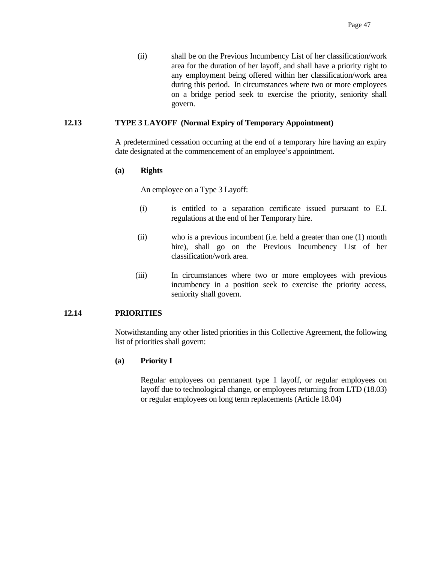(ii) shall be on the Previous Incumbency List of her classification/work area for the duration of her layoff, and shall have a priority right to any employment being offered within her classification/work area during this period. In circumstances where two or more employees on a bridge period seek to exercise the priority, seniority shall govern.

### **12.13 TYPE 3 LAYOFF (Normal Expiry of Temporary Appointment)**

 A predetermined cessation occurring at the end of a temporary hire having an expiry date designated at the commencement of an employee's appointment.

#### **(a) Rights**

An employee on a Type 3 Layoff:

- (i) is entitled to a separation certificate issued pursuant to E.I. regulations at the end of her Temporary hire.
- (ii) who is a previous incumbent (i.e. held a greater than one (1) month hire), shall go on the Previous Incumbency List of her classification/work area.
- (iii) In circumstances where two or more employees with previous incumbency in a position seek to exercise the priority access, seniority shall govern.

# **12.14 PRIORITIES**

 Notwithstanding any other listed priorities in this Collective Agreement, the following list of priorities shall govern:

#### **(a) Priority I**

 Regular employees on permanent type 1 layoff, or regular employees on layoff due to technological change, or employees returning from LTD (18.03) or regular employees on long term replacements (Article 18.04)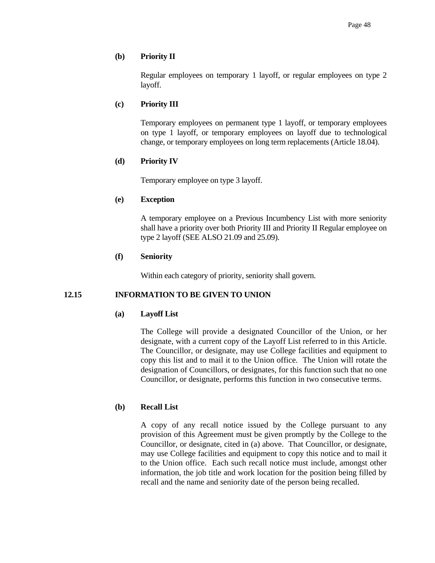# **(b) Priority II**

 Regular employees on temporary 1 layoff, or regular employees on type 2 layoff.

# **(c) Priority III**

 Temporary employees on permanent type 1 layoff, or temporary employees on type 1 layoff, or temporary employees on layoff due to technological change, or temporary employees on long term replacements (Article 18.04).

# **(d) Priority IV**

Temporary employee on type 3 layoff.

# **(e) Exception**

 A temporary employee on a Previous Incumbency List with more seniority shall have a priority over both Priority III and Priority II Regular employee on type 2 layoff (SEE ALSO 21.09 and 25.09).

# **(f) Seniority**

Within each category of priority, seniority shall govern.

# **12.15 INFORMATION TO BE GIVEN TO UNION**

# **(a) Layoff List**

 The College will provide a designated Councillor of the Union, or her designate, with a current copy of the Layoff List referred to in this Article. The Councillor, or designate, may use College facilities and equipment to copy this list and to mail it to the Union office. The Union will rotate the designation of Councillors, or designates, for this function such that no one Councillor, or designate, performs this function in two consecutive terms.

# **(b) Recall List**

 A copy of any recall notice issued by the College pursuant to any provision of this Agreement must be given promptly by the College to the Councillor, or designate, cited in (a) above. That Councillor, or designate, may use College facilities and equipment to copy this notice and to mail it to the Union office. Each such recall notice must include, amongst other information, the job title and work location for the position being filled by recall and the name and seniority date of the person being recalled.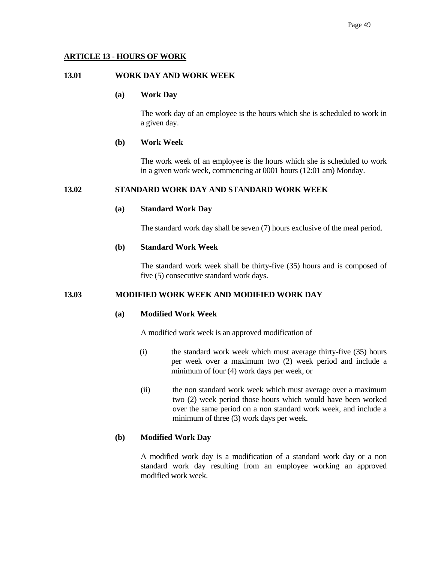# **ARTICLE 13 - HOURS OF WORK**

# **13.01 WORK DAY AND WORK WEEK**

### **(a) Work Day**

 The work day of an employee is the hours which she is scheduled to work in a given day.

### **(b) Work Week**

 The work week of an employee is the hours which she is scheduled to work in a given work week, commencing at 0001 hours (12:01 am) Monday.

# **13.02 STANDARD WORK DAY AND STANDARD WORK WEEK**

### **(a) Standard Work Day**

The standard work day shall be seven (7) hours exclusive of the meal period.

# **(b) Standard Work Week**

 The standard work week shall be thirty-five (35) hours and is composed of five (5) consecutive standard work days.

# **13.03 MODIFIED WORK WEEK AND MODIFIED WORK DAY**

### **(a) Modified Work Week**

A modified work week is an approved modification of

- (i) the standard work week which must average thirty-five (35) hours per week over a maximum two (2) week period and include a minimum of four (4) work days per week, or
- (ii) the non standard work week which must average over a maximum two (2) week period those hours which would have been worked over the same period on a non standard work week, and include a minimum of three (3) work days per week.

# **(b) Modified Work Day**

 A modified work day is a modification of a standard work day or a non standard work day resulting from an employee working an approved modified work week.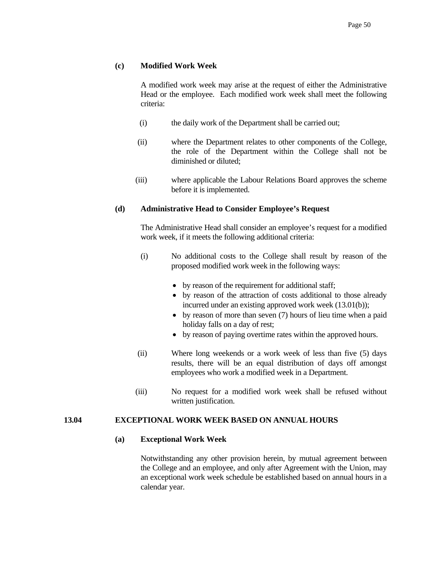## **(c) Modified Work Week**

 A modified work week may arise at the request of either the Administrative Head or the employee. Each modified work week shall meet the following criteria:

- (i) the daily work of the Department shall be carried out;
- (ii) where the Department relates to other components of the College, the role of the Department within the College shall not be diminished or diluted;
- (iii) where applicable the Labour Relations Board approves the scheme before it is implemented.

#### **(d) Administrative Head to Consider Employee's Request**

 The Administrative Head shall consider an employee's request for a modified work week, if it meets the following additional criteria:

- (i) No additional costs to the College shall result by reason of the proposed modified work week in the following ways:
	- by reason of the requirement for additional staff;
	- by reason of the attraction of costs additional to those already incurred under an existing approved work week (13.01(b));
	- by reason of more than seven (7) hours of lieu time when a paid holiday falls on a day of rest;
	- by reason of paying overtime rates within the approved hours.
- (ii) Where long weekends or a work week of less than five (5) days results, there will be an equal distribution of days off amongst employees who work a modified week in a Department.
- (iii) No request for a modified work week shall be refused without written justification.

## **13.04 EXCEPTIONAL WORK WEEK BASED ON ANNUAL HOURS**

#### **(a) Exceptional Work Week**

 Notwithstanding any other provision herein, by mutual agreement between the College and an employee, and only after Agreement with the Union, may an exceptional work week schedule be established based on annual hours in a calendar year.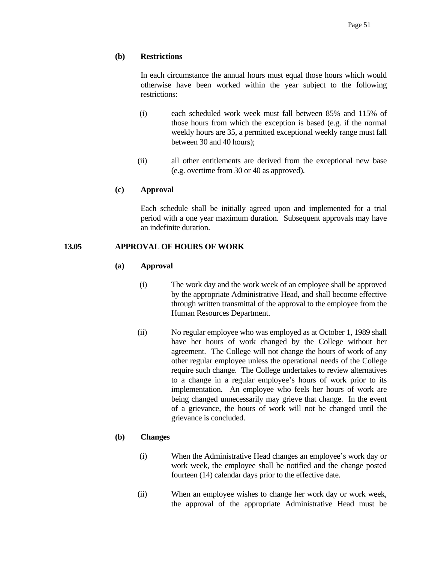### **(b) Restrictions**

 In each circumstance the annual hours must equal those hours which would otherwise have been worked within the year subject to the following restrictions:

- (i) each scheduled work week must fall between 85% and 115% of those hours from which the exception is based (e.g. if the normal weekly hours are 35, a permitted exceptional weekly range must fall between 30 and 40 hours);
- (ii) all other entitlements are derived from the exceptional new base (e.g. overtime from 30 or 40 as approved).

#### **(c) Approval**

 Each schedule shall be initially agreed upon and implemented for a trial period with a one year maximum duration. Subsequent approvals may have an indefinite duration.

## **13.05 APPROVAL OF HOURS OF WORK**

### **(a) Approval**

- (i) The work day and the work week of an employee shall be approved by the appropriate Administrative Head, and shall become effective through written transmittal of the approval to the employee from the Human Resources Department.
- (ii) No regular employee who was employed as at October 1, 1989 shall have her hours of work changed by the College without her agreement. The College will not change the hours of work of any other regular employee unless the operational needs of the College require such change. The College undertakes to review alternatives to a change in a regular employee's hours of work prior to its implementation. An employee who feels her hours of work are being changed unnecessarily may grieve that change. In the event of a grievance, the hours of work will not be changed until the grievance is concluded.

## **(b) Changes**

- (i) When the Administrative Head changes an employee's work day or work week, the employee shall be notified and the change posted fourteen (14) calendar days prior to the effective date.
- (ii) When an employee wishes to change her work day or work week, the approval of the appropriate Administrative Head must be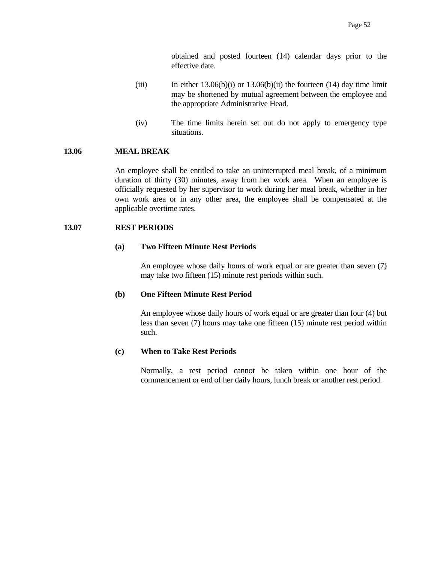obtained and posted fourteen (14) calendar days prior to the effective date.

- (iii) In either  $13.06(b)(i)$  or  $13.06(b)(ii)$  the fourteen (14) day time limit may be shortened by mutual agreement between the employee and the appropriate Administrative Head.
- (iv) The time limits herein set out do not apply to emergency type situations.

# **13.06 MEAL BREAK**

 An employee shall be entitled to take an uninterrupted meal break, of a minimum duration of thirty (30) minutes, away from her work area. When an employee is officially requested by her supervisor to work during her meal break, whether in her own work area or in any other area, the employee shall be compensated at the applicable overtime rates.

#### **13.07 REST PERIODS**

### **(a) Two Fifteen Minute Rest Periods**

 An employee whose daily hours of work equal or are greater than seven (7) may take two fifteen (15) minute rest periods within such.

### **(b) One Fifteen Minute Rest Period**

 An employee whose daily hours of work equal or are greater than four (4) but less than seven (7) hours may take one fifteen (15) minute rest period within such.

# **(c) When to Take Rest Periods**

 Normally, a rest period cannot be taken within one hour of the commencement or end of her daily hours, lunch break or another rest period.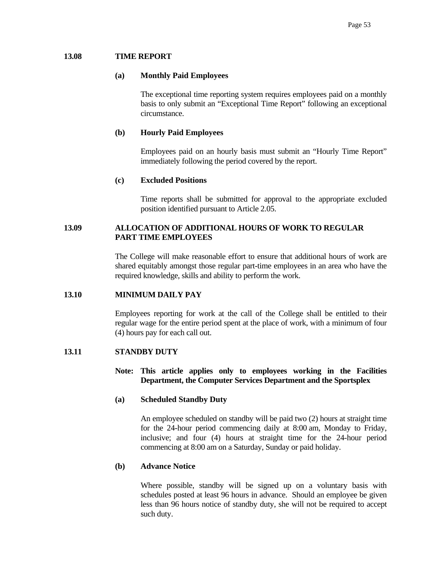## **13.08 TIME REPORT**

#### **(a) Monthly Paid Employees**

 The exceptional time reporting system requires employees paid on a monthly basis to only submit an "Exceptional Time Report" following an exceptional circumstance.

# **(b) Hourly Paid Employees**

 Employees paid on an hourly basis must submit an "Hourly Time Report" immediately following the period covered by the report.

#### **(c) Excluded Positions**

 Time reports shall be submitted for approval to the appropriate excluded position identified pursuant to Article 2.05.

# **13.09 ALLOCATION OF ADDITIONAL HOURS OF WORK TO REGULAR PART TIME EMPLOYEES**

 The College will make reasonable effort to ensure that additional hours of work are shared equitably amongst those regular part-time employees in an area who have the required knowledge, skills and ability to perform the work.

#### **13.10 MINIMUM DAILY PAY**

 Employees reporting for work at the call of the College shall be entitled to their regular wage for the entire period spent at the place of work, with a minimum of four (4) hours pay for each call out.

#### **13.11 STANDBY DUTY**

# **Note: This article applies only to employees working in the Facilities Department, the Computer Services Department and the Sportsplex**

#### **(a) Scheduled Standby Duty**

An employee scheduled on standby will be paid two (2) hours at straight time for the 24-hour period commencing daily at 8:00 am, Monday to Friday, inclusive; and four (4) hours at straight time for the 24-hour period commencing at 8:00 am on a Saturday, Sunday or paid holiday.

## **(b) Advance Notice**

Where possible, standby will be signed up on a voluntary basis with schedules posted at least 96 hours in advance. Should an employee be given less than 96 hours notice of standby duty, she will not be required to accept such duty.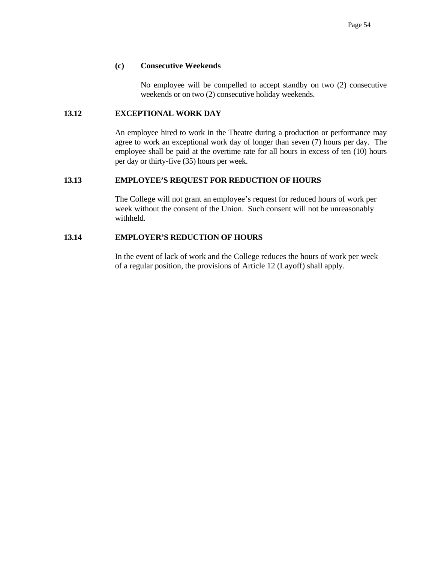## **(c) Consecutive Weekends**

 No employee will be compelled to accept standby on two (2) consecutive weekends or on two (2) consecutive holiday weekends.

# **13.12 EXCEPTIONAL WORK DAY**

An employee hired to work in the Theatre during a production or performance may agree to work an exceptional work day of longer than seven (7) hours per day. The employee shall be paid at the overtime rate for all hours in excess of ten (10) hours per day or thirty-five (35) hours per week.

### **13.13 EMPLOYEE'S REQUEST FOR REDUCTION OF HOURS**

The College will not grant an employee's request for reduced hours of work per week without the consent of the Union. Such consent will not be unreasonably withheld.

# **13.14 EMPLOYER'S REDUCTION OF HOURS**

In the event of lack of work and the College reduces the hours of work per week of a regular position, the provisions of Article 12 (Layoff) shall apply.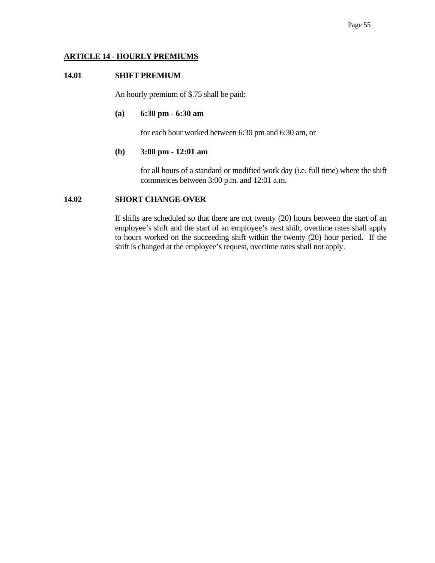# **ARTICLE 14 - HOURLY PREMIUMS**

# **14.01 SHIFT PREMIUM**

An hourly premium of \$.75 shall be paid:

#### **(a) 6:30 pm - 6:30 am**

for each hour worked between 6:30 pm and 6:30 am, or

### **(b) 3:00 pm - 12:01 am**

 for all hours of a standard or modified work day (i.e. full time) where the shift commences between 3:00 p.m. and 12:01 a.m.

# **14.02 SHORT CHANGE-OVER**

 If shifts are scheduled so that there are not twenty (20) hours between the start of an employee's shift and the start of an employee's next shift, overtime rates shall apply to hours worked on the succeeding shift within the twenty (20) hour period. If the shift is changed at the employee's request, overtime rates shall not apply.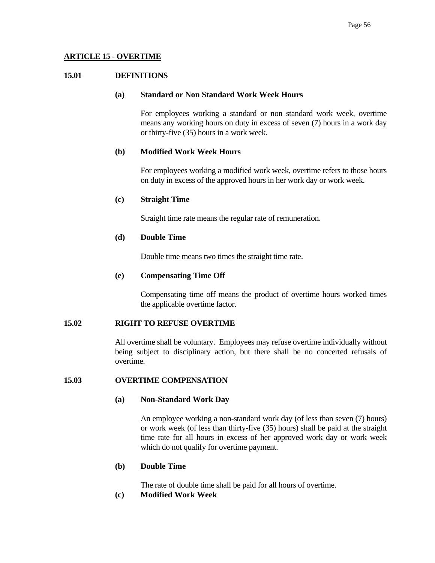# **ARTICLE 15 - OVERTIME**

## **15.01 DEFINITIONS**

#### **(a) Standard or Non Standard Work Week Hours**

 For employees working a standard or non standard work week, overtime means any working hours on duty in excess of seven (7) hours in a work day or thirty-five (35) hours in a work week.

# **(b) Modified Work Week Hours**

 For employees working a modified work week, overtime refers to those hours on duty in excess of the approved hours in her work day or work week.

# **(c) Straight Time**

Straight time rate means the regular rate of remuneration.

# **(d) Double Time**

Double time means two times the straight time rate.

### **(e) Compensating Time Off**

 Compensating time off means the product of overtime hours worked times the applicable overtime factor.

### **15.02 RIGHT TO REFUSE OVERTIME**

 All overtime shall be voluntary. Employees may refuse overtime individually without being subject to disciplinary action, but there shall be no concerted refusals of overtime.

# **15.03 OVERTIME COMPENSATION**

# **(a) Non-Standard Work Day**

 An employee working a non-standard work day (of less than seven (7) hours) or work week (of less than thirty-five (35) hours) shall be paid at the straight time rate for all hours in excess of her approved work day or work week which do not qualify for overtime payment.

# **(b) Double Time**

The rate of double time shall be paid for all hours of overtime.

**(c) Modified Work Week**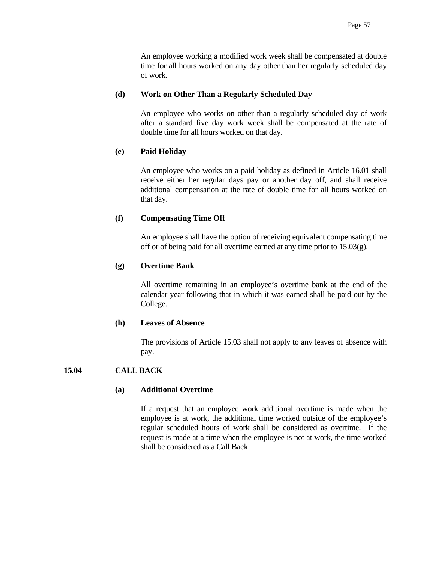An employee working a modified work week shall be compensated at double time for all hours worked on any day other than her regularly scheduled day of work.

## **(d) Work on Other Than a Regularly Scheduled Day**

 An employee who works on other than a regularly scheduled day of work after a standard five day work week shall be compensated at the rate of double time for all hours worked on that day.

# **(e) Paid Holiday**

 An employee who works on a paid holiday as defined in Article 16.01 shall receive either her regular days pay or another day off, and shall receive additional compensation at the rate of double time for all hours worked on that day.

## **(f) Compensating Time Off**

 An employee shall have the option of receiving equivalent compensating time off or of being paid for all overtime earned at any time prior to 15.03(g).

# **(g) Overtime Bank**

 All overtime remaining in an employee's overtime bank at the end of the calendar year following that in which it was earned shall be paid out by the College.

#### **(h) Leaves of Absence**

 The provisions of Article 15.03 shall not apply to any leaves of absence with pay.

# **15.04 CALL BACK**

## **(a) Additional Overtime**

 If a request that an employee work additional overtime is made when the employee is at work, the additional time worked outside of the employee's regular scheduled hours of work shall be considered as overtime. If the request is made at a time when the employee is not at work, the time worked shall be considered as a Call Back.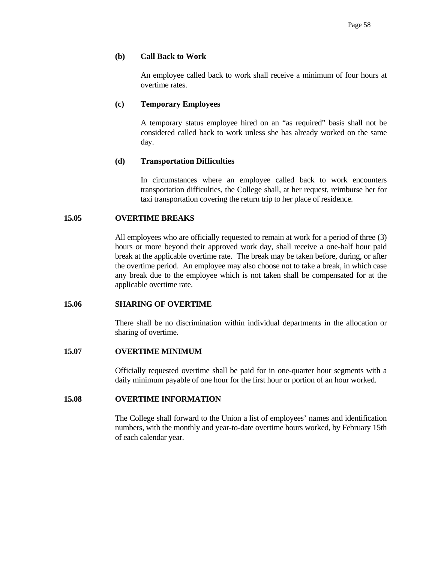## **(b) Call Back to Work**

 An employee called back to work shall receive a minimum of four hours at overtime rates.

## **(c) Temporary Employees**

 A temporary status employee hired on an "as required" basis shall not be considered called back to work unless she has already worked on the same day.

# **(d) Transportation Difficulties**

 In circumstances where an employee called back to work encounters transportation difficulties, the College shall, at her request, reimburse her for taxi transportation covering the return trip to her place of residence.

## **15.05 OVERTIME BREAKS**

 All employees who are officially requested to remain at work for a period of three (3) hours or more beyond their approved work day, shall receive a one-half hour paid break at the applicable overtime rate. The break may be taken before, during, or after the overtime period. An employee may also choose not to take a break, in which case any break due to the employee which is not taken shall be compensated for at the applicable overtime rate.

#### **15.06 SHARING OF OVERTIME**

 There shall be no discrimination within individual departments in the allocation or sharing of overtime.

# **15.07 OVERTIME MINIMUM**

 Officially requested overtime shall be paid for in one-quarter hour segments with a daily minimum payable of one hour for the first hour or portion of an hour worked.

## **15.08 OVERTIME INFORMATION**

 The College shall forward to the Union a list of employees' names and identification numbers, with the monthly and year-to-date overtime hours worked, by February 15th of each calendar year.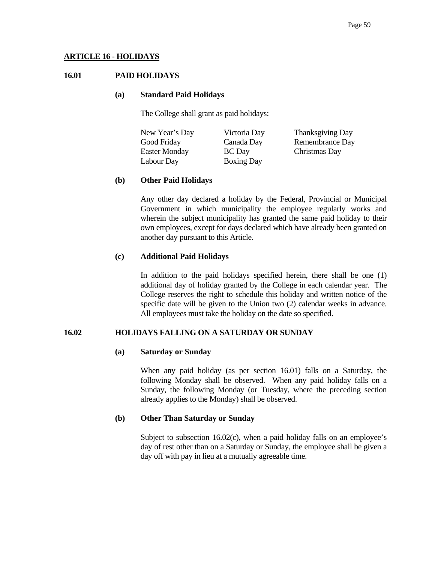# **ARTICLE 16 - HOLIDAYS**

# **16.01 PAID HOLIDAYS**

#### **(a) Standard Paid Holidays**

The College shall grant as paid holidays:

 New Year's Day Victoria Day Thanksgiving Day Good Friday Canada Day Remembrance Day Easter Monday BC Day Christmas Day Labour Day Boxing Day

# **(b) Other Paid Holidays**

 Any other day declared a holiday by the Federal, Provincial or Municipal Government in which municipality the employee regularly works and wherein the subject municipality has granted the same paid holiday to their own employees, except for days declared which have already been granted on another day pursuant to this Article.

## **(c) Additional Paid Holidays**

 In addition to the paid holidays specified herein, there shall be one (1) additional day of holiday granted by the College in each calendar year. The College reserves the right to schedule this holiday and written notice of the specific date will be given to the Union two (2) calendar weeks in advance. All employees must take the holiday on the date so specified.

# **16.02 HOLIDAYS FALLING ON A SATURDAY OR SUNDAY**

## **(a) Saturday or Sunday**

 When any paid holiday (as per section 16.01) falls on a Saturday, the following Monday shall be observed. When any paid holiday falls on a Sunday, the following Monday (or Tuesday, where the preceding section already applies to the Monday) shall be observed.

# **(b) Other Than Saturday or Sunday**

Subject to subsection 16.02(c), when a paid holiday falls on an employee's day of rest other than on a Saturday or Sunday, the employee shall be given a day off with pay in lieu at a mutually agreeable time.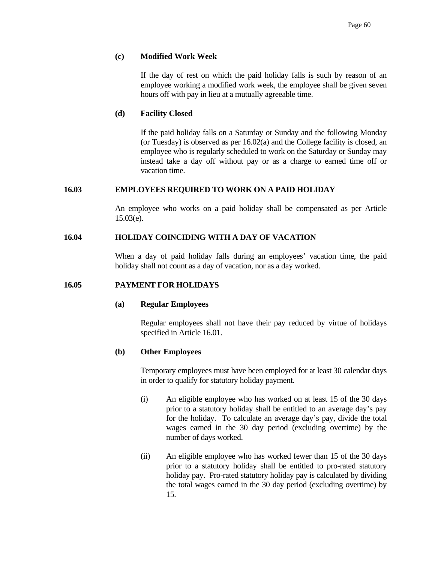# **(c) Modified Work Week**

 If the day of rest on which the paid holiday falls is such by reason of an employee working a modified work week, the employee shall be given seven hours off with pay in lieu at a mutually agreeable time.

## **(d) Facility Closed**

 If the paid holiday falls on a Saturday or Sunday and the following Monday (or Tuesday) is observed as per 16.02(a) and the College facility is closed, an employee who is regularly scheduled to work on the Saturday or Sunday may instead take a day off without pay or as a charge to earned time off or vacation time.

#### **16.03 EMPLOYEES REQUIRED TO WORK ON A PAID HOLIDAY**

 An employee who works on a paid holiday shall be compensated as per Article 15.03(e).

#### **16.04 HOLIDAY COINCIDING WITH A DAY OF VACATION**

 When a day of paid holiday falls during an employees' vacation time, the paid holiday shall not count as a day of vacation, nor as a day worked.

#### **16.05 PAYMENT FOR HOLIDAYS**

#### **(a) Regular Employees**

 Regular employees shall not have their pay reduced by virtue of holidays specified in Article 16.01.

#### **(b) Other Employees**

 Temporary employees must have been employed for at least 30 calendar days in order to qualify for statutory holiday payment.

- (i) An eligible employee who has worked on at least 15 of the 30 days prior to a statutory holiday shall be entitled to an average day's pay for the holiday. To calculate an average day's pay, divide the total wages earned in the 30 day period (excluding overtime) by the number of days worked.
- (ii) An eligible employee who has worked fewer than 15 of the 30 days prior to a statutory holiday shall be entitled to pro-rated statutory holiday pay. Pro-rated statutory holiday pay is calculated by dividing the total wages earned in the 30 day period (excluding overtime) by 15.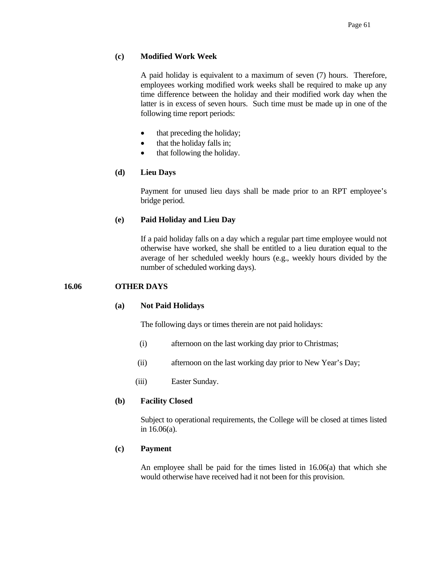# **(c) Modified Work Week**

 A paid holiday is equivalent to a maximum of seven (7) hours. Therefore, employees working modified work weeks shall be required to make up any time difference between the holiday and their modified work day when the latter is in excess of seven hours. Such time must be made up in one of the following time report periods:

- that preceding the holiday;
- that the holiday falls in;
- that following the holiday.

## **(d) Lieu Days**

 Payment for unused lieu days shall be made prior to an RPT employee's bridge period.

## **(e) Paid Holiday and Lieu Day**

 If a paid holiday falls on a day which a regular part time employee would not otherwise have worked, she shall be entitled to a lieu duration equal to the average of her scheduled weekly hours (e.g., weekly hours divided by the number of scheduled working days).

#### **16.06 OTHER DAYS**

#### **(a) Not Paid Holidays**

The following days or times therein are not paid holidays:

- (i) afternoon on the last working day prior to Christmas;
- (ii) afternoon on the last working day prior to New Year's Day;
- (iii) Easter Sunday.

#### **(b) Facility Closed**

 Subject to operational requirements, the College will be closed at times listed in 16.06(a).

#### **(c) Payment**

 An employee shall be paid for the times listed in 16.06(a) that which she would otherwise have received had it not been for this provision.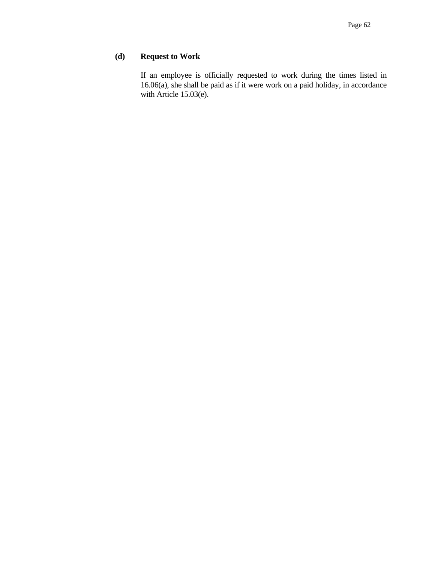# **(d) Request to Work**

 If an employee is officially requested to work during the times listed in 16.06(a), she shall be paid as if it were work on a paid holiday, in accordance with Article 15.03(e).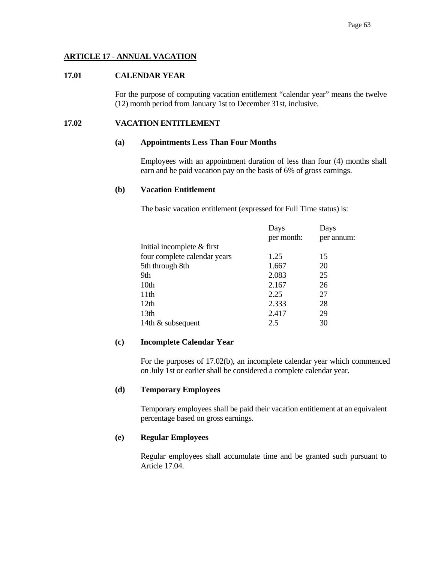# **ARTICLE 17 - ANNUAL VACATION**

## **17.01 CALENDAR YEAR**

 For the purpose of computing vacation entitlement "calendar year" means the twelve (12) month period from January 1st to December 31st, inclusive.

## **17.02 VACATION ENTITLEMENT**

#### **(a) Appointments Less Than Four Months**

 Employees with an appointment duration of less than four (4) months shall earn and be paid vacation pay on the basis of 6% of gross earnings.

#### **(b) Vacation Entitlement**

The basic vacation entitlement (expressed for Full Time status) is:

|                              | Days       | Days       |
|------------------------------|------------|------------|
|                              | per month: | per annum: |
| Initial incomplete & first   |            |            |
| four complete calendar years | 1.25       | 15         |
| 5th through 8th              | 1.667      | 20         |
| 9th                          | 2.083      | 25         |
| 10th                         | 2.167      | 26         |
| 11 <sup>th</sup>             | 2.25       | 27         |
| 12 <sub>th</sub>             | 2.333      | 28         |
| 13 <sub>th</sub>             | 2.417      | 29         |
| 14th & subsequent            | 2.5        | 30         |

## **(c) Incomplete Calendar Year**

 For the purposes of 17.02(b), an incomplete calendar year which commenced on July 1st or earlier shall be considered a complete calendar year.

# **(d) Temporary Employees**

 Temporary employees shall be paid their vacation entitlement at an equivalent percentage based on gross earnings.

#### **(e) Regular Employees**

 Regular employees shall accumulate time and be granted such pursuant to Article 17.04.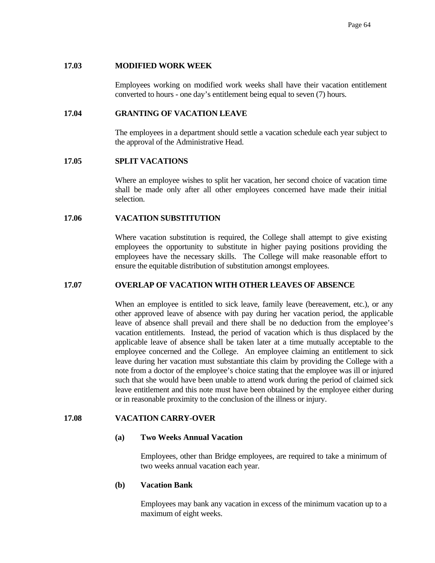# **17.03 MODIFIED WORK WEEK**

 Employees working on modified work weeks shall have their vacation entitlement converted to hours - one day's entitlement being equal to seven (7) hours.

# **17.04 GRANTING OF VACATION LEAVE**

 The employees in a department should settle a vacation schedule each year subject to the approval of the Administrative Head.

## **17.05 SPLIT VACATIONS**

 Where an employee wishes to split her vacation, her second choice of vacation time shall be made only after all other employees concerned have made their initial selection.

## **17.06 VACATION SUBSTITUTION**

 Where vacation substitution is required, the College shall attempt to give existing employees the opportunity to substitute in higher paying positions providing the employees have the necessary skills. The College will make reasonable effort to ensure the equitable distribution of substitution amongst employees.

#### **17.07 OVERLAP OF VACATION WITH OTHER LEAVES OF ABSENCE**

 When an employee is entitled to sick leave, family leave (bereavement, etc.), or any other approved leave of absence with pay during her vacation period, the applicable leave of absence shall prevail and there shall be no deduction from the employee's vacation entitlements. Instead, the period of vacation which is thus displaced by the applicable leave of absence shall be taken later at a time mutually acceptable to the employee concerned and the College. An employee claiming an entitlement to sick leave during her vacation must substantiate this claim by providing the College with a note from a doctor of the employee's choice stating that the employee was ill or injured such that she would have been unable to attend work during the period of claimed sick leave entitlement and this note must have been obtained by the employee either during or in reasonable proximity to the conclusion of the illness or injury.

# **17.08 VACATION CARRY-OVER**

#### **(a) Two Weeks Annual Vacation**

 Employees, other than Bridge employees, are required to take a minimum of two weeks annual vacation each year.

## **(b) Vacation Bank**

 Employees may bank any vacation in excess of the minimum vacation up to a maximum of eight weeks.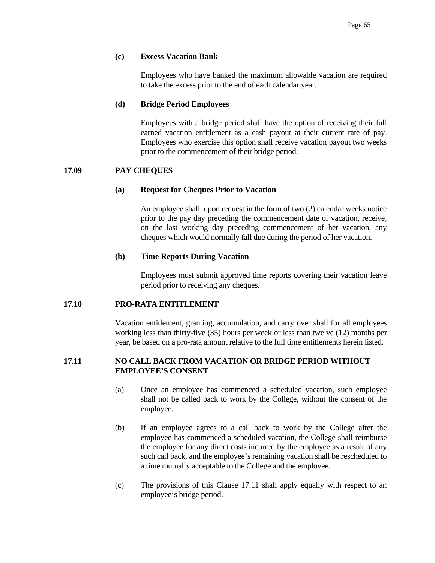## **(c) Excess Vacation Bank**

 Employees who have banked the maximum allowable vacation are required to take the excess prior to the end of each calendar year.

## **(d) Bridge Period Employees**

 Employees with a bridge period shall have the option of receiving their full earned vacation entitlement as a cash payout at their current rate of pay. Employees who exercise this option shall receive vacation payout two weeks prior to the commencement of their bridge period.

# **17.09 PAY CHEQUES**

## **(a) Request for Cheques Prior to Vacation**

 An employee shall, upon request in the form of two (2) calendar weeks notice prior to the pay day preceding the commencement date of vacation, receive, on the last working day preceding commencement of her vacation, any cheques which would normally fall due during the period of her vacation.

## **(b) Time Reports During Vacation**

 Employees must submit approved time reports covering their vacation leave period prior to receiving any cheques.

#### **17.10 PRO-RATA ENTITLEMENT**

 Vacation entitlement, granting, accumulation, and carry over shall for all employees working less than thirty-five (35) hours per week or less than twelve (12) months per year, be based on a pro-rata amount relative to the full time entitlements herein listed.

# **17.11 NO CALL BACK FROM VACATION OR BRIDGE PERIOD WITHOUT EMPLOYEE'S CONSENT**

- (a) Once an employee has commenced a scheduled vacation, such employee shall not be called back to work by the College, without the consent of the employee.
- (b) If an employee agrees to a call back to work by the College after the employee has commenced a scheduled vacation, the College shall reimburse the employee for any direct costs incurred by the employee as a result of any such call back, and the employee's remaining vacation shall be rescheduled to a time mutually acceptable to the College and the employee.
- (c) The provisions of this Clause 17.11 shall apply equally with respect to an employee's bridge period.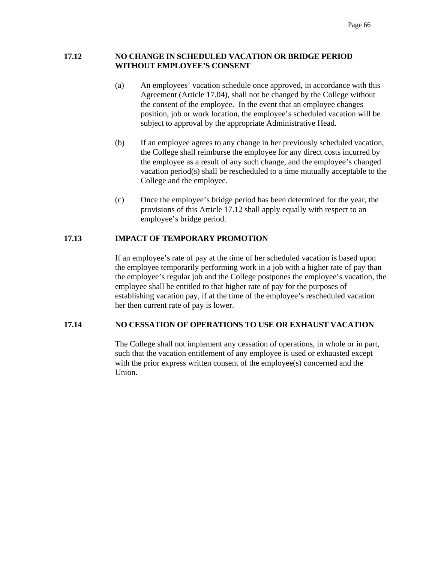# **17.12 NO CHANGE IN SCHEDULED VACATION OR BRIDGE PERIOD WITHOUT EMPLOYEE'S CONSENT**

- (a) An employees' vacation schedule once approved, in accordance with this Agreement (Article 17.04), shall not be changed by the College without the consent of the employee. In the event that an employee changes position, job or work location, the employee's scheduled vacation will be subject to approval by the appropriate Administrative Head.
- (b) If an employee agrees to any change in her previously scheduled vacation, the College shall reimburse the employee for any direct costs incurred by the employee as a result of any such change, and the employee's changed vacation period(s) shall be rescheduled to a time mutually acceptable to the College and the employee.
- (c) Once the employee's bridge period has been determined for the year, the provisions of this Article 17.12 shall apply equally with respect to an employee's bridge period.

# **17.13 IMPACT OF TEMPORARY PROMOTION**

If an employee's rate of pay at the time of her scheduled vacation is based upon the employee temporarily performing work in a job with a higher rate of pay than the employee's regular job and the College postpones the employee's vacation, the employee shall be entitled to that higher rate of pay for the purposes of establishing vacation pay, if at the time of the employee's rescheduled vacation her then current rate of pay is lower.

# **17.14 NO CESSATION OF OPERATIONS TO USE OR EXHAUST VACATION**

The College shall not implement any cessation of operations, in whole or in part, such that the vacation entitlement of any employee is used or exhausted except with the prior express written consent of the employee(s) concerned and the Union.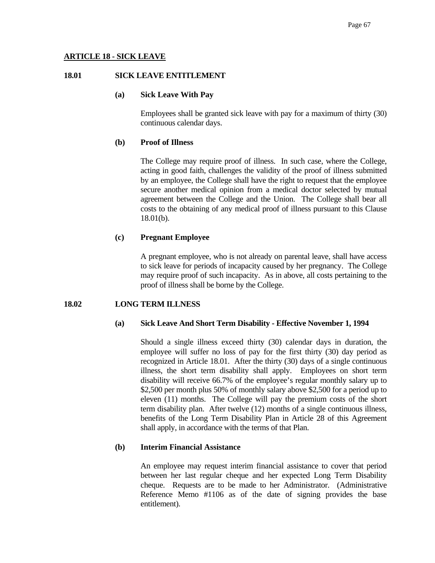# **ARTICLE 18 - SICK LEAVE**

## **18.01 SICK LEAVE ENTITLEMENT**

## **(a) Sick Leave With Pay**

 Employees shall be granted sick leave with pay for a maximum of thirty (30) continuous calendar days.

## **(b) Proof of Illness**

 The College may require proof of illness. In such case, where the College, acting in good faith, challenges the validity of the proof of illness submitted by an employee, the College shall have the right to request that the employee secure another medical opinion from a medical doctor selected by mutual agreement between the College and the Union. The College shall bear all costs to the obtaining of any medical proof of illness pursuant to this Clause 18.01(b).

# **(c) Pregnant Employee**

 A pregnant employee, who is not already on parental leave, shall have access to sick leave for periods of incapacity caused by her pregnancy. The College may require proof of such incapacity. As in above, all costs pertaining to the proof of illness shall be borne by the College.

# **18.02 LONG TERM ILLNESS**

#### **(a) Sick Leave And Short Term Disability - Effective November 1, 1994**

 Should a single illness exceed thirty (30) calendar days in duration, the employee will suffer no loss of pay for the first thirty (30) day period as recognized in Article 18.01. After the thirty (30) days of a single continuous illness, the short term disability shall apply. Employees on short term disability will receive 66.7% of the employee's regular monthly salary up to \$2,500 per month plus 50% of monthly salary above \$2,500 for a period up to eleven (11) months. The College will pay the premium costs of the short term disability plan. After twelve (12) months of a single continuous illness, benefits of the Long Term Disability Plan in Article 28 of this Agreement shall apply, in accordance with the terms of that Plan.

# **(b) Interim Financial Assistance**

 An employee may request interim financial assistance to cover that period between her last regular cheque and her expected Long Term Disability cheque. Requests are to be made to her Administrator. (Administrative Reference Memo #1106 as of the date of signing provides the base entitlement).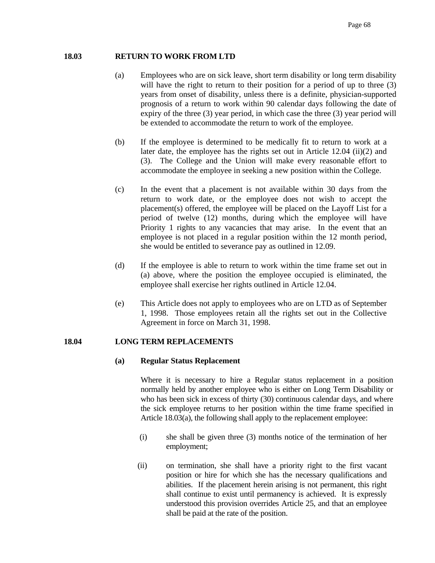## **18.03 RETURN TO WORK FROM LTD**

- (a) Employees who are on sick leave, short term disability or long term disability will have the right to return to their position for a period of up to three  $(3)$ years from onset of disability, unless there is a definite, physician-supported prognosis of a return to work within 90 calendar days following the date of expiry of the three (3) year period, in which case the three (3) year period will be extended to accommodate the return to work of the employee.
- (b) If the employee is determined to be medically fit to return to work at a later date, the employee has the rights set out in Article 12.04 (ii)(2) and (3). The College and the Union will make every reasonable effort to accommodate the employee in seeking a new position within the College.
- (c) In the event that a placement is not available within 30 days from the return to work date, or the employee does not wish to accept the placement(s) offered, the employee will be placed on the Layoff List for a period of twelve (12) months, during which the employee will have Priority 1 rights to any vacancies that may arise. In the event that an employee is not placed in a regular position within the 12 month period, she would be entitled to severance pay as outlined in 12.09.
- (d) If the employee is able to return to work within the time frame set out in (a) above, where the position the employee occupied is eliminated, the employee shall exercise her rights outlined in Article 12.04.
- (e) This Article does not apply to employees who are on LTD as of September 1, 1998. Those employees retain all the rights set out in the Collective Agreement in force on March 31, 1998.

#### **18.04 LONG TERM REPLACEMENTS**

#### **(a) Regular Status Replacement**

 Where it is necessary to hire a Regular status replacement in a position normally held by another employee who is either on Long Term Disability or who has been sick in excess of thirty (30) continuous calendar days, and where the sick employee returns to her position within the time frame specified in Article 18.03(a), the following shall apply to the replacement employee:

- (i) she shall be given three (3) months notice of the termination of her employment;
- (ii) on termination, she shall have a priority right to the first vacant position or hire for which she has the necessary qualifications and abilities. If the placement herein arising is not permanent, this right shall continue to exist until permanency is achieved. It is expressly understood this provision overrides Article 25, and that an employee shall be paid at the rate of the position.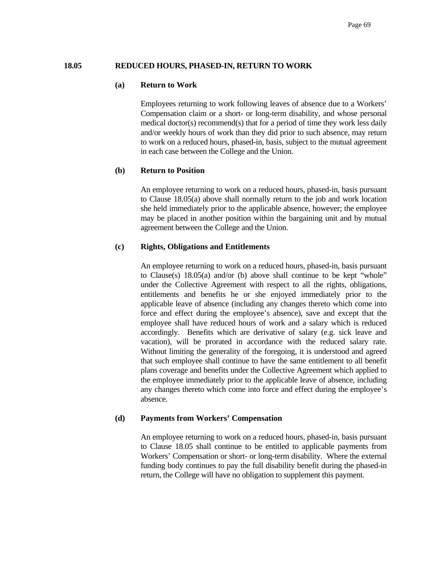# **18.05 REDUCED HOURS, PHASED-IN, RETURN TO WORK**

#### **(a) Return to Work**

 Employees returning to work following leaves of absence due to a Workers' Compensation claim or a short- or long-term disability, and whose personal medical doctor(s) recommend(s) that for a period of time they work less daily and/or weekly hours of work than they did prior to such absence, may return to work on a reduced hours, phased-in, basis, subject to the mutual agreement in each case between the College and the Union.

#### **(b) Return to Position**

 An employee returning to work on a reduced hours, phased-in, basis pursuant to Clause 18.05(a) above shall normally return to the job and work location she held immediately prior to the applicable absence, however; the employee may be placed in another position within the bargaining unit and by mutual agreement between the College and the Union.

# **(c) Rights, Obligations and Entitlements**

 An employee returning to work on a reduced hours, phased-in, basis pursuant to Clause(s) 18.05(a) and/or (b) above shall continue to be kept "whole" under the Collective Agreement with respect to all the rights, obligations, entitlements and benefits he or she enjoyed immediately prior to the applicable leave of absence (including any changes thereto which come into force and effect during the employee's absence), save and except that the employee shall have reduced hours of work and a salary which is reduced accordingly. Benefits which are derivative of salary (e.g. sick leave and vacation), will be prorated in accordance with the reduced salary rate. Without limiting the generality of the foregoing, it is understood and agreed that such employee shall continue to have the same entitlement to all benefit plans coverage and benefits under the Collective Agreement which applied to the employee immediately prior to the applicable leave of absence, including any changes thereto which come into force and effect during the employee's absence.

## **(d) Payments from Workers' Compensation**

 An employee returning to work on a reduced hours, phased-in, basis pursuant to Clause 18.05 shall continue to be entitled to applicable payments from Workers' Compensation or short- or long-term disability. Where the external funding body continues to pay the full disability benefit during the phased-in return, the College will have no obligation to supplement this payment.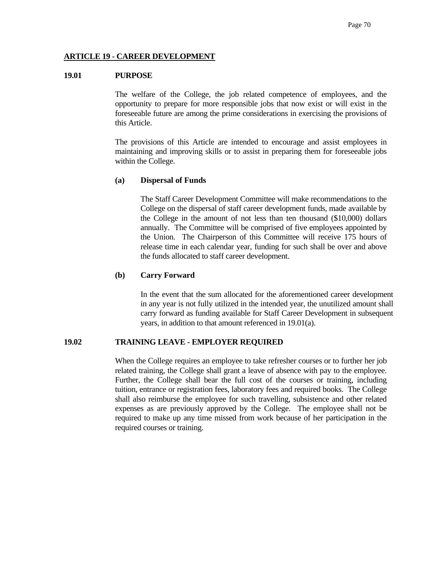## **ARTICLE 19 - CAREER DEVELOPMENT**

## **19.01 PURPOSE**

 The welfare of the College, the job related competence of employees, and the opportunity to prepare for more responsible jobs that now exist or will exist in the foreseeable future are among the prime considerations in exercising the provisions of this Article.

 The provisions of this Article are intended to encourage and assist employees in maintaining and improving skills or to assist in preparing them for foreseeable jobs within the College.

#### **(a) Dispersal of Funds**

 The Staff Career Development Committee will make recommendations to the College on the dispersal of staff career development funds, made available by the College in the amount of not less than ten thousand (\$10,000) dollars annually. The Committee will be comprised of five employees appointed by the Union. The Chairperson of this Committee will receive 175 hours of release time in each calendar year, funding for such shall be over and above the funds allocated to staff career development.

#### **(b) Carry Forward**

 In the event that the sum allocated for the aforementioned career development in any year is not fully utilized in the intended year, the unutilized amount shall carry forward as funding available for Staff Career Development in subsequent years, in addition to that amount referenced in 19.01(a).

## **19.02 TRAINING LEAVE - EMPLOYER REQUIRED**

 When the College requires an employee to take refresher courses or to further her job related training, the College shall grant a leave of absence with pay to the employee. Further, the College shall bear the full cost of the courses or training, including tuition, entrance or registration fees, laboratory fees and required books. The College shall also reimburse the employee for such travelling, subsistence and other related expenses as are previously approved by the College. The employee shall not be required to make up any time missed from work because of her participation in the required courses or training.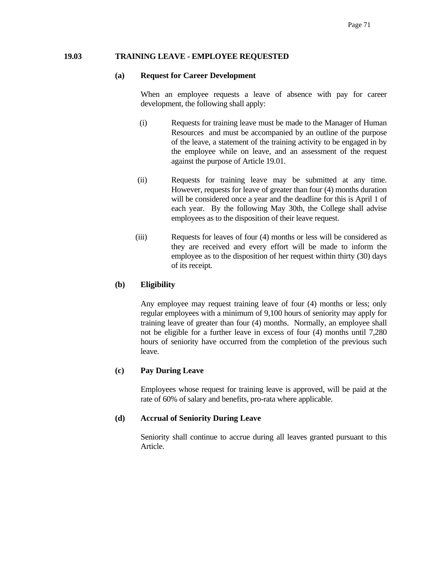## **19.03 TRAINING LEAVE - EMPLOYEE REQUESTED**

#### **(a) Request for Career Development**

When an employee requests a leave of absence with pay for career development, the following shall apply:

- (i) Requests for training leave must be made to the Manager of Human Resources and must be accompanied by an outline of the purpose of the leave, a statement of the training activity to be engaged in by the employee while on leave, and an assessment of the request against the purpose of Article 19.01.
- (ii) Requests for training leave may be submitted at any time. However, requests for leave of greater than four (4) months duration will be considered once a year and the deadline for this is April 1 of each year. By the following May 30th, the College shall advise employees as to the disposition of their leave request.
- (iii) Requests for leaves of four (4) months or less will be considered as they are received and every effort will be made to inform the employee as to the disposition of her request within thirty (30) days of its receipt.

# **(b) Eligibility**

 Any employee may request training leave of four (4) months or less; only regular employees with a minimum of 9,100 hours of seniority may apply for training leave of greater than four (4) months. Normally, an employee shall not be eligible for a further leave in excess of four (4) months until 7,280 hours of seniority have occurred from the completion of the previous such leave.

# **(c) Pay During Leave**

 Employees whose request for training leave is approved, will be paid at the rate of 60% of salary and benefits, pro-rata where applicable.

# **(d) Accrual of Seniority During Leave**

 Seniority shall continue to accrue during all leaves granted pursuant to this Article.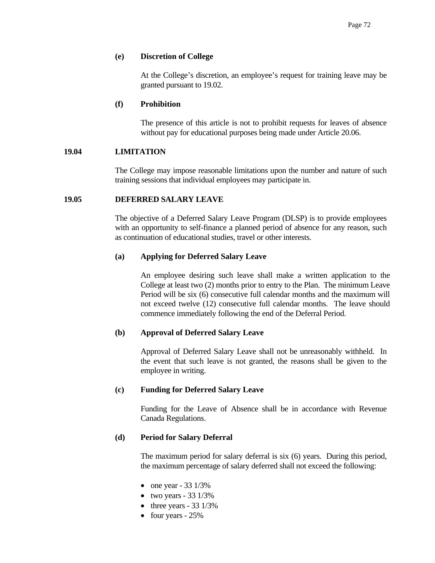## **(e) Discretion of College**

 At the College's discretion, an employee's request for training leave may be granted pursuant to 19.02.

## **(f) Prohibition**

 The presence of this article is not to prohibit requests for leaves of absence without pay for educational purposes being made under Article 20.06.

## **19.04 LIMITATION**

 The College may impose reasonable limitations upon the number and nature of such training sessions that individual employees may participate in.

## **19.05 DEFERRED SALARY LEAVE**

 The objective of a Deferred Salary Leave Program (DLSP) is to provide employees with an opportunity to self-finance a planned period of absence for any reason, such as continuation of educational studies, travel or other interests.

## **(a) Applying for Deferred Salary Leave**

 An employee desiring such leave shall make a written application to the College at least two (2) months prior to entry to the Plan. The minimum Leave Period will be six (6) consecutive full calendar months and the maximum will not exceed twelve (12) consecutive full calendar months. The leave should commence immediately following the end of the Deferral Period.

#### **(b) Approval of Deferred Salary Leave**

 Approval of Deferred Salary Leave shall not be unreasonably withheld. In the event that such leave is not granted, the reasons shall be given to the employee in writing.

#### **(c) Funding for Deferred Salary Leave**

 Funding for the Leave of Absence shall be in accordance with Revenue Canada Regulations.

#### **(d) Period for Salary Deferral**

 The maximum period for salary deferral is six (6) years. During this period, the maximum percentage of salary deferred shall not exceed the following:

- one year  $-33$  1/3%
- two years  $-33$  1/3%
- three years  $-33$  1/3%
- four years 25%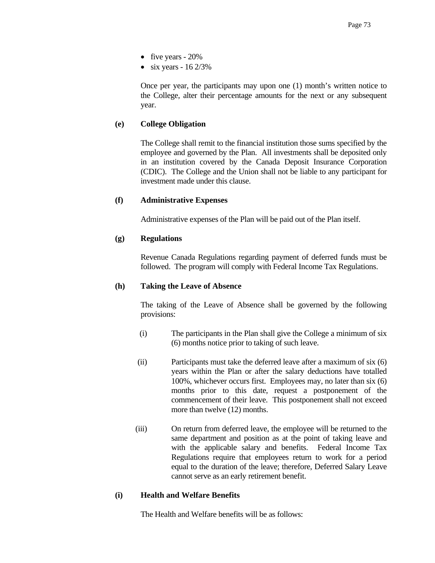- five years 20%
- six years  $-16\frac{2}{3\%}$

 Once per year, the participants may upon one (1) month's written notice to the College, alter their percentage amounts for the next or any subsequent year.

# **(e) College Obligation**

 The College shall remit to the financial institution those sums specified by the employee and governed by the Plan. All investments shall be deposited only in an institution covered by the Canada Deposit Insurance Corporation (CDIC). The College and the Union shall not be liable to any participant for investment made under this clause.

# **(f) Administrative Expenses**

Administrative expenses of the Plan will be paid out of the Plan itself.

# **(g) Regulations**

 Revenue Canada Regulations regarding payment of deferred funds must be followed. The program will comply with Federal Income Tax Regulations.

# **(h) Taking the Leave of Absence**

 The taking of the Leave of Absence shall be governed by the following provisions:

- (i) The participants in the Plan shall give the College a minimum of six (6) months notice prior to taking of such leave.
- (ii) Participants must take the deferred leave after a maximum of six (6) years within the Plan or after the salary deductions have totalled 100%, whichever occurs first. Employees may, no later than six (6) months prior to this date, request a postponement of the commencement of their leave. This postponement shall not exceed more than twelve (12) months.
- (iii) On return from deferred leave, the employee will be returned to the same department and position as at the point of taking leave and with the applicable salary and benefits. Federal Income Tax Regulations require that employees return to work for a period equal to the duration of the leave; therefore, Deferred Salary Leave cannot serve as an early retirement benefit.

# **(i) Health and Welfare Benefits**

The Health and Welfare benefits will be as follows: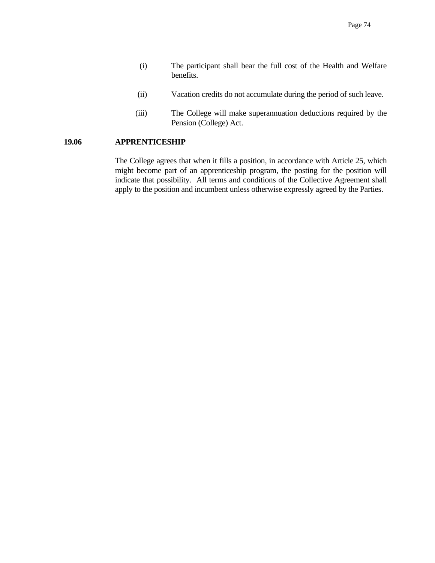- (i) The participant shall bear the full cost of the Health and Welfare benefits.
- (ii) Vacation credits do not accumulate during the period of such leave.
- (iii) The College will make superannuation deductions required by the Pension (College) Act.

# **19.06 APPRENTICESHIP**

 The College agrees that when it fills a position, in accordance with Article 25, which might become part of an apprenticeship program, the posting for the position will indicate that possibility. All terms and conditions of the Collective Agreement shall apply to the position and incumbent unless otherwise expressly agreed by the Parties.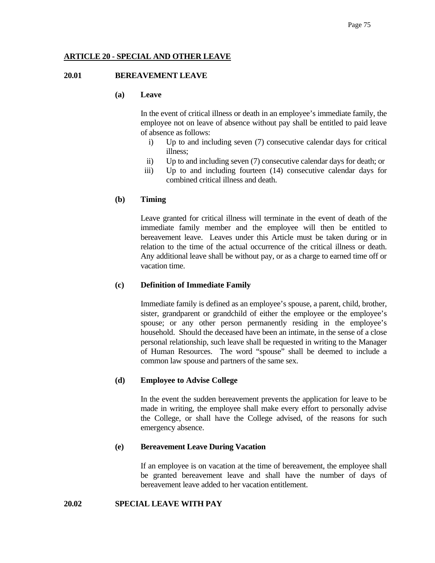# **ARTICLE 20 - SPECIAL AND OTHER LEAVE**

# **20.01 BEREAVEMENT LEAVE**

# **(a) Leave**

 In the event of critical illness or death in an employee's immediate family, the employee not on leave of absence without pay shall be entitled to paid leave of absence as follows:

- i) Up to and including seven (7) consecutive calendar days for critical illness;
- ii) Up to and including seven (7) consecutive calendar days for death; or
- iii) Up to and including fourteen (14) consecutive calendar days for combined critical illness and death.

# **(b) Timing**

Leave granted for critical illness will terminate in the event of death of the immediate family member and the employee will then be entitled to bereavement leave. Leaves under this Article must be taken during or in relation to the time of the actual occurrence of the critical illness or death. Any additional leave shall be without pay, or as a charge to earned time off or vacation time.

#### **(c) Definition of Immediate Family**

 Immediate family is defined as an employee's spouse, a parent, child, brother, sister, grandparent or grandchild of either the employee or the employee's spouse; or any other person permanently residing in the employee's household. Should the deceased have been an intimate, in the sense of a close personal relationship, such leave shall be requested in writing to the Manager of Human Resources. The word "spouse" shall be deemed to include a common law spouse and partners of the same sex.

#### **(d) Employee to Advise College**

 In the event the sudden bereavement prevents the application for leave to be made in writing, the employee shall make every effort to personally advise the College, or shall have the College advised, of the reasons for such emergency absence.

#### **(e) Bereavement Leave During Vacation**

 If an employee is on vacation at the time of bereavement, the employee shall be granted bereavement leave and shall have the number of days of bereavement leave added to her vacation entitlement.

## **20.02 SPECIAL LEAVE WITH PAY**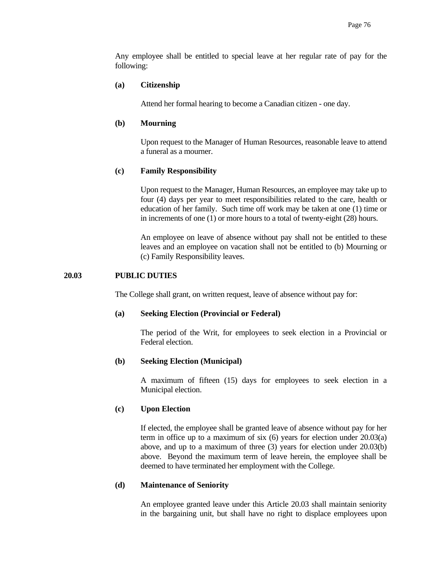Any employee shall be entitled to special leave at her regular rate of pay for the following:

## **(a) Citizenship**

Attend her formal hearing to become a Canadian citizen - one day.

## **(b) Mourning**

 Upon request to the Manager of Human Resources, reasonable leave to attend a funeral as a mourner.

## **(c) Family Responsibility**

 Upon request to the Manager, Human Resources, an employee may take up to four (4) days per year to meet responsibilities related to the care, health or education of her family. Such time off work may be taken at one (1) time or in increments of one (1) or more hours to a total of twenty-eight (28) hours.

 An employee on leave of absence without pay shall not be entitled to these leaves and an employee on vacation shall not be entitled to (b) Mourning or (c) Family Responsibility leaves.

## **20.03 PUBLIC DUTIES**

The College shall grant, on written request, leave of absence without pay for:

#### **(a) Seeking Election (Provincial or Federal)**

 The period of the Writ, for employees to seek election in a Provincial or Federal election.

#### **(b) Seeking Election (Municipal)**

 A maximum of fifteen (15) days for employees to seek election in a Municipal election.

## **(c) Upon Election**

 If elected, the employee shall be granted leave of absence without pay for her term in office up to a maximum of six (6) years for election under 20.03(a) above, and up to a maximum of three (3) years for election under 20.03(b) above. Beyond the maximum term of leave herein, the employee shall be deemed to have terminated her employment with the College.

# **(d) Maintenance of Seniority**

 An employee granted leave under this Article 20.03 shall maintain seniority in the bargaining unit, but shall have no right to displace employees upon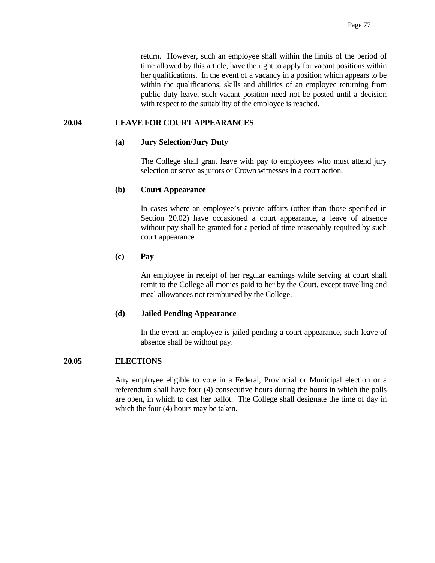return. However, such an employee shall within the limits of the period of time allowed by this article, have the right to apply for vacant positions within her qualifications. In the event of a vacancy in a position which appears to be within the qualifications, skills and abilities of an employee returning from public duty leave, such vacant position need not be posted until a decision with respect to the suitability of the employee is reached.

## **20.04 LEAVE FOR COURT APPEARANCES**

#### **(a) Jury Selection/Jury Duty**

 The College shall grant leave with pay to employees who must attend jury selection or serve as jurors or Crown witnesses in a court action.

#### **(b) Court Appearance**

 In cases where an employee's private affairs (other than those specified in Section 20.02) have occasioned a court appearance, a leave of absence without pay shall be granted for a period of time reasonably required by such court appearance.

## **(c) Pay**

 An employee in receipt of her regular earnings while serving at court shall remit to the College all monies paid to her by the Court, except travelling and meal allowances not reimbursed by the College.

#### **(d) Jailed Pending Appearance**

 In the event an employee is jailed pending a court appearance, such leave of absence shall be without pay.

#### **20.05 ELECTIONS**

 Any employee eligible to vote in a Federal, Provincial or Municipal election or a referendum shall have four (4) consecutive hours during the hours in which the polls are open, in which to cast her ballot. The College shall designate the time of day in which the four (4) hours may be taken.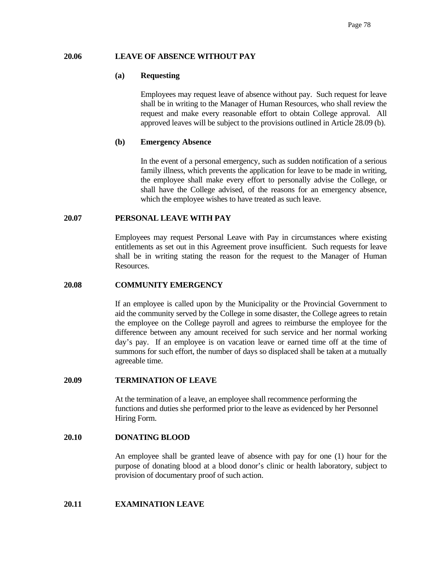## **20.06 LEAVE OF ABSENCE WITHOUT PAY**

#### **(a) Requesting**

 Employees may request leave of absence without pay. Such request for leave shall be in writing to the Manager of Human Resources, who shall review the request and make every reasonable effort to obtain College approval. All approved leaves will be subject to the provisions outlined in Article 28.09 (b).

## **(b) Emergency Absence**

 In the event of a personal emergency, such as sudden notification of a serious family illness, which prevents the application for leave to be made in writing, the employee shall make every effort to personally advise the College, or shall have the College advised, of the reasons for an emergency absence, which the employee wishes to have treated as such leave.

# **20.07 PERSONAL LEAVE WITH PAY**

 Employees may request Personal Leave with Pay in circumstances where existing entitlements as set out in this Agreement prove insufficient. Such requests for leave shall be in writing stating the reason for the request to the Manager of Human Resources.

#### **20.08 COMMUNITY EMERGENCY**

 If an employee is called upon by the Municipality or the Provincial Government to aid the community served by the College in some disaster, the College agrees to retain the employee on the College payroll and agrees to reimburse the employee for the difference between any amount received for such service and her normal working day's pay. If an employee is on vacation leave or earned time off at the time of summons for such effort, the number of days so displaced shall be taken at a mutually agreeable time.

## **20.09 TERMINATION OF LEAVE**

 At the termination of a leave, an employee shall recommence performing the functions and duties she performed prior to the leave as evidenced by her Personnel Hiring Form.

#### **20.10 DONATING BLOOD**

An employee shall be granted leave of absence with pay for one (1) hour for the purpose of donating blood at a blood donor's clinic or health laboratory, subject to provision of documentary proof of such action.

# **20.11 EXAMINATION LEAVE**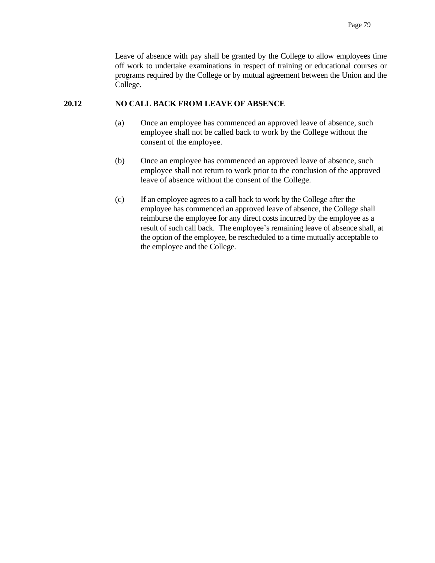Leave of absence with pay shall be granted by the College to allow employees time off work to undertake examinations in respect of training or educational courses or programs required by the College or by mutual agreement between the Union and the College.

## **20.12 NO CALL BACK FROM LEAVE OF ABSENCE**

- (a) Once an employee has commenced an approved leave of absence, such employee shall not be called back to work by the College without the consent of the employee.
- (b) Once an employee has commenced an approved leave of absence, such employee shall not return to work prior to the conclusion of the approved leave of absence without the consent of the College.
- (c) If an employee agrees to a call back to work by the College after the employee has commenced an approved leave of absence, the College shall reimburse the employee for any direct costs incurred by the employee as a result of such call back. The employee's remaining leave of absence shall, at the option of the employee, be rescheduled to a time mutually acceptable to the employee and the College.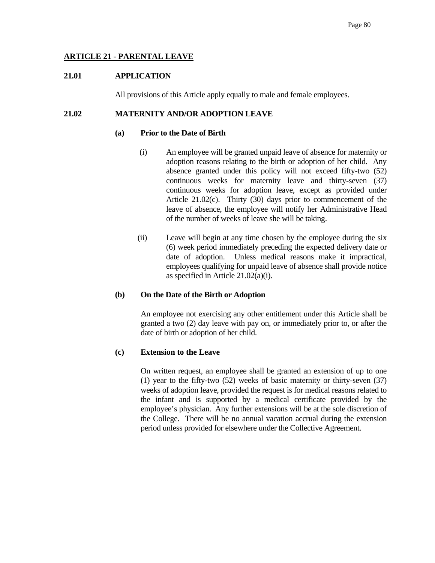# **ARTICLE 21 - PARENTAL LEAVE**

# **21.01 APPLICATION**

All provisions of this Article apply equally to male and female employees.

# **21.02 MATERNITY AND/OR ADOPTION LEAVE**

#### **(a) Prior to the Date of Birth**

- (i) An employee will be granted unpaid leave of absence for maternity or adoption reasons relating to the birth or adoption of her child. Any absence granted under this policy will not exceed fifty-two (52) continuous weeks for maternity leave and thirty-seven (37) continuous weeks for adoption leave, except as provided under Article 21.02(c). Thirty (30) days prior to commencement of the leave of absence, the employee will notify her Administrative Head of the number of weeks of leave she will be taking.
- (ii) Leave will begin at any time chosen by the employee during the six (6) week period immediately preceding the expected delivery date or date of adoption. Unless medical reasons make it impractical, employees qualifying for unpaid leave of absence shall provide notice as specified in Article 21.02(a)(i).

# **(b) On the Date of the Birth or Adoption**

 An employee not exercising any other entitlement under this Article shall be granted a two (2) day leave with pay on, or immediately prior to, or after the date of birth or adoption of her child.

# **(c) Extension to the Leave**

On written request, an employee shall be granted an extension of up to one (1) year to the fifty-two (52) weeks of basic maternity or thirty-seven (37) weeks of adoption leave, provided the request is for medical reasons related to the infant and is supported by a medical certificate provided by the employee's physician. Any further extensions will be at the sole discretion of the College. There will be no annual vacation accrual during the extension period unless provided for elsewhere under the Collective Agreement.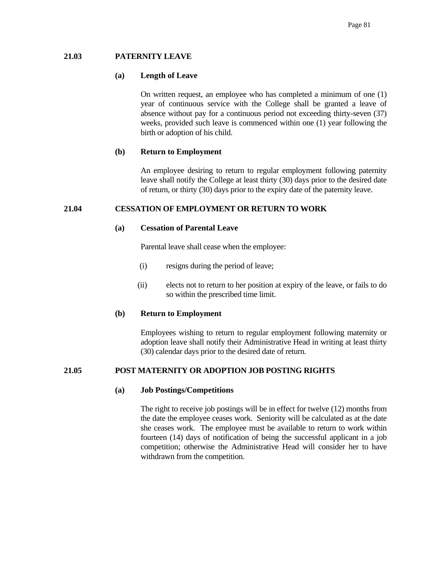## **21.03 PATERNITY LEAVE**

#### **(a) Length of Leave**

On written request, an employee who has completed a minimum of one (1) year of continuous service with the College shall be granted a leave of absence without pay for a continuous period not exceeding thirty-seven (37) weeks, provided such leave is commenced within one (1) year following the birth or adoption of his child.

## **(b) Return to Employment**

 An employee desiring to return to regular employment following paternity leave shall notify the College at least thirty (30) days prior to the desired date of return, or thirty (30) days prior to the expiry date of the paternity leave.

## **21.04 CESSATION OF EMPLOYMENT OR RETURN TO WORK**

## **(a) Cessation of Parental Leave**

Parental leave shall cease when the employee:

- (i) resigns during the period of leave;
- (ii) elects not to return to her position at expiry of the leave, or fails to do so within the prescribed time limit.

#### **(b) Return to Employment**

 Employees wishing to return to regular employment following maternity or adoption leave shall notify their Administrative Head in writing at least thirty (30) calendar days prior to the desired date of return.

# **21.05 POST MATERNITY OR ADOPTION JOB POSTING RIGHTS**

## **(a) Job Postings/Competitions**

 The right to receive job postings will be in effect for twelve (12) months from the date the employee ceases work. Seniority will be calculated as at the date she ceases work. The employee must be available to return to work within fourteen (14) days of notification of being the successful applicant in a job competition; otherwise the Administrative Head will consider her to have withdrawn from the competition.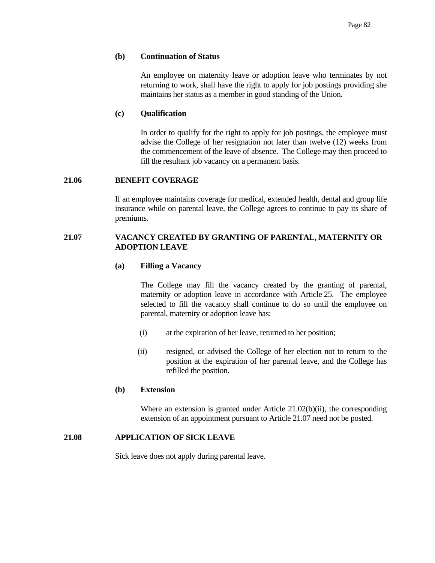## **(b) Continuation of Status**

 An employee on maternity leave or adoption leave who terminates by not returning to work, shall have the right to apply for job postings providing she maintains her status as a member in good standing of the Union.

## **(c) Qualification**

 In order to qualify for the right to apply for job postings, the employee must advise the College of her resignation not later than twelve (12) weeks from the commencement of the leave of absence. The College may then proceed to fill the resultant job vacancy on a permanent basis.

## **21.06 BENEFIT COVERAGE**

 If an employee maintains coverage for medical, extended health, dental and group life insurance while on parental leave, the College agrees to continue to pay its share of premiums.

# **21.07 VACANCY CREATED BY GRANTING OF PARENTAL, MATERNITY OR ADOPTION LEAVE**

## **(a) Filling a Vacancy**

 The College may fill the vacancy created by the granting of parental, maternity or adoption leave in accordance with Article 25. The employee selected to fill the vacancy shall continue to do so until the employee on parental, maternity or adoption leave has:

- (i) at the expiration of her leave, returned to her position;
- (ii) resigned, or advised the College of her election not to return to the position at the expiration of her parental leave, and the College has refilled the position.

#### **(b) Extension**

Where an extension is granted under Article 21.02(b)(ii), the corresponding extension of an appointment pursuant to Article 21.07 need not be posted.

#### **21.08 APPLICATION OF SICK LEAVE**

Sick leave does not apply during parental leave.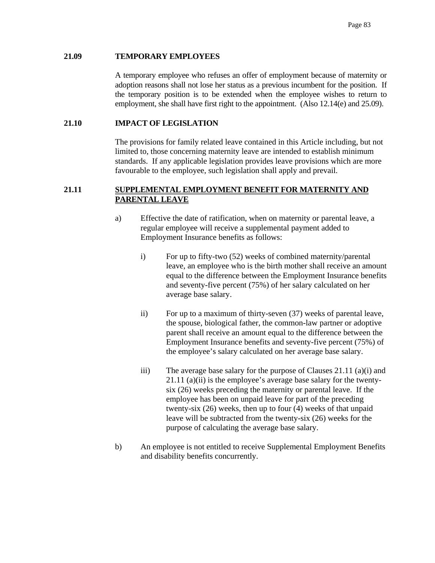## **21.09 TEMPORARY EMPLOYEES**

 A temporary employee who refuses an offer of employment because of maternity or adoption reasons shall not lose her status as a previous incumbent for the position. If the temporary position is to be extended when the employee wishes to return to employment, she shall have first right to the appointment. (Also 12.14(e) and 25.09).

# **21.10 IMPACT OF LEGISLATION**

The provisions for family related leave contained in this Article including, but not limited to, those concerning maternity leave are intended to establish minimum standards. If any applicable legislation provides leave provisions which are more favourable to the employee, such legislation shall apply and prevail.

# **21.11 SUPPLEMENTAL EMPLOYMENT BENEFIT FOR MATERNITY AND PARENTAL LEAVE**

- a) Effective the date of ratification, when on maternity or parental leave, a regular employee will receive a supplemental payment added to Employment Insurance benefits as follows:
	- i) For up to fifty-two (52) weeks of combined maternity/parental leave, an employee who is the birth mother shall receive an amount equal to the difference between the Employment Insurance benefits and seventy-five percent (75%) of her salary calculated on her average base salary.
	- ii) For up to a maximum of thirty-seven (37) weeks of parental leave, the spouse, biological father, the common-law partner or adoptive parent shall receive an amount equal to the difference between the Employment Insurance benefits and seventy-five percent (75%) of the employee's salary calculated on her average base salary.
	- iii) The average base salary for the purpose of Clauses 21.11 (a)(i) and 21.11 (a)(ii) is the employee's average base salary for the twentysix (26) weeks preceding the maternity or parental leave. If the employee has been on unpaid leave for part of the preceding twenty-six (26) weeks, then up to four (4) weeks of that unpaid leave will be subtracted from the twenty-six (26) weeks for the purpose of calculating the average base salary.
- b) An employee is not entitled to receive Supplemental Employment Benefits and disability benefits concurrently.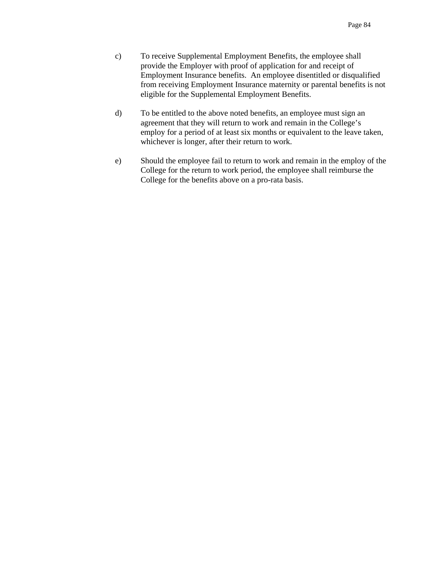- c) To receive Supplemental Employment Benefits, the employee shall provide the Employer with proof of application for and receipt of Employment Insurance benefits. An employee disentitled or disqualified from receiving Employment Insurance maternity or parental benefits is not eligible for the Supplemental Employment Benefits.
- d) To be entitled to the above noted benefits, an employee must sign an agreement that they will return to work and remain in the College's employ for a period of at least six months or equivalent to the leave taken, whichever is longer, after their return to work.
- e) Should the employee fail to return to work and remain in the employ of the College for the return to work period, the employee shall reimburse the College for the benefits above on a pro-rata basis.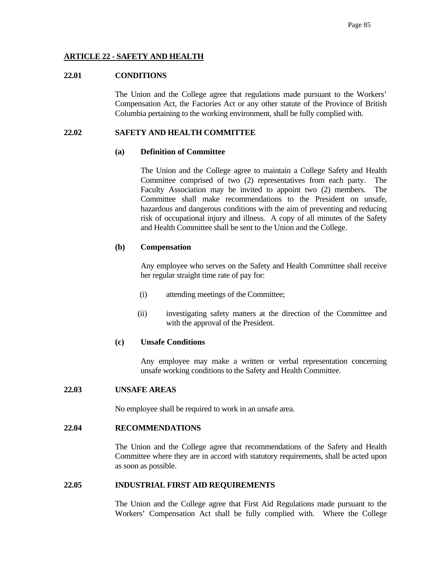# **ARTICLE 22 - SAFETY AND HEALTH**

## **22.01 CONDITIONS**

 The Union and the College agree that regulations made pursuant to the Workers' Compensation Act, the Factories Act or any other statute of the Province of British Columbia pertaining to the working environment, shall be fully complied with.

# **22.02 SAFETY AND HEALTH COMMITTEE**

## **(a) Definition of Committee**

 The Union and the College agree to maintain a College Safety and Health Committee comprised of two (2) representatives from each party. The Faculty Association may be invited to appoint two (2) members. The Committee shall make recommendations to the President on unsafe, hazardous and dangerous conditions with the aim of preventing and reducing risk of occupational injury and illness. A copy of all minutes of the Safety and Health Committee shall be sent to the Union and the College.

# **(b) Compensation**

 Any employee who serves on the Safety and Health Committee shall receive her regular straight time rate of pay for:

- (i) attending meetings of the Committee;
- (ii) investigating safety matters at the direction of the Committee and with the approval of the President.

# **(c) Unsafe Conditions**

 Any employee may make a written or verbal representation concerning unsafe working conditions to the Safety and Health Committee.

# **22.03 UNSAFE AREAS**

No employee shall be required to work in an unsafe area.

# **22.04 RECOMMENDATIONS**

 The Union and the College agree that recommendations of the Safety and Health Committee where they are in accord with statutory requirements, shall be acted upon as soon as possible.

# **22.05 INDUSTRIAL FIRST AID REQUIREMENTS**

 The Union and the College agree that First Aid Regulations made pursuant to the Workers' Compensation Act shall be fully complied with. Where the College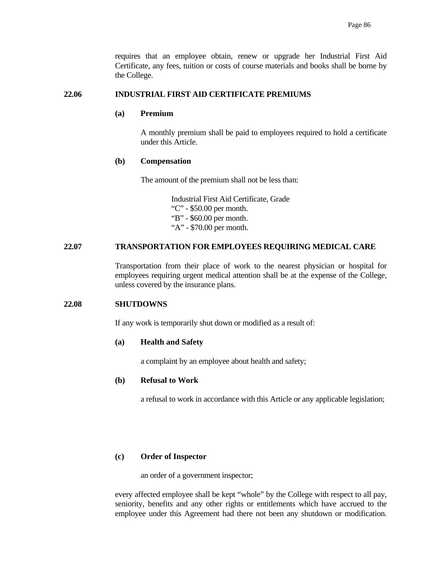requires that an employee obtain, renew or upgrade her Industrial First Aid Certificate, any fees, tuition or costs of course materials and books shall be borne by the College.

## **22.06 INDUSTRIAL FIRST AID CERTIFICATE PREMIUMS**

# **(a) Premium**

 A monthly premium shall be paid to employees required to hold a certificate under this Article.

#### **(b) Compensation**

The amount of the premium shall not be less than:

 Industrial First Aid Certificate, Grade "C" - \$50.00 per month. "B" - \$60.00 per month. "A" - \$70.00 per month.

# **22.07 TRANSPORTATION FOR EMPLOYEES REQUIRING MEDICAL CARE**

 Transportation from their place of work to the nearest physician or hospital for employees requiring urgent medical attention shall be at the expense of the College, unless covered by the insurance plans.

#### **22.08 SHUTDOWNS**

If any work is temporarily shut down or modified as a result of:

#### **(a) Health and Safety**

a complaint by an employee about health and safety;

# **(b) Refusal to Work**

a refusal to work in accordance with this Article or any applicable legislation;

#### **(c) Order of Inspector**

an order of a government inspector;

 every affected employee shall be kept "whole" by the College with respect to all pay, seniority, benefits and any other rights or entitlements which have accrued to the employee under this Agreement had there not been any shutdown or modification.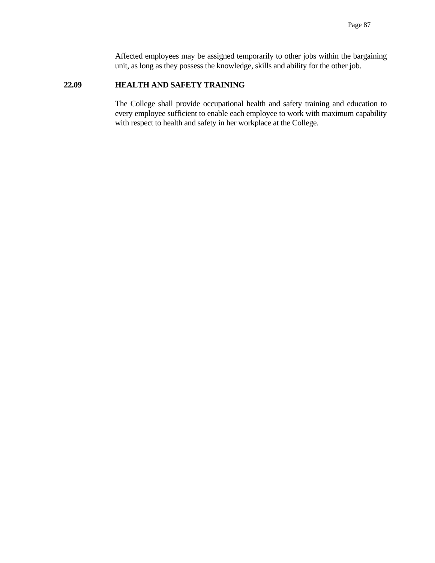Affected employees may be assigned temporarily to other jobs within the bargaining unit, as long as they possess the knowledge, skills and ability for the other job.

#### **22.09 HEALTH AND SAFETY TRAINING**

 The College shall provide occupational health and safety training and education to every employee sufficient to enable each employee to work with maximum capability with respect to health and safety in her workplace at the College.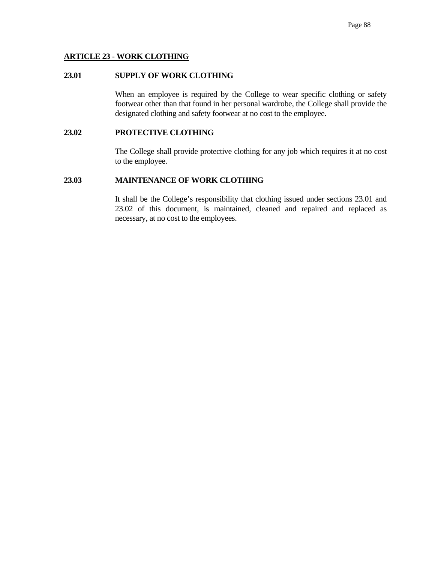# **ARTICLE 23 - WORK CLOTHING**

# **23.01 SUPPLY OF WORK CLOTHING**

When an employee is required by the College to wear specific clothing or safety footwear other than that found in her personal wardrobe, the College shall provide the designated clothing and safety footwear at no cost to the employee.

## **23.02 PROTECTIVE CLOTHING**

 The College shall provide protective clothing for any job which requires it at no cost to the employee.

# **23.03 MAINTENANCE OF WORK CLOTHING**

 It shall be the College's responsibility that clothing issued under sections 23.01 and 23.02 of this document, is maintained, cleaned and repaired and replaced as necessary, at no cost to the employees.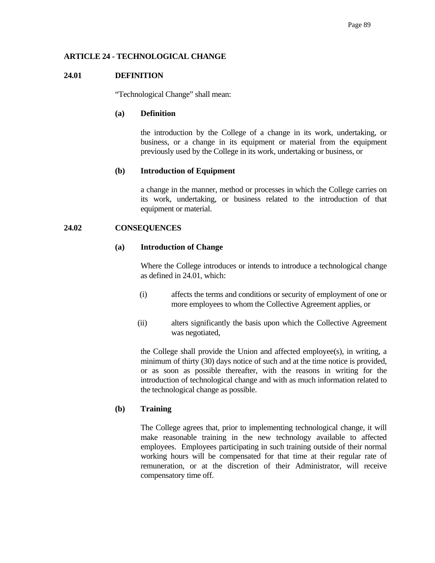# **ARTICLE 24 - TECHNOLOGICAL CHANGE**

# **24.01 DEFINITION**

"Technological Change" shall mean:

# **(a) Definition**

 the introduction by the College of a change in its work, undertaking, or business, or a change in its equipment or material from the equipment previously used by the College in its work, undertaking or business, or

# **(b) Introduction of Equipment**

 a change in the manner, method or processes in which the College carries on its work, undertaking, or business related to the introduction of that equipment or material.

# **24.02 CONSEQUENCES**

# **(a) Introduction of Change**

 Where the College introduces or intends to introduce a technological change as defined in 24.01, which:

- (i) affects the terms and conditions or security of employment of one or more employees to whom the Collective Agreement applies, or
- (ii) alters significantly the basis upon which the Collective Agreement was negotiated,

 the College shall provide the Union and affected employee(s), in writing, a minimum of thirty (30) days notice of such and at the time notice is provided, or as soon as possible thereafter, with the reasons in writing for the introduction of technological change and with as much information related to the technological change as possible.

# **(b) Training**

 The College agrees that, prior to implementing technological change, it will make reasonable training in the new technology available to affected employees. Employees participating in such training outside of their normal working hours will be compensated for that time at their regular rate of remuneration, or at the discretion of their Administrator, will receive compensatory time off.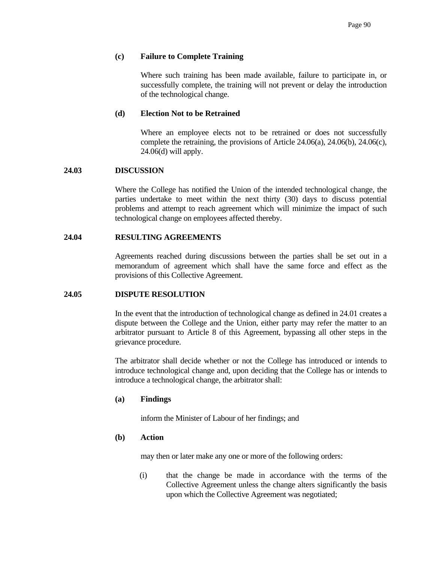## **(c) Failure to Complete Training**

 Where such training has been made available, failure to participate in, or successfully complete, the training will not prevent or delay the introduction of the technological change.

#### **(d) Election Not to be Retrained**

 Where an employee elects not to be retrained or does not successfully complete the retraining, the provisions of Article 24.06(a), 24.06(b), 24.06(c), 24.06(d) will apply.

# **24.03 DISCUSSION**

 Where the College has notified the Union of the intended technological change, the parties undertake to meet within the next thirty (30) days to discuss potential problems and attempt to reach agreement which will minimize the impact of such technological change on employees affected thereby.

## **24.04 RESULTING AGREEMENTS**

 Agreements reached during discussions between the parties shall be set out in a memorandum of agreement which shall have the same force and effect as the provisions of this Collective Agreement.

#### **24.05 DISPUTE RESOLUTION**

 In the event that the introduction of technological change as defined in 24.01 creates a dispute between the College and the Union, either party may refer the matter to an arbitrator pursuant to Article 8 of this Agreement, bypassing all other steps in the grievance procedure.

 The arbitrator shall decide whether or not the College has introduced or intends to introduce technological change and, upon deciding that the College has or intends to introduce a technological change, the arbitrator shall:

#### **(a) Findings**

inform the Minister of Labour of her findings; and

#### **(b) Action**

may then or later make any one or more of the following orders:

 (i) that the change be made in accordance with the terms of the Collective Agreement unless the change alters significantly the basis upon which the Collective Agreement was negotiated;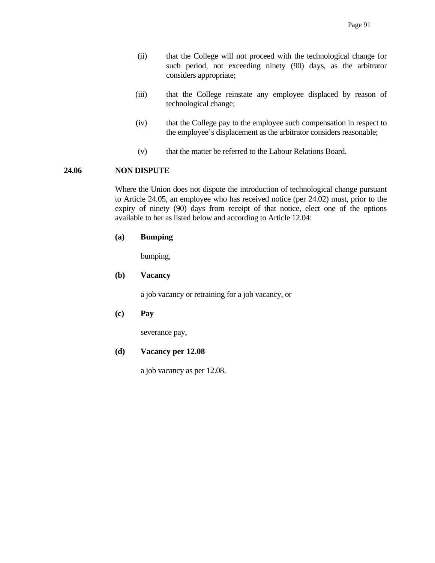- (ii) that the College will not proceed with the technological change for such period, not exceeding ninety (90) days, as the arbitrator considers appropriate;
- (iii) that the College reinstate any employee displaced by reason of technological change;
- (iv) that the College pay to the employee such compensation in respect to the employee's displacement as the arbitrator considers reasonable;
- (v) that the matter be referred to the Labour Relations Board.

#### **24.06 NON DISPUTE**

 Where the Union does not dispute the introduction of technological change pursuant to Article 24.05, an employee who has received notice (per 24.02) must, prior to the expiry of ninety (90) days from receipt of that notice, elect one of the options available to her as listed below and according to Article 12.04:

## **(a) Bumping**

bumping,

# **(b) Vacancy**

a job vacancy or retraining for a job vacancy, or

# **(c) Pay**

severance pay,

#### **(d) Vacancy per 12.08**

a job vacancy as per 12.08.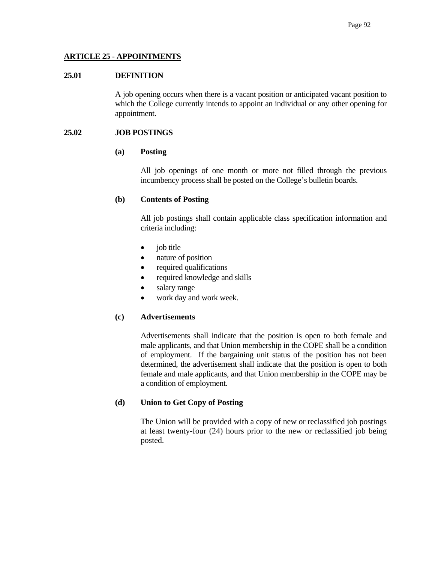# **ARTICLE 25 - APPOINTMENTS**

## **25.01 DEFINITION**

 A job opening occurs when there is a vacant position or anticipated vacant position to which the College currently intends to appoint an individual or any other opening for appointment.

## **25.02 JOB POSTINGS**

#### **(a) Posting**

 All job openings of one month or more not filled through the previous incumbency process shall be posted on the College's bulletin boards.

## **(b) Contents of Posting**

 All job postings shall contain applicable class specification information and criteria including:

- job title
- nature of position
- required qualifications
- required knowledge and skills
- salary range
- work day and work week.

# **(c) Advertisements**

 Advertisements shall indicate that the position is open to both female and male applicants, and that Union membership in the COPE shall be a condition of employment. If the bargaining unit status of the position has not been determined, the advertisement shall indicate that the position is open to both female and male applicants, and that Union membership in the COPE may be a condition of employment.

# **(d) Union to Get Copy of Posting**

 The Union will be provided with a copy of new or reclassified job postings at least twenty-four (24) hours prior to the new or reclassified job being posted.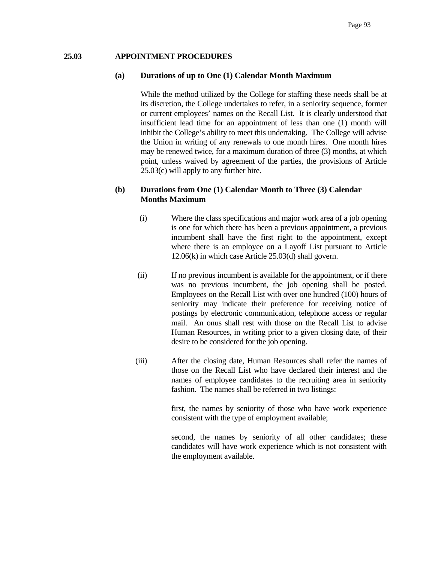### **25.03 APPOINTMENT PROCEDURES**

#### **(a) Durations of up to One (1) Calendar Month Maximum**

 While the method utilized by the College for staffing these needs shall be at its discretion, the College undertakes to refer, in a seniority sequence, former or current employees' names on the Recall List. It is clearly understood that insufficient lead time for an appointment of less than one (1) month will inhibit the College's ability to meet this undertaking. The College will advise the Union in writing of any renewals to one month hires. One month hires may be renewed twice, for a maximum duration of three (3) months, at which point, unless waived by agreement of the parties, the provisions of Article 25.03(c) will apply to any further hire.

# **(b) Durations from One (1) Calendar Month to Three (3) Calendar Months Maximum**

- (i) Where the class specifications and major work area of a job opening is one for which there has been a previous appointment, a previous incumbent shall have the first right to the appointment, except where there is an employee on a Layoff List pursuant to Article 12.06(k) in which case Article 25.03(d) shall govern.
- (ii) If no previous incumbent is available for the appointment, or if there was no previous incumbent, the job opening shall be posted. Employees on the Recall List with over one hundred (100) hours of seniority may indicate their preference for receiving notice of postings by electronic communication, telephone access or regular mail. An onus shall rest with those on the Recall List to advise Human Resources, in writing prior to a given closing date, of their desire to be considered for the job opening.
- (iii) After the closing date, Human Resources shall refer the names of those on the Recall List who have declared their interest and the names of employee candidates to the recruiting area in seniority fashion. The names shall be referred in two listings:

 first, the names by seniority of those who have work experience consistent with the type of employment available;

 second, the names by seniority of all other candidates; these candidates will have work experience which is not consistent with the employment available.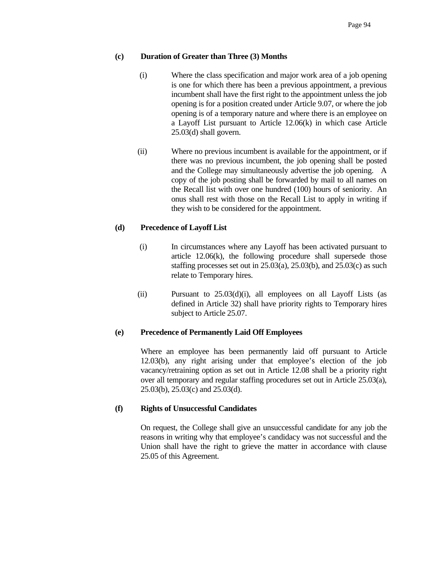# **(c) Duration of Greater than Three (3) Months**

- (i) Where the class specification and major work area of a job opening is one for which there has been a previous appointment, a previous incumbent shall have the first right to the appointment unless the job opening is for a position created under Article 9.07, or where the job opening is of a temporary nature and where there is an employee on a Layoff List pursuant to Article 12.06(k) in which case Article 25.03(d) shall govern.
- (ii) Where no previous incumbent is available for the appointment, or if there was no previous incumbent, the job opening shall be posted and the College may simultaneously advertise the job opening. A copy of the job posting shall be forwarded by mail to all names on the Recall list with over one hundred (100) hours of seniority. An onus shall rest with those on the Recall List to apply in writing if they wish to be considered for the appointment.

# **(d) Precedence of Layoff List**

- (i) In circumstances where any Layoff has been activated pursuant to article 12.06(k), the following procedure shall supersede those staffing processes set out in 25.03(a), 25.03(b), and 25.03(c) as such relate to Temporary hires.
- (ii) Pursuant to  $25.03(d)(i)$ , all employees on all Layoff Lists (as defined in Article 32) shall have priority rights to Temporary hires subject to Article 25.07.

## **(e) Precedence of Permanently Laid Off Employees**

 Where an employee has been permanently laid off pursuant to Article 12.03(b), any right arising under that employee's election of the job vacancy/retraining option as set out in Article 12.08 shall be a priority right over all temporary and regular staffing procedures set out in Article 25.03(a), 25.03(b), 25.03(c) and 25.03(d).

## **(f) Rights of Unsuccessful Candidates**

 On request, the College shall give an unsuccessful candidate for any job the reasons in writing why that employee's candidacy was not successful and the Union shall have the right to grieve the matter in accordance with clause 25.05 of this Agreement.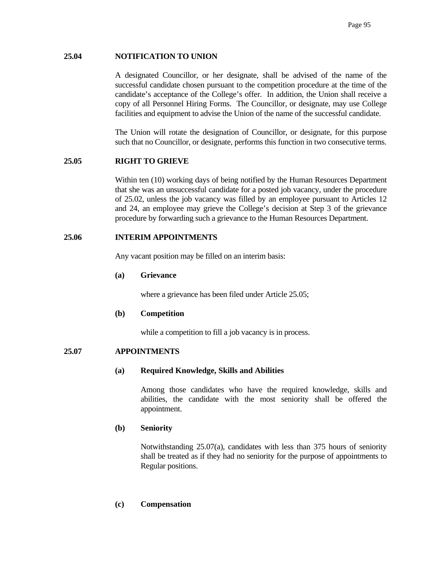## **25.04 NOTIFICATION TO UNION**

 A designated Councillor, or her designate, shall be advised of the name of the successful candidate chosen pursuant to the competition procedure at the time of the candidate's acceptance of the College's offer. In addition, the Union shall receive a copy of all Personnel Hiring Forms. The Councillor, or designate, may use College facilities and equipment to advise the Union of the name of the successful candidate.

 The Union will rotate the designation of Councillor, or designate, for this purpose such that no Councillor, or designate, performs this function in two consecutive terms.

# **25.05 RIGHT TO GRIEVE**

 Within ten (10) working days of being notified by the Human Resources Department that she was an unsuccessful candidate for a posted job vacancy, under the procedure of 25.02, unless the job vacancy was filled by an employee pursuant to Articles 12 and 24, an employee may grieve the College's decision at Step 3 of the grievance procedure by forwarding such a grievance to the Human Resources Department.

## **25.06 INTERIM APPOINTMENTS**

Any vacant position may be filled on an interim basis:

### **(a) Grievance**

where a grievance has been filed under Article 25.05;

## **(b) Competition**

while a competition to fill a job vacancy is in process.

## **25.07 APPOINTMENTS**

#### **(a) Required Knowledge, Skills and Abilities**

 Among those candidates who have the required knowledge, skills and abilities, the candidate with the most seniority shall be offered the appointment.

## **(b) Seniority**

 Notwithstanding 25.07(a), candidates with less than 375 hours of seniority shall be treated as if they had no seniority for the purpose of appointments to Regular positions.

# **(c) Compensation**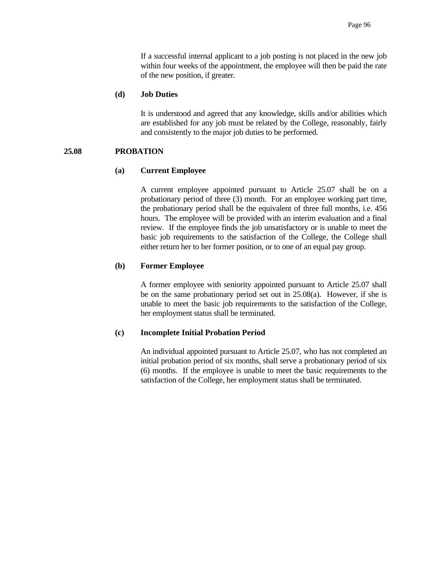If a successful internal applicant to a job posting is not placed in the new job within four weeks of the appointment, the employee will then be paid the rate of the new position, if greater.

## **(d) Job Duties**

 It is understood and agreed that any knowledge, skills and/or abilities which are established for any job must be related by the College, reasonably, fairly and consistently to the major job duties to be performed.

### **25.08 PROBATION**

### **(a) Current Employee**

 A current employee appointed pursuant to Article 25.07 shall be on a probationary period of three (3) month. For an employee working part time, the probationary period shall be the equivalent of three full months, i.e. 456 hours. The employee will be provided with an interim evaluation and a final review. If the employee finds the job unsatisfactory or is unable to meet the basic job requirements to the satisfaction of the College, the College shall either return her to her former position, or to one of an equal pay group.

## **(b) Former Employee**

 A former employee with seniority appointed pursuant to Article 25.07 shall be on the same probationary period set out in 25.08(a). However, if she is unable to meet the basic job requirements to the satisfaction of the College, her employment status shall be terminated.

#### **(c) Incomplete Initial Probation Period**

 An individual appointed pursuant to Article 25.07, who has not completed an initial probation period of six months, shall serve a probationary period of six (6) months. If the employee is unable to meet the basic requirements to the satisfaction of the College, her employment status shall be terminated.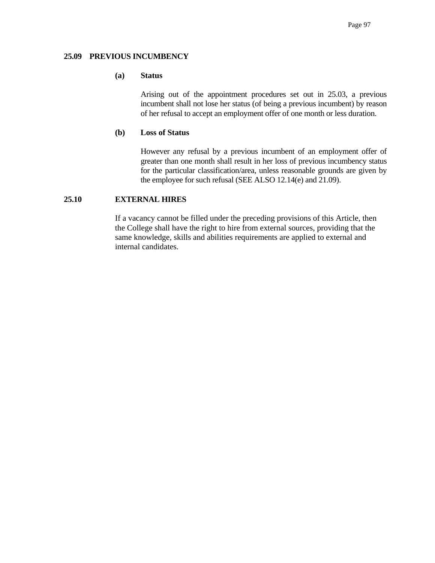## **25.09 PREVIOUS INCUMBENCY**

## **(a) Status**

 Arising out of the appointment procedures set out in 25.03, a previous incumbent shall not lose her status (of being a previous incumbent) by reason of her refusal to accept an employment offer of one month or less duration.

### **(b) Loss of Status**

 However any refusal by a previous incumbent of an employment offer of greater than one month shall result in her loss of previous incumbency status for the particular classification/area, unless reasonable grounds are given by the employee for such refusal (SEE ALSO 12.14(e) and 21.09).

# **25.10 EXTERNAL HIRES**

If a vacancy cannot be filled under the preceding provisions of this Article, then the College shall have the right to hire from external sources, providing that the same knowledge, skills and abilities requirements are applied to external and internal candidates.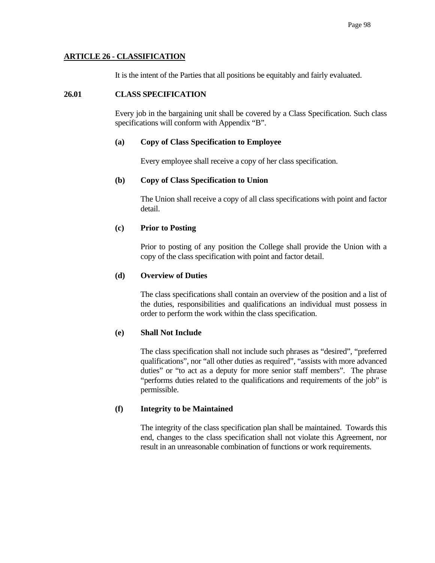# **ARTICLE 26 - CLASSIFICATION**

It is the intent of the Parties that all positions be equitably and fairly evaluated.

## **26.01 CLASS SPECIFICATION**

 Every job in the bargaining unit shall be covered by a Class Specification. Such class specifications will conform with Appendix "B".

### **(a) Copy of Class Specification to Employee**

Every employee shall receive a copy of her class specification.

## **(b) Copy of Class Specification to Union**

 The Union shall receive a copy of all class specifications with point and factor detail.

## **(c) Prior to Posting**

 Prior to posting of any position the College shall provide the Union with a copy of the class specification with point and factor detail.

## **(d) Overview of Duties**

 The class specifications shall contain an overview of the position and a list of the duties, responsibilities and qualifications an individual must possess in order to perform the work within the class specification.

## **(e) Shall Not Include**

 The class specification shall not include such phrases as "desired", "preferred qualifications", nor "all other duties as required", "assists with more advanced duties" or "to act as a deputy for more senior staff members". The phrase "performs duties related to the qualifications and requirements of the job" is permissible.

## **(f) Integrity to be Maintained**

 The integrity of the class specification plan shall be maintained. Towards this end, changes to the class specification shall not violate this Agreement, nor result in an unreasonable combination of functions or work requirements.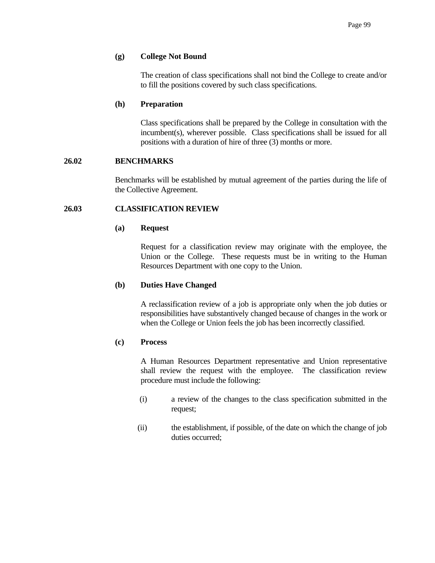### **(g) College Not Bound**

 The creation of class specifications shall not bind the College to create and/or to fill the positions covered by such class specifications.

### **(h) Preparation**

 Class specifications shall be prepared by the College in consultation with the incumbent(s), wherever possible. Class specifications shall be issued for all positions with a duration of hire of three (3) months or more.

### **26.02 BENCHMARKS**

 Benchmarks will be established by mutual agreement of the parties during the life of the Collective Agreement.

## **26.03 CLASSIFICATION REVIEW**

### **(a) Request**

 Request for a classification review may originate with the employee, the Union or the College. These requests must be in writing to the Human Resources Department with one copy to the Union.

## **(b) Duties Have Changed**

 A reclassification review of a job is appropriate only when the job duties or responsibilities have substantively changed because of changes in the work or when the College or Union feels the job has been incorrectly classified.

#### **(c) Process**

 A Human Resources Department representative and Union representative shall review the request with the employee. The classification review procedure must include the following:

- (i) a review of the changes to the class specification submitted in the request;
- (ii) the establishment, if possible, of the date on which the change of job duties occurred;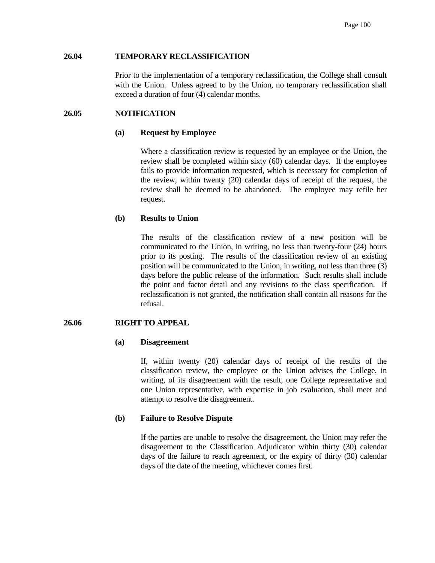## **26.04 TEMPORARY RECLASSIFICATION**

 Prior to the implementation of a temporary reclassification, the College shall consult with the Union. Unless agreed to by the Union, no temporary reclassification shall exceed a duration of four (4) calendar months.

## **26.05 NOTIFICATION**

### **(a) Request by Employee**

 Where a classification review is requested by an employee or the Union, the review shall be completed within sixty (60) calendar days. If the employee fails to provide information requested, which is necessary for completion of the review, within twenty (20) calendar days of receipt of the request, the review shall be deemed to be abandoned. The employee may refile her request.

### **(b) Results to Union**

 The results of the classification review of a new position will be communicated to the Union, in writing, no less than twenty-four (24) hours prior to its posting. The results of the classification review of an existing position will be communicated to the Union, in writing, not less than three (3) days before the public release of the information. Such results shall include the point and factor detail and any revisions to the class specification. If reclassification is not granted, the notification shall contain all reasons for the refusal.

#### **26.06 RIGHT TO APPEAL**

#### **(a) Disagreement**

 If, within twenty (20) calendar days of receipt of the results of the classification review, the employee or the Union advises the College, in writing, of its disagreement with the result, one College representative and one Union representative, with expertise in job evaluation, shall meet and attempt to resolve the disagreement.

## **(b) Failure to Resolve Dispute**

 If the parties are unable to resolve the disagreement, the Union may refer the disagreement to the Classification Adjudicator within thirty (30) calendar days of the failure to reach agreement, or the expiry of thirty (30) calendar days of the date of the meeting, whichever comes first.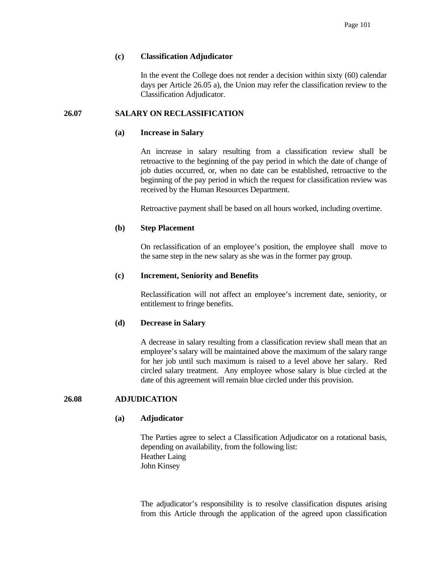## **(c) Classification Adjudicator**

 In the event the College does not render a decision within sixty (60) calendar days per Article 26.05 a), the Union may refer the classification review to the Classification Adjudicator.

# **26.07 SALARY ON RECLASSIFICATION**

#### **(a) Increase in Salary**

 An increase in salary resulting from a classification review shall be retroactive to the beginning of the pay period in which the date of change of job duties occurred, or, when no date can be established, retroactive to the beginning of the pay period in which the request for classification review was received by the Human Resources Department.

Retroactive payment shall be based on all hours worked, including overtime.

### **(b) Step Placement**

 On reclassification of an employee's position, the employee shall move to the same step in the new salary as she was in the former pay group.

### **(c) Increment, Seniority and Benefits**

 Reclassification will not affect an employee's increment date, seniority, or entitlement to fringe benefits.

#### **(d) Decrease in Salary**

 A decrease in salary resulting from a classification review shall mean that an employee's salary will be maintained above the maximum of the salary range for her job until such maximum is raised to a level above her salary. Red circled salary treatment. Any employee whose salary is blue circled at the date of this agreement will remain blue circled under this provision.

# **26.08 ADJUDICATION**

#### **(a) Adjudicator**

 The Parties agree to select a Classification Adjudicator on a rotational basis, depending on availability, from the following list: Heather Laing John Kinsey

The adjudicator's responsibility is to resolve classification disputes arising from this Article through the application of the agreed upon classification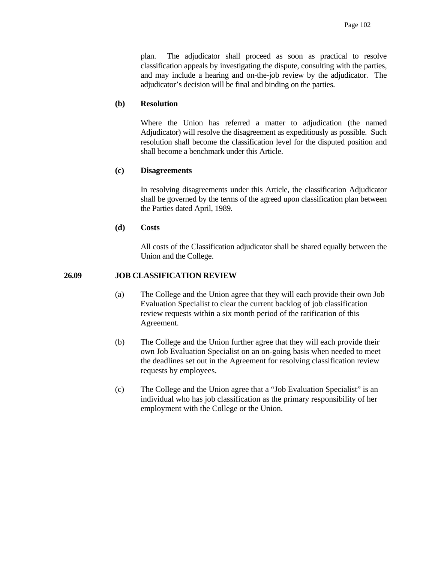plan. The adjudicator shall proceed as soon as practical to resolve classification appeals by investigating the dispute, consulting with the parties, and may include a hearing and on-the-job review by the adjudicator. The adjudicator's decision will be final and binding on the parties.

#### **(b) Resolution**

 Where the Union has referred a matter to adjudication (the named Adjudicator) will resolve the disagreement as expeditiously as possible. Such resolution shall become the classification level for the disputed position and shall become a benchmark under this Article.

#### **(c) Disagreements**

 In resolving disagreements under this Article, the classification Adjudicator shall be governed by the terms of the agreed upon classification plan between the Parties dated April, 1989.

## **(d) Costs**

 All costs of the Classification adjudicator shall be shared equally between the Union and the College.

## **26.09 JOB CLASSIFICATION REVIEW**

- (a) The College and the Union agree that they will each provide their own Job Evaluation Specialist to clear the current backlog of job classification review requests within a six month period of the ratification of this Agreement.
- (b) The College and the Union further agree that they will each provide their own Job Evaluation Specialist on an on-going basis when needed to meet the deadlines set out in the Agreement for resolving classification review requests by employees.
- (c) The College and the Union agree that a "Job Evaluation Specialist" is an individual who has job classification as the primary responsibility of her employment with the College or the Union.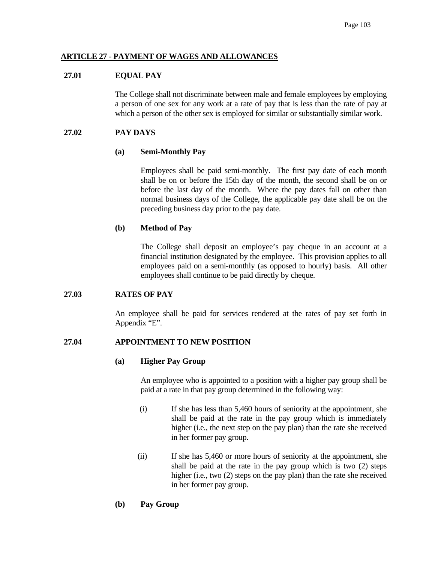# **ARTICLE 27 - PAYMENT OF WAGES AND ALLOWANCES**

## **27.01 EQUAL PAY**

 The College shall not discriminate between male and female employees by employing a person of one sex for any work at a rate of pay that is less than the rate of pay at which a person of the other sex is employed for similar or substantially similar work.

## **27.02 PAY DAYS**

## **(a) Semi-Monthly Pay**

 Employees shall be paid semi-monthly. The first pay date of each month shall be on or before the 15th day of the month, the second shall be on or before the last day of the month. Where the pay dates fall on other than normal business days of the College, the applicable pay date shall be on the preceding business day prior to the pay date.

# **(b) Method of Pay**

 The College shall deposit an employee's pay cheque in an account at a financial institution designated by the employee. This provision applies to all employees paid on a semi-monthly (as opposed to hourly) basis. All other employees shall continue to be paid directly by cheque.

## **27.03 RATES OF PAY**

 An employee shall be paid for services rendered at the rates of pay set forth in Appendix "E".

## **27.04 APPOINTMENT TO NEW POSITION**

## **(a) Higher Pay Group**

 An employee who is appointed to a position with a higher pay group shall be paid at a rate in that pay group determined in the following way:

- (i) If she has less than 5,460 hours of seniority at the appointment, she shall be paid at the rate in the pay group which is immediately higher (i.e., the next step on the pay plan) than the rate she received in her former pay group.
- (ii) If she has 5,460 or more hours of seniority at the appointment, she shall be paid at the rate in the pay group which is two (2) steps higher (i.e., two (2) steps on the pay plan) than the rate she received in her former pay group.

# **(b) Pay Group**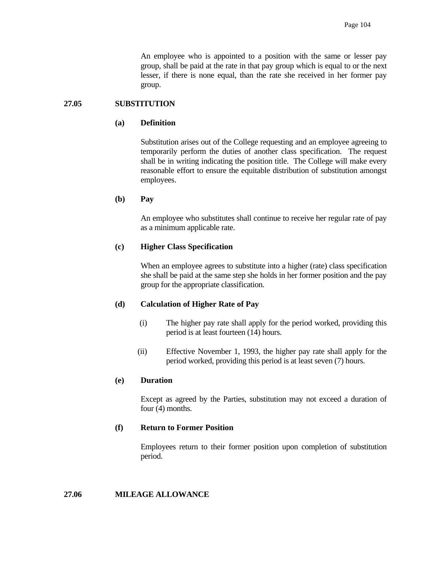An employee who is appointed to a position with the same or lesser pay group, shall be paid at the rate in that pay group which is equal to or the next lesser, if there is none equal, than the rate she received in her former pay group.

## **27.05 SUBSTITUTION**

## **(a) Definition**

 Substitution arises out of the College requesting and an employee agreeing to temporarily perform the duties of another class specification. The request shall be in writing indicating the position title. The College will make every reasonable effort to ensure the equitable distribution of substitution amongst employees.

# **(b) Pay**

 An employee who substitutes shall continue to receive her regular rate of pay as a minimum applicable rate.

# **(c) Higher Class Specification**

 When an employee agrees to substitute into a higher (rate) class specification she shall be paid at the same step she holds in her former position and the pay group for the appropriate classification.

## **(d) Calculation of Higher Rate of Pay**

- (i) The higher pay rate shall apply for the period worked, providing this period is at least fourteen (14) hours.
- (ii) Effective November 1, 1993, the higher pay rate shall apply for the period worked, providing this period is at least seven (7) hours.

# **(e) Duration**

 Except as agreed by the Parties, substitution may not exceed a duration of four (4) months.

# **(f) Return to Former Position**

 Employees return to their former position upon completion of substitution period.

# **27.06 MILEAGE ALLOWANCE**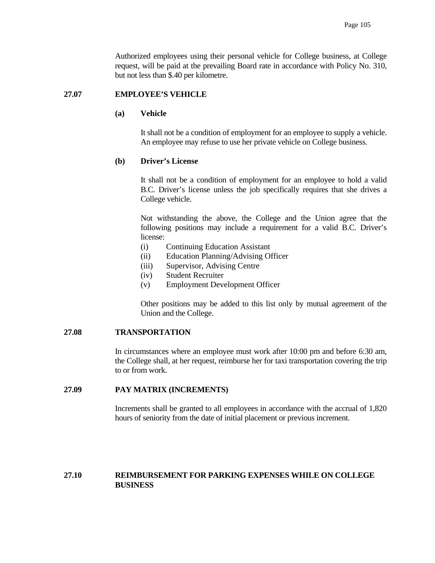Authorized employees using their personal vehicle for College business, at College request, will be paid at the prevailing Board rate in accordance with Policy No. 310, but not less than \$.40 per kilometre.

#### **27.07 EMPLOYEE'S VEHICLE**

# **(a) Vehicle**

 It shall not be a condition of employment for an employee to supply a vehicle. An employee may refuse to use her private vehicle on College business.

#### **(b) Driver's License**

 It shall not be a condition of employment for an employee to hold a valid B.C. Driver's license unless the job specifically requires that she drives a College vehicle.

 Not withstanding the above, the College and the Union agree that the following positions may include a requirement for a valid B.C. Driver's license:

- (i) Continuing Education Assistant
- (ii) Education Planning/Advising Officer
- (iii) Supervisor, Advising Centre
- (iv) Student Recruiter
- (v) Employment Development Officer

 Other positions may be added to this list only by mutual agreement of the Union and the College.

#### **27.08 TRANSPORTATION**

 In circumstances where an employee must work after 10:00 pm and before 6:30 am, the College shall, at her request, reimburse her for taxi transportation covering the trip to or from work.

## **27.09 PAY MATRIX (INCREMENTS)**

 Increments shall be granted to all employees in accordance with the accrual of 1,820 hours of seniority from the date of initial placement or previous increment.

# **27.10 REIMBURSEMENT FOR PARKING EXPENSES WHILE ON COLLEGE BUSINESS**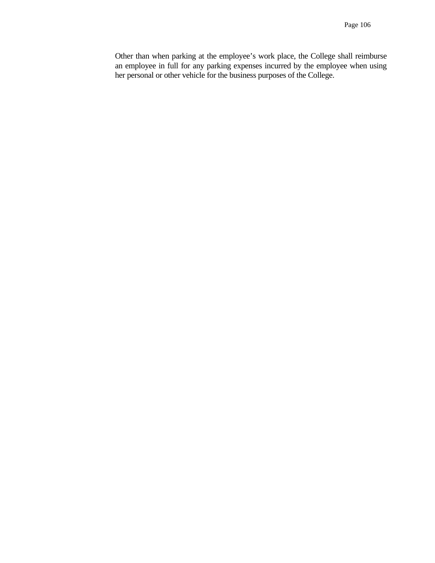Other than when parking at the employee's work place, the College shall reimburse an employee in full for any parking expenses incurred by the employee when using her personal or other vehicle for the business purposes of the College.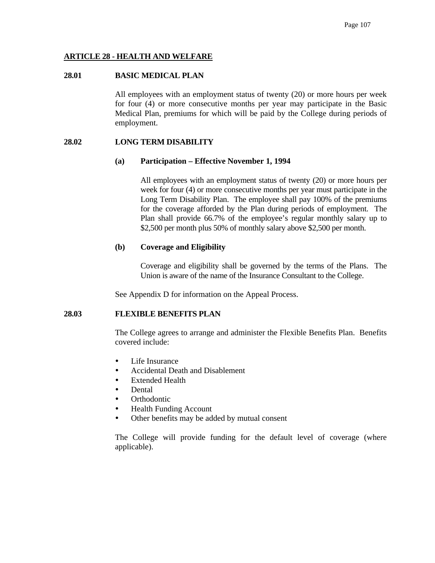# **ARTICLE 28 - HEALTH AND WELFARE**

### **28.01 BASIC MEDICAL PLAN**

All employees with an employment status of twenty (20) or more hours per week for four (4) or more consecutive months per year may participate in the Basic Medical Plan, premiums for which will be paid by the College during periods of employment.

## **28.02 LONG TERM DISABILITY**

#### **(a) Participation – Effective November 1, 1994**

All employees with an employment status of twenty (20) or more hours per week for four (4) or more consecutive months per year must participate in the Long Term Disability Plan. The employee shall pay 100% of the premiums for the coverage afforded by the Plan during periods of employment. The Plan shall provide 66.7% of the employee's regular monthly salary up to \$2,500 per month plus 50% of monthly salary above \$2,500 per month.

## **(b) Coverage and Eligibility**

 Coverage and eligibility shall be governed by the terms of the Plans. The Union is aware of the name of the Insurance Consultant to the College.

See Appendix D for information on the Appeal Process.

#### **28.03 FLEXIBLE BENEFITS PLAN**

The College agrees to arrange and administer the Flexible Benefits Plan. Benefits covered include:

- Life Insurance
- Accidental Death and Disablement
- Extended Health
- Dental
- Orthodontic
- Health Funding Account
- Other benefits may be added by mutual consent

The College will provide funding for the default level of coverage (where applicable).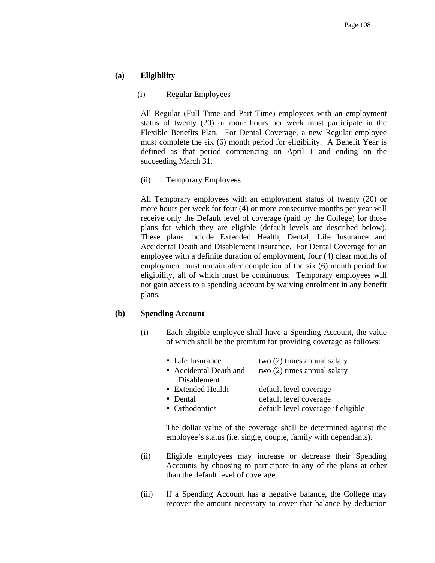# **(a) Eligibility**

(i) Regular Employees

All Regular (Full Time and Part Time) employees with an employment status of twenty (20) or more hours per week must participate in the Flexible Benefits Plan. For Dental Coverage, a new Regular employee must complete the six (6) month period for eligibility. A Benefit Year is defined as that period commencing on April 1 and ending on the succeeding March 31.

(ii) Temporary Employees

All Temporary employees with an employment status of twenty (20) or more hours per week for four (4) or more consecutive months per year will receive only the Default level of coverage (paid by the College) for those plans for which they are eligible (default levels are described below). These plans include Extended Health, Dental, Life Insurance and Accidental Death and Disablement Insurance. For Dental Coverage for an employee with a definite duration of employment, four (4) clear months of employment must remain after completion of the six (6) month period for eligibility, all of which must be continuous. Temporary employees will not gain access to a spending account by waiving enrolment in any benefit plans.

#### **(b) Spending Account**

(i) Each eligible employee shall have a Spending Account, the value of which shall be the premium for providing coverage as follows:

| • Life Insurance       | two $(2)$ times annual salary      |
|------------------------|------------------------------------|
| • Accidental Death and | two $(2)$ times annual salary      |
| Disablement            |                                    |
| • Extended Health      | default level coverage             |
| • Dental               | default level coverage             |
| • Orthodontics         | default level coverage if eligible |

 The dollar value of the coverage shall be determined against the employee's status (i.e. single, couple, family with dependants).

- (ii) Eligible employees may increase or decrease their Spending Accounts by choosing to participate in any of the plans at other than the default level of coverage.
- (iii) If a Spending Account has a negative balance, the College may recover the amount necessary to cover that balance by deduction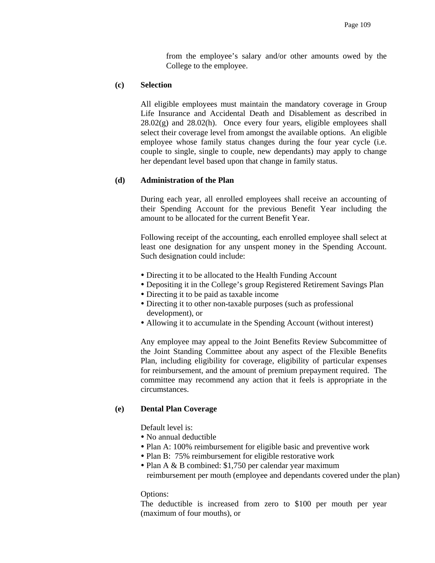from the employee's salary and/or other amounts owed by the College to the employee.

### **(c) Selection**

All eligible employees must maintain the mandatory coverage in Group Life Insurance and Accidental Death and Disablement as described in  $28.02(g)$  and  $28.02(h)$ . Once every four years, eligible employees shall select their coverage level from amongst the available options. An eligible employee whose family status changes during the four year cycle (i.e. couple to single, single to couple, new dependants) may apply to change her dependant level based upon that change in family status.

## **(d) Administration of the Plan**

During each year, all enrolled employees shall receive an accounting of their Spending Account for the previous Benefit Year including the amount to be allocated for the current Benefit Year.

Following receipt of the accounting, each enrolled employee shall select at least one designation for any unspent money in the Spending Account. Such designation could include:

- Directing it to be allocated to the Health Funding Account
- Depositing it in the College's group Registered Retirement Savings Plan
- Directing it to be paid as taxable income
- Directing it to other non-taxable purposes (such as professional development), or
- Allowing it to accumulate in the Spending Account (without interest)

Any employee may appeal to the Joint Benefits Review Subcommittee of the Joint Standing Committee about any aspect of the Flexible Benefits Plan, including eligibility for coverage, eligibility of particular expenses for reimbursement, and the amount of premium prepayment required. The committee may recommend any action that it feels is appropriate in the circumstances.

#### **(e) Dental Plan Coverage**

Default level is:

- No annual deductible
- Plan A: 100% reimbursement for eligible basic and preventive work
- Plan B: 75% reimbursement for eligible restorative work
- Plan A & B combined: \$1,750 per calendar year maximum reimbursement per mouth (employee and dependants covered under the plan)

#### Options:

The deductible is increased from zero to \$100 per mouth per year (maximum of four mouths), or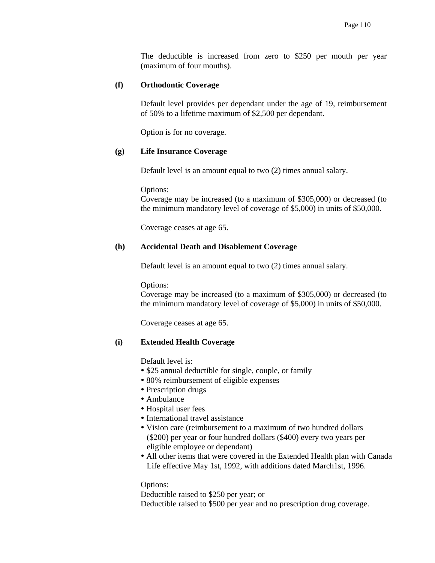The deductible is increased from zero to \$250 per mouth per year (maximum of four mouths).

# **(f) Orthodontic Coverage**

Default level provides per dependant under the age of 19, reimbursement of 50% to a lifetime maximum of \$2,500 per dependant.

Option is for no coverage.

# **(g) Life Insurance Coverage**

Default level is an amount equal to two (2) times annual salary.

Options:

Coverage may be increased (to a maximum of \$305,000) or decreased (to the minimum mandatory level of coverage of \$5,000) in units of \$50,000.

Coverage ceases at age 65.

# **(h) Accidental Death and Disablement Coverage**

Default level is an amount equal to two (2) times annual salary.

Options:

Coverage may be increased (to a maximum of \$305,000) or decreased (to the minimum mandatory level of coverage of \$5,000) in units of \$50,000.

Coverage ceases at age 65.

# **(i) Extended Health Coverage**

Default level is:

- \$25 annual deductible for single, couple, or family
- 80% reimbursement of eligible expenses
- Prescription drugs
- Ambulance
- Hospital user fees
- International travel assistance
- Vision care (reimbursement to a maximum of two hundred dollars (\$200) per year or four hundred dollars (\$400) every two years per eligible employee or dependant)
- All other items that were covered in the Extended Health plan with Canada Life effective May 1st, 1992, with additions dated March1st, 1996.

Options:

Deductible raised to \$250 per year; or

Deductible raised to \$500 per year and no prescription drug coverage.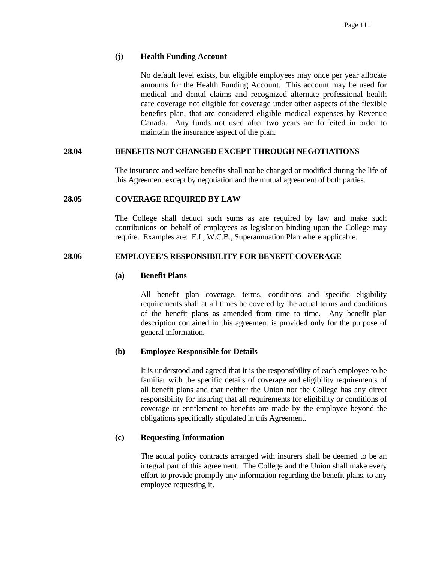# **(j) Health Funding Account**

No default level exists, but eligible employees may once per year allocate amounts for the Health Funding Account. This account may be used for medical and dental claims and recognized alternate professional health care coverage not eligible for coverage under other aspects of the flexible benefits plan, that are considered eligible medical expenses by Revenue Canada. Any funds not used after two years are forfeited in order to maintain the insurance aspect of the plan.

# **28.04 BENEFITS NOT CHANGED EXCEPT THROUGH NEGOTIATIONS**

 The insurance and welfare benefits shall not be changed or modified during the life of this Agreement except by negotiation and the mutual agreement of both parties.

# **28.05 COVERAGE REQUIRED BY LAW**

 The College shall deduct such sums as are required by law and make such contributions on behalf of employees as legislation binding upon the College may require. Examples are: E.I., W.C.B., Superannuation Plan where applicable.

# **28.06 EMPLOYEE'S RESPONSIBILITY FOR BENEFIT COVERAGE**

## **(a) Benefit Plans**

 All benefit plan coverage, terms, conditions and specific eligibility requirements shall at all times be covered by the actual terms and conditions of the benefit plans as amended from time to time. Any benefit plan description contained in this agreement is provided only for the purpose of general information.

# **(b) Employee Responsible for Details**

 It is understood and agreed that it is the responsibility of each employee to be familiar with the specific details of coverage and eligibility requirements of all benefit plans and that neither the Union nor the College has any direct responsibility for insuring that all requirements for eligibility or conditions of coverage or entitlement to benefits are made by the employee beyond the obligations specifically stipulated in this Agreement.

## **(c) Requesting Information**

 The actual policy contracts arranged with insurers shall be deemed to be an integral part of this agreement. The College and the Union shall make every effort to provide promptly any information regarding the benefit plans, to any employee requesting it.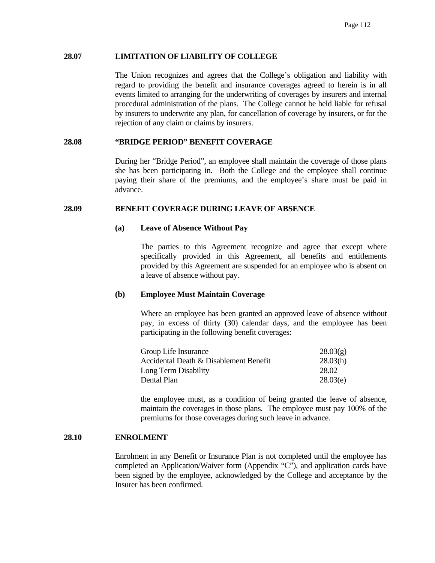### **28.07 LIMITATION OF LIABILITY OF COLLEGE**

 The Union recognizes and agrees that the College's obligation and liability with regard to providing the benefit and insurance coverages agreed to herein is in all events limited to arranging for the underwriting of coverages by insurers and internal procedural administration of the plans. The College cannot be held liable for refusal by insurers to underwrite any plan, for cancellation of coverage by insurers, or for the rejection of any claim or claims by insurers.

### **28.08 "BRIDGE PERIOD" BENEFIT COVERAGE**

 During her "Bridge Period", an employee shall maintain the coverage of those plans she has been participating in. Both the College and the employee shall continue paying their share of the premiums, and the employee's share must be paid in advance.

### **28.09 BENEFIT COVERAGE DURING LEAVE OF ABSENCE**

### **(a) Leave of Absence Without Pay**

 The parties to this Agreement recognize and agree that except where specifically provided in this Agreement, all benefits and entitlements provided by this Agreement are suspended for an employee who is absent on a leave of absence without pay.

#### **(b) Employee Must Maintain Coverage**

 Where an employee has been granted an approved leave of absence without pay, in excess of thirty (30) calendar days, and the employee has been participating in the following benefit coverages:

| Group Life Insurance                   | 28.03(g) |
|----------------------------------------|----------|
| Accidental Death & Disablement Benefit | 28.03(h) |
| Long Term Disability                   | 28.02    |
| Dental Plan                            | 28.03(e) |

 the employee must, as a condition of being granted the leave of absence, maintain the coverages in those plans. The employee must pay 100% of the premiums for those coverages during such leave in advance.

#### **28.10 ENROLMENT**

 Enrolment in any Benefit or Insurance Plan is not completed until the employee has completed an Application/Waiver form (Appendix "C"), and application cards have been signed by the employee, acknowledged by the College and acceptance by the Insurer has been confirmed.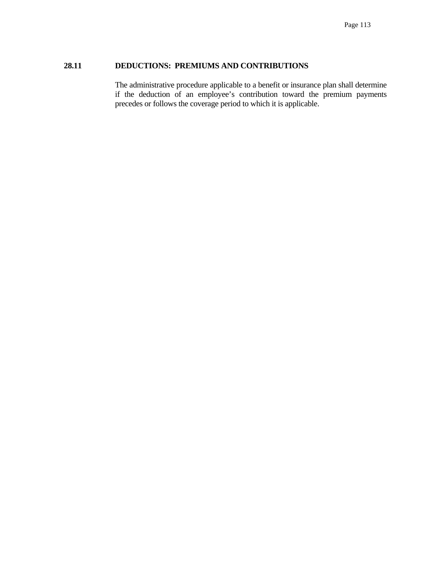# **28.11 DEDUCTIONS: PREMIUMS AND CONTRIBUTIONS**

 The administrative procedure applicable to a benefit or insurance plan shall determine if the deduction of an employee's contribution toward the premium payments precedes or follows the coverage period to which it is applicable.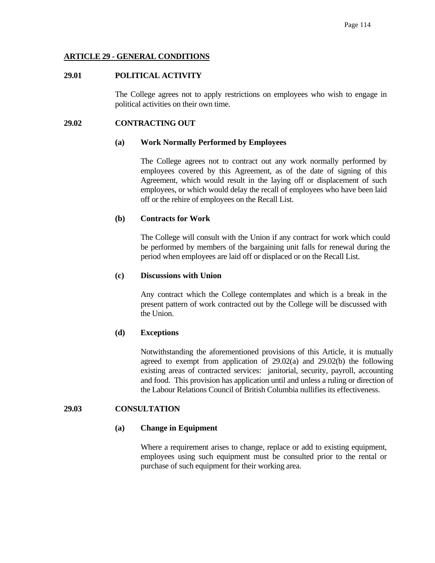## **ARTICLE 29 - GENERAL CONDITIONS**

## **29.01 POLITICAL ACTIVITY**

 The College agrees not to apply restrictions on employees who wish to engage in political activities on their own time.

### **29.02 CONTRACTING OUT**

#### **(a) Work Normally Performed by Employees**

 The College agrees not to contract out any work normally performed by employees covered by this Agreement, as of the date of signing of this Agreement, which would result in the laying off or displacement of such employees, or which would delay the recall of employees who have been laid off or the rehire of employees on the Recall List.

### **(b) Contracts for Work**

 The College will consult with the Union if any contract for work which could be performed by members of the bargaining unit falls for renewal during the period when employees are laid off or displaced or on the Recall List.

#### **(c) Discussions with Union**

 Any contract which the College contemplates and which is a break in the present pattern of work contracted out by the College will be discussed with the Union.

## **(d) Exceptions**

 Notwithstanding the aforementioned provisions of this Article, it is mutually agreed to exempt from application of 29.02(a) and 29.02(b) the following existing areas of contracted services: janitorial, security, payroll, accounting and food. This provision has application until and unless a ruling or direction of the Labour Relations Council of British Columbia nullifies its effectiveness.

### **29.03 CONSULTATION**

#### **(a) Change in Equipment**

 Where a requirement arises to change, replace or add to existing equipment, employees using such equipment must be consulted prior to the rental or purchase of such equipment for their working area.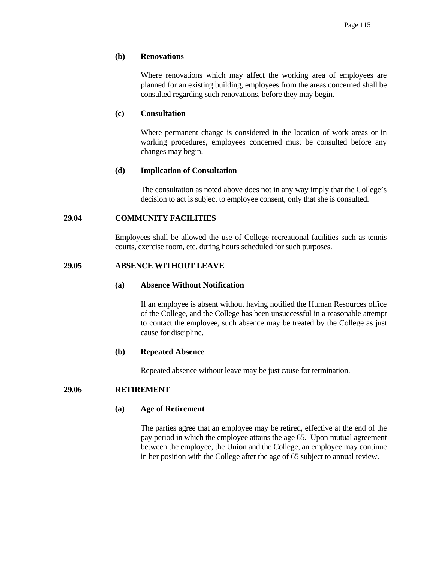### **(b) Renovations**

 Where renovations which may affect the working area of employees are planned for an existing building, employees from the areas concerned shall be consulted regarding such renovations, before they may begin.

### **(c) Consultation**

 Where permanent change is considered in the location of work areas or in working procedures, employees concerned must be consulted before any changes may begin.

## **(d) Implication of Consultation**

 The consultation as noted above does not in any way imply that the College's decision to act is subject to employee consent, only that she is consulted.

## **29.04 COMMUNITY FACILITIES**

 Employees shall be allowed the use of College recreational facilities such as tennis courts, exercise room, etc. during hours scheduled for such purposes.

# **29.05 ABSENCE WITHOUT LEAVE**

## **(a) Absence Without Notification**

 If an employee is absent without having notified the Human Resources office of the College, and the College has been unsuccessful in a reasonable attempt to contact the employee, such absence may be treated by the College as just cause for discipline.

#### **(b) Repeated Absence**

Repeated absence without leave may be just cause for termination.

## **29.06 RETIREMENT**

## **(a) Age of Retirement**

 The parties agree that an employee may be retired, effective at the end of the pay period in which the employee attains the age 65. Upon mutual agreement between the employee, the Union and the College, an employee may continue in her position with the College after the age of 65 subject to annual review.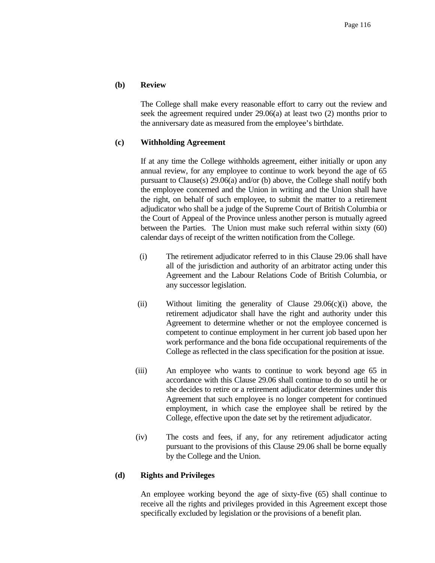## **(b) Review**

 The College shall make every reasonable effort to carry out the review and seek the agreement required under 29.06(a) at least two (2) months prior to the anniversary date as measured from the employee's birthdate.

### **(c) Withholding Agreement**

 If at any time the College withholds agreement, either initially or upon any annual review, for any employee to continue to work beyond the age of 65 pursuant to Clause(s) 29.06(a) and/or (b) above, the College shall notify both the employee concerned and the Union in writing and the Union shall have the right, on behalf of such employee, to submit the matter to a retirement adjudicator who shall be a judge of the Supreme Court of British Columbia or the Court of Appeal of the Province unless another person is mutually agreed between the Parties. The Union must make such referral within sixty (60) calendar days of receipt of the written notification from the College.

- (i) The retirement adjudicator referred to in this Clause 29.06 shall have all of the jurisdiction and authority of an arbitrator acting under this Agreement and the Labour Relations Code of British Columbia, or any successor legislation.
- (ii) Without limiting the generality of Clause 29.06(c)(i) above, the retirement adjudicator shall have the right and authority under this Agreement to determine whether or not the employee concerned is competent to continue employment in her current job based upon her work performance and the bona fide occupational requirements of the College as reflected in the class specification for the position at issue.
- (iii) An employee who wants to continue to work beyond age 65 in accordance with this Clause 29.06 shall continue to do so until he or she decides to retire or a retirement adjudicator determines under this Agreement that such employee is no longer competent for continued employment, in which case the employee shall be retired by the College, effective upon the date set by the retirement adjudicator.
- (iv) The costs and fees, if any, for any retirement adjudicator acting pursuant to the provisions of this Clause 29.06 shall be borne equally by the College and the Union.

#### **(d) Rights and Privileges**

 An employee working beyond the age of sixty-five (65) shall continue to receive all the rights and privileges provided in this Agreement except those specifically excluded by legislation or the provisions of a benefit plan.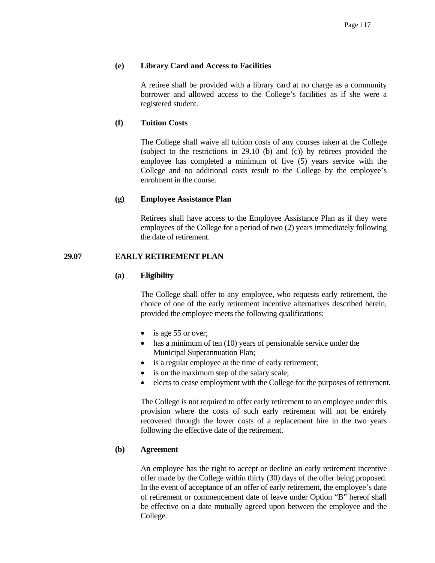## **(e) Library Card and Access to Facilities**

 A retiree shall be provided with a library card at no charge as a community borrower and allowed access to the College's facilities as if she were a registered student.

## **(f) Tuition Costs**

 The College shall waive all tuition costs of any courses taken at the College (subject to the restrictions in 29.10 (b) and (c)) by retirees provided the employee has completed a minimum of five (5) years service with the College and no additional costs result to the College by the employee's enrolment in the course.

#### **(g) Employee Assistance Plan**

 Retirees shall have access to the Employee Assistance Plan as if they were employees of the College for a period of two (2) years immediately following the date of retirement.

## **29.07 EARLY RETIREMENT PLAN**

#### **(a) Eligibility**

 The College shall offer to any employee, who requests early retirement, the choice of one of the early retirement incentive alternatives described herein, provided the employee meets the following qualifications:

- is age 55 or over;
- has a minimum of ten (10) years of pensionable service under the Municipal Superannuation Plan;
- is a regular employee at the time of early retirement;
- is on the maximum step of the salary scale;
- elects to cease employment with the College for the purposes of retirement.

 The College is not required to offer early retirement to an employee under this provision where the costs of such early retirement will not be entirely recovered through the lower costs of a replacement hire in the two years following the effective date of the retirement.

## **(b) Agreement**

 An employee has the right to accept or decline an early retirement incentive offer made by the College within thirty (30) days of the offer being proposed. In the event of acceptance of an offer of early retirement, the employee's date of retirement or commencement date of leave under Option "B" hereof shall be effective on a date mutually agreed upon between the employee and the College.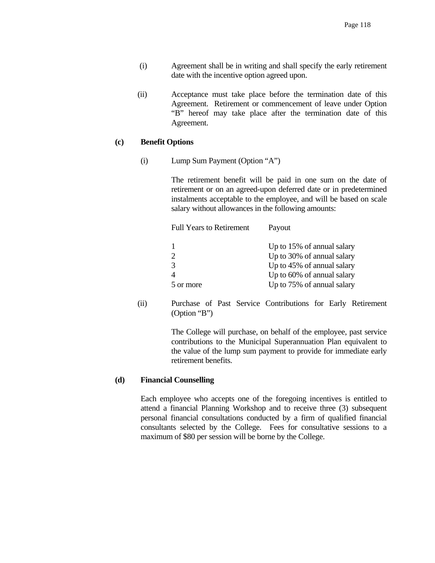- (i) Agreement shall be in writing and shall specify the early retirement date with the incentive option agreed upon.
- (ii) Acceptance must take place before the termination date of this Agreement. Retirement or commencement of leave under Option "B" hereof may take place after the termination date of this Agreement.

## **(c) Benefit Options**

(i) Lump Sum Payment (Option "A")

 The retirement benefit will be paid in one sum on the date of retirement or on an agreed-upon deferred date or in predetermined instalments acceptable to the employee, and will be based on scale salary without allowances in the following amounts:

| <b>Full Years to Retirement</b> | Payout                     |
|---------------------------------|----------------------------|
|                                 | Up to 15% of annual salary |
|                                 | Up to 30% of annual salary |
| 3                               | Up to 45% of annual salary |
|                                 | Up to 60% of annual salary |
| 5 or more                       | Up to 75% of annual salary |

 (ii) Purchase of Past Service Contributions for Early Retirement (Option "B")

> The College will purchase, on behalf of the employee, past service contributions to the Municipal Superannuation Plan equivalent to the value of the lump sum payment to provide for immediate early retirement benefits.

## **(d) Financial Counselling**

 Each employee who accepts one of the foregoing incentives is entitled to attend a financial Planning Workshop and to receive three (3) subsequent personal financial consultations conducted by a firm of qualified financial consultants selected by the College. Fees for consultative sessions to a maximum of \$80 per session will be borne by the College.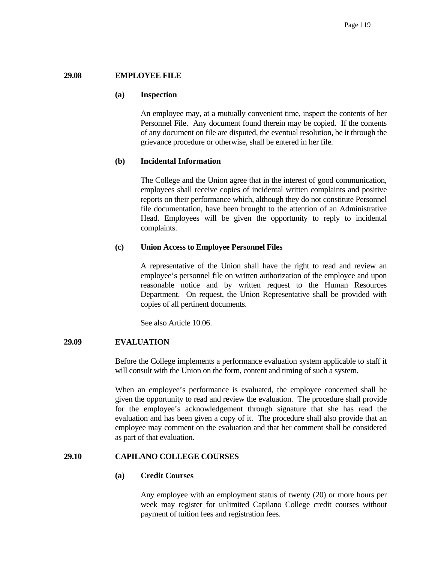## **29.08 EMPLOYEE FILE**

#### **(a) Inspection**

 An employee may, at a mutually convenient time, inspect the contents of her Personnel File. Any document found therein may be copied. If the contents of any document on file are disputed, the eventual resolution, be it through the grievance procedure or otherwise, shall be entered in her file.

#### **(b) Incidental Information**

 The College and the Union agree that in the interest of good communication, employees shall receive copies of incidental written complaints and positive reports on their performance which, although they do not constitute Personnel file documentation, have been brought to the attention of an Administrative Head. Employees will be given the opportunity to reply to incidental complaints.

### **(c) Union Access to Employee Personnel Files**

 A representative of the Union shall have the right to read and review an employee's personnel file on written authorization of the employee and upon reasonable notice and by written request to the Human Resources Department. On request, the Union Representative shall be provided with copies of all pertinent documents.

See also Article 10.06.

## **29.09 EVALUATION**

 Before the College implements a performance evaluation system applicable to staff it will consult with the Union on the form, content and timing of such a system.

 When an employee's performance is evaluated, the employee concerned shall be given the opportunity to read and review the evaluation. The procedure shall provide for the employee's acknowledgement through signature that she has read the evaluation and has been given a copy of it. The procedure shall also provide that an employee may comment on the evaluation and that her comment shall be considered as part of that evaluation.

#### **29.10 CAPILANO COLLEGE COURSES**

#### **(a) Credit Courses**

 Any employee with an employment status of twenty (20) or more hours per week may register for unlimited Capilano College credit courses without payment of tuition fees and registration fees.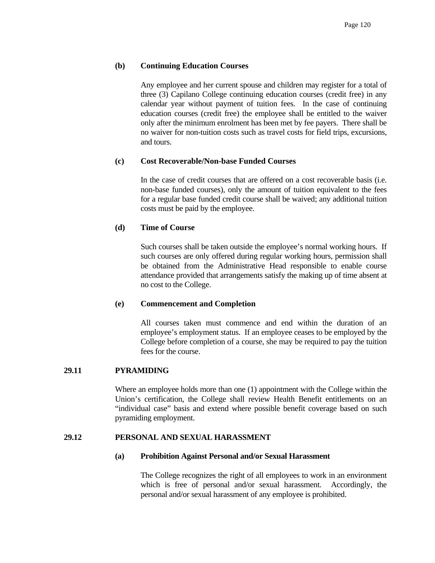# **(b) Continuing Education Courses**

 Any employee and her current spouse and children may register for a total of three (3) Capilano College continuing education courses (credit free) in any calendar year without payment of tuition fees. In the case of continuing education courses (credit free) the employee shall be entitled to the waiver only after the minimum enrolment has been met by fee payers. There shall be no waiver for non-tuition costs such as travel costs for field trips, excursions, and tours.

## **(c) Cost Recoverable/Non-base Funded Courses**

In the case of credit courses that are offered on a cost recoverable basis (i.e. non-base funded courses), only the amount of tuition equivalent to the fees for a regular base funded credit course shall be waived; any additional tuition costs must be paid by the employee.

## **(d) Time of Course**

 Such courses shall be taken outside the employee's normal working hours. If such courses are only offered during regular working hours, permission shall be obtained from the Administrative Head responsible to enable course attendance provided that arrangements satisfy the making up of time absent at no cost to the College.

## **(e) Commencement and Completion**

 All courses taken must commence and end within the duration of an employee's employment status. If an employee ceases to be employed by the College before completion of a course, she may be required to pay the tuition fees for the course.

## **29.11 PYRAMIDING**

 Where an employee holds more than one (1) appointment with the College within the Union's certification, the College shall review Health Benefit entitlements on an "individual case" basis and extend where possible benefit coverage based on such pyramiding employment.

## **29.12 PERSONAL AND SEXUAL HARASSMENT**

## **(a) Prohibition Against Personal and/or Sexual Harassment**

 The College recognizes the right of all employees to work in an environment which is free of personal and/or sexual harassment. Accordingly, the personal and/or sexual harassment of any employee is prohibited.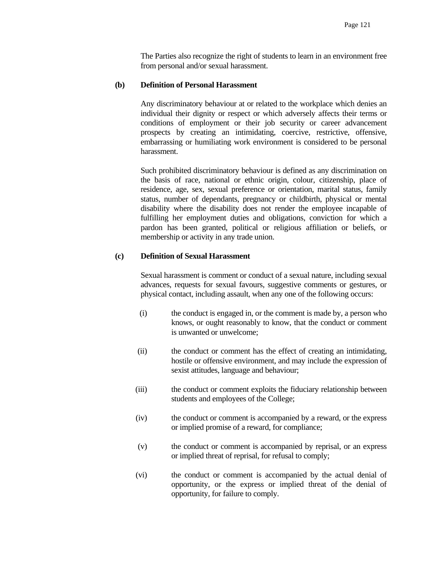The Parties also recognize the right of students to learn in an environment free from personal and/or sexual harassment.

### **(b) Definition of Personal Harassment**

 Any discriminatory behaviour at or related to the workplace which denies an individual their dignity or respect or which adversely affects their terms or conditions of employment or their job security or career advancement prospects by creating an intimidating, coercive, restrictive, offensive, embarrassing or humiliating work environment is considered to be personal harassment.

 Such prohibited discriminatory behaviour is defined as any discrimination on the basis of race, national or ethnic origin, colour, citizenship, place of residence, age, sex, sexual preference or orientation, marital status, family status, number of dependants, pregnancy or childbirth, physical or mental disability where the disability does not render the employee incapable of fulfilling her employment duties and obligations, conviction for which a pardon has been granted, political or religious affiliation or beliefs, or membership or activity in any trade union.

## **(c) Definition of Sexual Harassment**

 Sexual harassment is comment or conduct of a sexual nature, including sexual advances, requests for sexual favours, suggestive comments or gestures, or physical contact, including assault, when any one of the following occurs:

- (i) the conduct is engaged in, or the comment is made by, a person who knows, or ought reasonably to know, that the conduct or comment is unwanted or unwelcome;
- (ii) the conduct or comment has the effect of creating an intimidating, hostile or offensive environment, and may include the expression of sexist attitudes, language and behaviour;
- (iii) the conduct or comment exploits the fiduciary relationship between students and employees of the College;
- (iv) the conduct or comment is accompanied by a reward, or the express or implied promise of a reward, for compliance;
- (v) the conduct or comment is accompanied by reprisal, or an express or implied threat of reprisal, for refusal to comply;
- (vi) the conduct or comment is accompanied by the actual denial of opportunity, or the express or implied threat of the denial of opportunity, for failure to comply.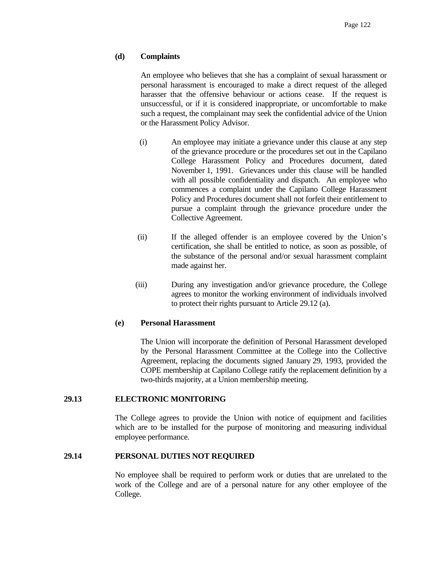## **(d) Complaints**

 An employee who believes that she has a complaint of sexual harassment or personal harassment is encouraged to make a direct request of the alleged harasser that the offensive behaviour or actions cease. If the request is unsuccessful, or if it is considered inappropriate, or uncomfortable to make such a request, the complainant may seek the confidential advice of the Union or the Harassment Policy Advisor.

- (i) An employee may initiate a grievance under this clause at any step of the grievance procedure or the procedures set out in the Capilano College Harassment Policy and Procedures document, dated November 1, 1991. Grievances under this clause will be handled with all possible confidentiality and dispatch. An employee who commences a complaint under the Capilano College Harassment Policy and Procedures document shall not forfeit their entitlement to pursue a complaint through the grievance procedure under the Collective Agreement.
- (ii) If the alleged offender is an employee covered by the Union's certification, she shall be entitled to notice, as soon as possible, of the substance of the personal and/or sexual harassment complaint made against her.
- (iii) During any investigation and/or grievance procedure, the College agrees to monitor the working environment of individuals involved to protect their rights pursuant to Article 29.12 (a).

#### **(e) Personal Harassment**

 The Union will incorporate the definition of Personal Harassment developed by the Personal Harassment Committee at the College into the Collective Agreement, replacing the documents signed January 29, 1993, provided the COPE membership at Capilano College ratify the replacement definition by a two-thirds majority, at a Union membership meeting.

### **29.13 ELECTRONIC MONITORING**

 The College agrees to provide the Union with notice of equipment and facilities which are to be installed for the purpose of monitoring and measuring individual employee performance.

#### **29.14 PERSONAL DUTIES NOT REQUIRED**

 No employee shall be required to perform work or duties that are unrelated to the work of the College and are of a personal nature for any other employee of the College.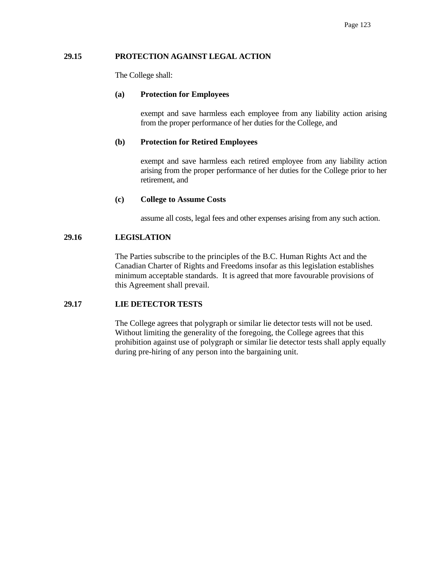## **29.15 PROTECTION AGAINST LEGAL ACTION**

The College shall:

## **(a) Protection for Employees**

 exempt and save harmless each employee from any liability action arising from the proper performance of her duties for the College, and

# **(b) Protection for Retired Employees**

 exempt and save harmless each retired employee from any liability action arising from the proper performance of her duties for the College prior to her retirement, and

# **(c) College to Assume Costs**

assume all costs, legal fees and other expenses arising from any such action.

# **29.16 LEGISLATION**

The Parties subscribe to the principles of the B.C. Human Rights Act and the Canadian Charter of Rights and Freedoms insofar as this legislation establishes minimum acceptable standards. It is agreed that more favourable provisions of this Agreement shall prevail.

# **29.17 LIE DETECTOR TESTS**

The College agrees that polygraph or similar lie detector tests will not be used. Without limiting the generality of the foregoing, the College agrees that this prohibition against use of polygraph or similar lie detector tests shall apply equally during pre-hiring of any person into the bargaining unit.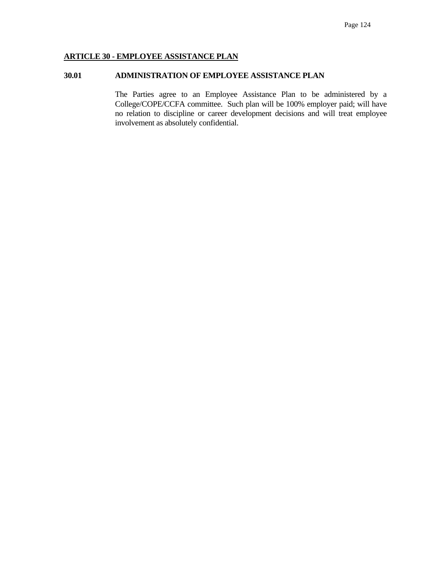## **ARTICLE 30 - EMPLOYEE ASSISTANCE PLAN**

## **30.01 ADMINISTRATION OF EMPLOYEE ASSISTANCE PLAN**

 The Parties agree to an Employee Assistance Plan to be administered by a College/COPE/CCFA committee. Such plan will be 100% employer paid; will have no relation to discipline or career development decisions and will treat employee involvement as absolutely confidential.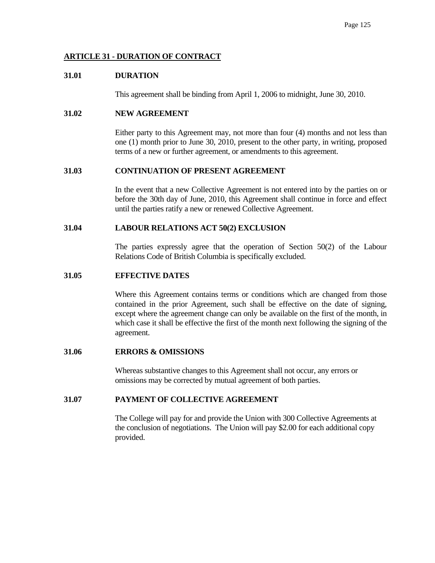# **ARTICLE 31 - DURATION OF CONTRACT**

## **31.01 DURATION**

This agreement shall be binding from April 1, 2006 to midnight, June 30, 2010.

# **31.02 NEW AGREEMENT**

 Either party to this Agreement may, not more than four (4) months and not less than one (1) month prior to June 30, 2010, present to the other party, in writing, proposed terms of a new or further agreement, or amendments to this agreement.

### **31.03 CONTINUATION OF PRESENT AGREEMENT**

 In the event that a new Collective Agreement is not entered into by the parties on or before the 30th day of June, 2010, this Agreement shall continue in force and effect until the parties ratify a new or renewed Collective Agreement.

### **31.04 LABOUR RELATIONS ACT 50(2) EXCLUSION**

 The parties expressly agree that the operation of Section 50(2) of the Labour Relations Code of British Columbia is specifically excluded.

### **31.05 EFFECTIVE DATES**

 Where this Agreement contains terms or conditions which are changed from those contained in the prior Agreement, such shall be effective on the date of signing, except where the agreement change can only be available on the first of the month, in which case it shall be effective the first of the month next following the signing of the agreement.

## **31.06 ERRORS & OMISSIONS**

 Whereas substantive changes to this Agreement shall not occur, any errors or omissions may be corrected by mutual agreement of both parties.

## **31.07 PAYMENT OF COLLECTIVE AGREEMENT**

The College will pay for and provide the Union with 300 Collective Agreements at the conclusion of negotiations. The Union will pay \$2.00 for each additional copy provided.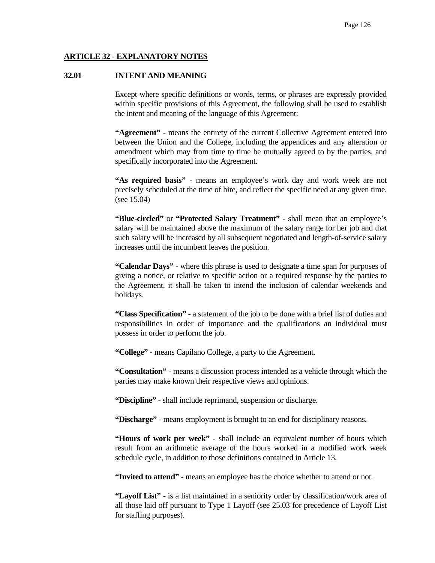## **ARTICLE 32 - EXPLANATORY NOTES**

### **32.01 INTENT AND MEANING**

 Except where specific definitions or words, terms, or phrases are expressly provided within specific provisions of this Agreement, the following shall be used to establish the intent and meaning of the language of this Agreement:

 **"Agreement"** - means the entirety of the current Collective Agreement entered into between the Union and the College, including the appendices and any alteration or amendment which may from time to time be mutually agreed to by the parties, and specifically incorporated into the Agreement.

 **"As required basis"** - means an employee's work day and work week are not precisely scheduled at the time of hire, and reflect the specific need at any given time. (see 15.04)

 **"Blue-circled"** or **"Protected Salary Treatment"** - shall mean that an employee's salary will be maintained above the maximum of the salary range for her job and that such salary will be increased by all subsequent negotiated and length-of-service salary increases until the incumbent leaves the position.

 **"Calendar Days"** - where this phrase is used to designate a time span for purposes of giving a notice, or relative to specific action or a required response by the parties to the Agreement, it shall be taken to intend the inclusion of calendar weekends and holidays.

 **"Class Specification"** - a statement of the job to be done with a brief list of duties and responsibilities in order of importance and the qualifications an individual must possess in order to perform the job.

**"College"** - means Capilano College, a party to the Agreement.

 **"Consultation"** - means a discussion process intended as a vehicle through which the parties may make known their respective views and opinions.

**"Discipline"** - shall include reprimand, suspension or discharge.

**"Discharge"** - means employment is brought to an end for disciplinary reasons.

 **"Hours of work per week"** - shall include an equivalent number of hours which result from an arithmetic average of the hours worked in a modified work week schedule cycle, in addition to those definitions contained in Article 13.

**"Invited to attend"** - means an employee has the choice whether to attend or not.

 **"Layoff List"** - is a list maintained in a seniority order by classification/work area of all those laid off pursuant to Type 1 Layoff (see 25.03 for precedence of Layoff List for staffing purposes).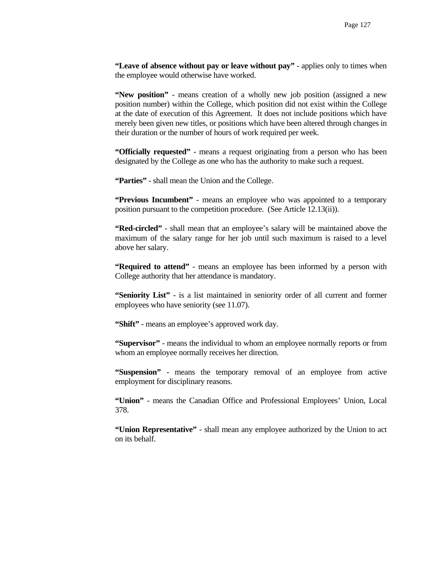**"Leave of absence without pay or leave without pay"** - applies only to times when the employee would otherwise have worked.

 **"New position"** - means creation of a wholly new job position (assigned a new position number) within the College, which position did not exist within the College at the date of execution of this Agreement. It does not include positions which have merely been given new titles, or positions which have been altered through changes in their duration or the number of hours of work required per week.

 **"Officially requested"** - means a request originating from a person who has been designated by the College as one who has the authority to make such a request.

**"Parties"** - shall mean the Union and the College.

 **"Previous Incumbent"** - means an employee who was appointed to a temporary position pursuant to the competition procedure. (See Article 12.13(ii)).

 **"Red-circled"** - shall mean that an employee's salary will be maintained above the maximum of the salary range for her job until such maximum is raised to a level above her salary.

 **"Required to attend"** - means an employee has been informed by a person with College authority that her attendance is mandatory.

 **"Seniority List"** - is a list maintained in seniority order of all current and former employees who have seniority (see 11.07).

**"Shift"** - means an employee's approved work day.

 **"Supervisor"** - means the individual to whom an employee normally reports or from whom an employee normally receives her direction.

 **"Suspension"** - means the temporary removal of an employee from active employment for disciplinary reasons.

 **"Union"** - means the Canadian Office and Professional Employees' Union, Local 378.

 **"Union Representative"** - shall mean any employee authorized by the Union to act on its behalf.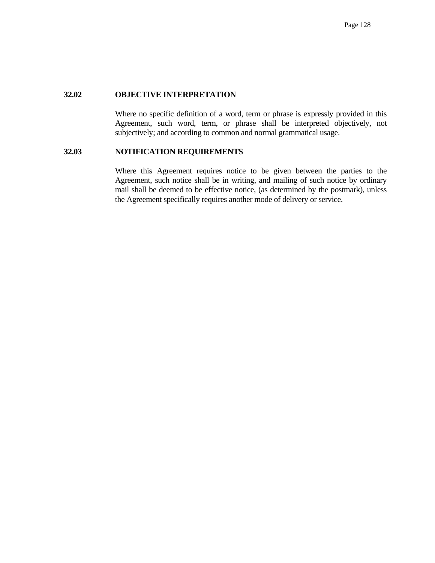## **32.02 OBJECTIVE INTERPRETATION**

 Where no specific definition of a word, term or phrase is expressly provided in this Agreement, such word, term, or phrase shall be interpreted objectively, not subjectively; and according to common and normal grammatical usage.

### **32.03 NOTIFICATION REQUIREMENTS**

 Where this Agreement requires notice to be given between the parties to the Agreement, such notice shall be in writing, and mailing of such notice by ordinary mail shall be deemed to be effective notice, (as determined by the postmark), unless the Agreement specifically requires another mode of delivery or service.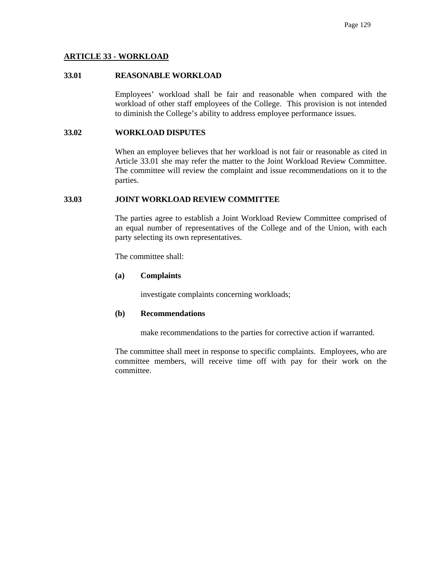#### **ARTICLE 33 - WORKLOAD**

#### **33.01 REASONABLE WORKLOAD**

 Employees' workload shall be fair and reasonable when compared with the workload of other staff employees of the College. This provision is not intended to diminish the College's ability to address employee performance issues.

#### **33.02 WORKLOAD DISPUTES**

When an employee believes that her workload is not fair or reasonable as cited in Article 33.01 she may refer the matter to the Joint Workload Review Committee. The committee will review the complaint and issue recommendations on it to the parties.

#### **33.03 JOINT WORKLOAD REVIEW COMMITTEE**

 The parties agree to establish a Joint Workload Review Committee comprised of an equal number of representatives of the College and of the Union, with each party selecting its own representatives.

The committee shall:

#### **(a) Complaints**

investigate complaints concerning workloads;

#### **(b) Recommendations**

make recommendations to the parties for corrective action if warranted.

 The committee shall meet in response to specific complaints. Employees, who are committee members, will receive time off with pay for their work on the committee.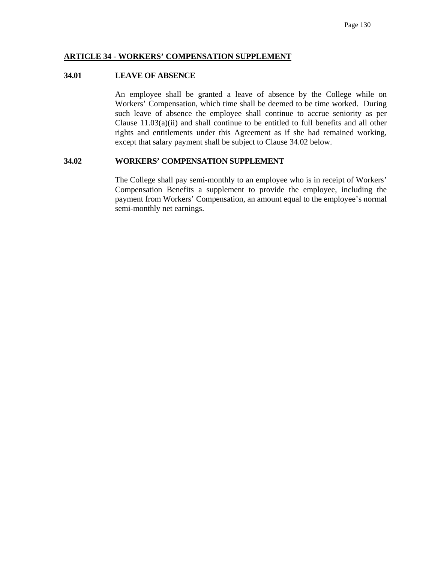#### **ARTICLE 34 - WORKERS' COMPENSATION SUPPLEMENT**

#### **34.01 LEAVE OF ABSENCE**

 An employee shall be granted a leave of absence by the College while on Workers' Compensation, which time shall be deemed to be time worked. During such leave of absence the employee shall continue to accrue seniority as per Clause  $11.03(a)(ii)$  and shall continue to be entitled to full benefits and all other rights and entitlements under this Agreement as if she had remained working, except that salary payment shall be subject to Clause 34.02 below.

#### **34.02 WORKERS' COMPENSATION SUPPLEMENT**

 The College shall pay semi-monthly to an employee who is in receipt of Workers' Compensation Benefits a supplement to provide the employee, including the payment from Workers' Compensation, an amount equal to the employee's normal semi-monthly net earnings.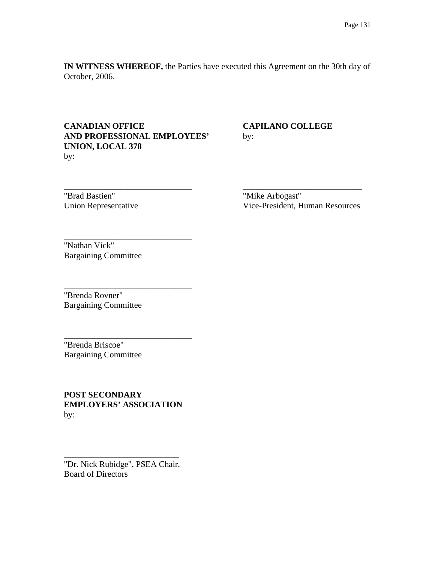**IN WITNESS WHEREOF,** the Parties have executed this Agreement on the 30th day of October, 2006.

\_\_\_\_\_\_\_\_\_\_\_\_\_\_\_\_\_\_\_\_\_\_\_\_\_\_\_\_\_\_ \_\_\_\_\_\_\_\_\_\_\_\_\_\_\_\_\_\_\_\_\_\_\_\_\_\_\_\_

# **CANADIAN OFFICE CAPILANO COLLEGE AND PROFESSIONAL EMPLOYEES'** by: **UNION, LOCAL 378**  by:

\_\_\_\_\_\_\_\_\_\_\_\_\_\_\_\_\_\_\_\_\_\_\_\_\_\_\_\_\_\_

\_\_\_\_\_\_\_\_\_\_\_\_\_\_\_\_\_\_\_\_\_\_\_\_\_\_\_\_\_\_

\_\_\_\_\_\_\_\_\_\_\_\_\_\_\_\_\_\_\_\_\_\_\_\_\_\_\_\_\_\_

"Brad Bastien" "Mike Arbogast"

Union Representative Vice-President, Human Resources

"Nathan Vick" Bargaining Committee

"Brenda Rovner" Bargaining Committee

"Brenda Briscoe" Bargaining Committee

**POST SECONDARY EMPLOYERS' ASSOCIATION** by:

"Dr. Nick Rubidge", PSEA Chair, Board of Directors

\_\_\_\_\_\_\_\_\_\_\_\_\_\_\_\_\_\_\_\_\_\_\_\_\_\_\_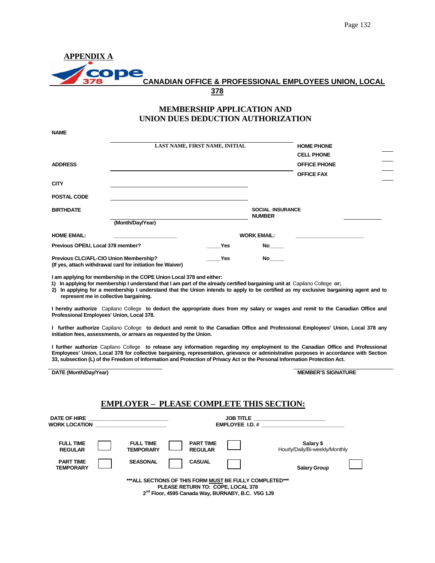| <b>APPENDIX A</b> |                                                                  |  |
|-------------------|------------------------------------------------------------------|--|
|                   |                                                                  |  |
| <b>Some</b>       |                                                                  |  |
|                   | <b>CANADIAN OFFICE &amp; PROFESSIONAL EMPLOYEES UNION, LOCAL</b> |  |
|                   | 378                                                              |  |

## **MEMBERSHIP APPLICATION AND UNION DUES DEDUCTION AUTHORIZATION**

|                                        | LAST NAME, FIRST NAME, INITIAL                             |     |                                          | <b>HOME PHONE</b>   |  |
|----------------------------------------|------------------------------------------------------------|-----|------------------------------------------|---------------------|--|
|                                        |                                                            |     |                                          | <b>CELL PHONE</b>   |  |
| <b>ADDRESS</b>                         |                                                            |     |                                          | <b>OFFICE PHONE</b> |  |
|                                        |                                                            |     |                                          | <b>OFFICE FAX</b>   |  |
| <b>CITY</b>                            |                                                            |     |                                          |                     |  |
| POSTAL CODE                            |                                                            |     |                                          |                     |  |
| <b>BIRTHDATE</b>                       |                                                            |     | <b>SOCIAL INSURANCE</b><br><b>NUMBER</b> |                     |  |
|                                        | (Month/Day/Year)                                           |     |                                          |                     |  |
| <b>HOME EMAIL:</b>                     |                                                            |     | <b>WORK EMAIL:</b>                       |                     |  |
| Previous OPEIU, Local 378 member?      |                                                            | Yes | <b>No</b>                                |                     |  |
| Previous CLC/AFL-CIO Union Membership? | (If yes, attach withdrawal card for initiation fee Waiver) | Yes | No                                       |                     |  |

**I am applying for membership in the COPE Union Local 378 and either:** 

**1) In applying for membership I understand that I am part of the already certified bargaining unit at** Capilano College **or;** 

**2) In applying for a membership I understand that the Union intends to apply to be certified as my exclusive bargaining agent and to represent me in collective bargaining.** 

**I hereby authorize** Capilano College **to deduct the appropriate dues from my salary or wages and remit to the Canadian Office and Professional Employees' Union, Local 378.** 

**I further authorize** Capilano College **to deduct and remit to the Canadian Office and Professional Employees' Union, Local 378 any initiation fees, assessments, or arrears as requested by the Union.** 

**I further authorize** Capilano College **to release any information regarding my employment to the Canadian Office and Professional Employees' Union, Local 378 for collective bargaining, representation, grievance or administrative purposes in accordance with Section 33, subsection (L) of the Freedom of Information and Protection of Privacy Act or the Personal Information Protection Act.** 

|  |  | DATE (Month/Day/Year) |
|--|--|-----------------------|
|--|--|-----------------------|

**NAME** 

**MEMBER'S SIGNATURE** 

#### **EMPLOYER – PLEASE COMPLETE THIS SECTION:**

| <b>DATE OF HIRE</b><br><b>WORK LOCATION</b> |                                      |                                    | <b>JOB TITLE</b><br><b>EMPLOYEE I.D. #</b>              | the control of the control of the control of the control of the control of |
|---------------------------------------------|--------------------------------------|------------------------------------|---------------------------------------------------------|----------------------------------------------------------------------------|
| <b>FULL TIME</b><br><b>REGULAR</b>          | <b>FULL TIME</b><br><b>TEMPORARY</b> | <b>PART TIME</b><br><b>REGULAR</b> |                                                         | Salary \$<br>Hourly/Daily/Bi-weekly/Monthly                                |
| <b>PART TIME</b><br><b>TEMPORARY</b>        | <b>SEASONAL</b>                      | <b>CASUAL</b>                      |                                                         | <b>Salary Group</b>                                                        |
|                                             | $-$ nd $-$                           | PLEASE RETURN TO: COPE, LOCAL 378  | ***ALL SECTIONS OF THIS FORM MUST BE FULLY COMPLETED*** |                                                                            |

 **2nd Floor, 4595 Canada Way, BURNABY, B.C. V5G 1J9**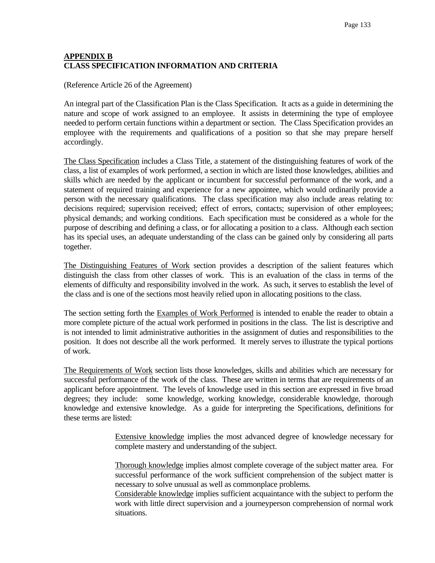# **APPENDIX B CLASS SPECIFICATION INFORMATION AND CRITERIA**

(Reference Article 26 of the Agreement)

An integral part of the Classification Plan is the Class Specification. It acts as a guide in determining the nature and scope of work assigned to an employee. It assists in determining the type of employee needed to perform certain functions within a department or section. The Class Specification provides an employee with the requirements and qualifications of a position so that she may prepare herself accordingly.

The Class Specification includes a Class Title, a statement of the distinguishing features of work of the class, a list of examples of work performed, a section in which are listed those knowledges, abilities and skills which are needed by the applicant or incumbent for successful performance of the work, and a statement of required training and experience for a new appointee, which would ordinarily provide a person with the necessary qualifications. The class specification may also include areas relating to: decisions required; supervision received; effect of errors, contacts; supervision of other employees; physical demands; and working conditions. Each specification must be considered as a whole for the purpose of describing and defining a class, or for allocating a position to a class. Although each section has its special uses, an adequate understanding of the class can be gained only by considering all parts together.

The Distinguishing Features of Work section provides a description of the salient features which distinguish the class from other classes of work. This is an evaluation of the class in terms of the elements of difficulty and responsibility involved in the work. As such, it serves to establish the level of the class and is one of the sections most heavily relied upon in allocating positions to the class.

The section setting forth the Examples of Work Performed is intended to enable the reader to obtain a more complete picture of the actual work performed in positions in the class. The list is descriptive and is not intended to limit administrative authorities in the assignment of duties and responsibilities to the position. It does not describe all the work performed. It merely serves to illustrate the typical portions of work.

The Requirements of Work section lists those knowledges, skills and abilities which are necessary for successful performance of the work of the class. These are written in terms that are requirements of an applicant before appointment. The levels of knowledge used in this section are expressed in five broad degrees; they include: some knowledge, working knowledge, considerable knowledge, thorough knowledge and extensive knowledge. As a guide for interpreting the Specifications, definitions for these terms are listed:

> Extensive knowledge implies the most advanced degree of knowledge necessary for complete mastery and understanding of the subject.

> Thorough knowledge implies almost complete coverage of the subject matter area. For successful performance of the work sufficient comprehension of the subject matter is necessary to solve unusual as well as commonplace problems.

> Considerable knowledge implies sufficient acquaintance with the subject to perform the work with little direct supervision and a journeyperson comprehension of normal work situations.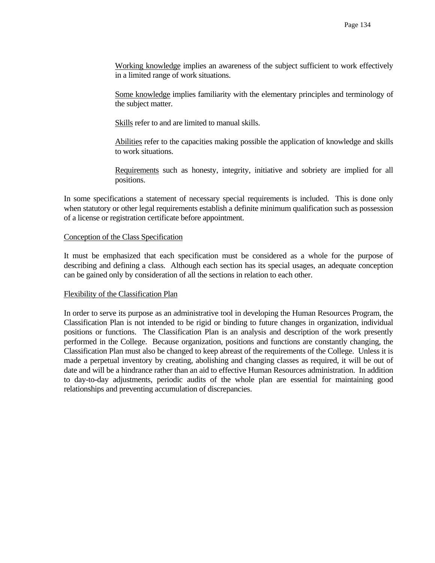Working knowledge implies an awareness of the subject sufficient to work effectively in a limited range of work situations.

 Some knowledge implies familiarity with the elementary principles and terminology of the subject matter.

Skills refer to and are limited to manual skills.

 Abilities refer to the capacities making possible the application of knowledge and skills to work situations.

 Requirements such as honesty, integrity, initiative and sobriety are implied for all positions.

In some specifications a statement of necessary special requirements is included. This is done only when statutory or other legal requirements establish a definite minimum qualification such as possession of a license or registration certificate before appointment.

#### Conception of the Class Specification

It must be emphasized that each specification must be considered as a whole for the purpose of describing and defining a class. Although each section has its special usages, an adequate conception can be gained only by consideration of all the sections in relation to each other.

#### Flexibility of the Classification Plan

In order to serve its purpose as an administrative tool in developing the Human Resources Program, the Classification Plan is not intended to be rigid or binding to future changes in organization, individual positions or functions. The Classification Plan is an analysis and description of the work presently performed in the College. Because organization, positions and functions are constantly changing, the Classification Plan must also be changed to keep abreast of the requirements of the College. Unless it is made a perpetual inventory by creating, abolishing and changing classes as required, it will be out of date and will be a hindrance rather than an aid to effective Human Resources administration. In addition to day-to-day adjustments, periodic audits of the whole plan are essential for maintaining good relationships and preventing accumulation of discrepancies.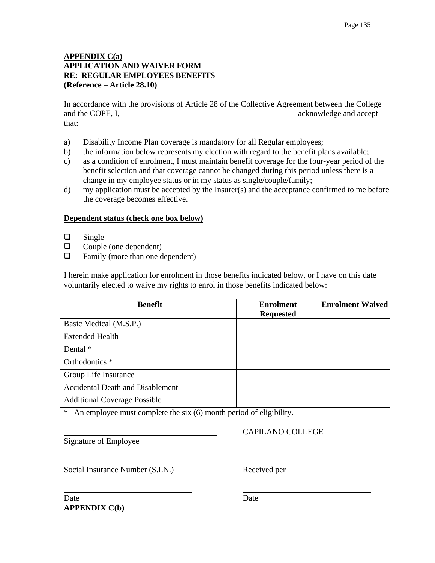## **APPENDIX C(a) APPLICATION AND WAIVER FORM RE: REGULAR EMPLOYEES BENEFITS (Reference – Article 28.10)**

In accordance with the provisions of Article 28 of the Collective Agreement between the College and the COPE, I, acknowledge and accept that:

- a) Disability Income Plan coverage is mandatory for all Regular employees;
- b) the information below represents my election with regard to the benefit plans available;
- c) as a condition of enrolment, I must maintain benefit coverage for the four-year period of the benefit selection and that coverage cannot be changed during this period unless there is a change in my employee status or in my status as single/couple/family;
- d) my application must be accepted by the Insurer(s) and the acceptance confirmed to me before the coverage becomes effective.

#### **Dependent status (check one box below)**

- $\Box$  Single
- $\Box$  Couple (one dependent)
- $\Box$  Family (more than one dependent)

I herein make application for enrolment in those benefits indicated below, or I have on this date voluntarily elected to waive my rights to enrol in those benefits indicated below:

| <b>Benefit</b>                          | <b>Enrolment</b><br><b>Requested</b> | <b>Enrolment Waived</b> |
|-----------------------------------------|--------------------------------------|-------------------------|
| Basic Medical (M.S.P.)                  |                                      |                         |
| <b>Extended Health</b>                  |                                      |                         |
| Dental *                                |                                      |                         |
| Orthodontics *                          |                                      |                         |
| Group Life Insurance                    |                                      |                         |
| <b>Accidental Death and Disablement</b> |                                      |                         |
| <b>Additional Coverage Possible</b>     |                                      |                         |

\* An employee must complete the six (6) month period of eligibility.

Signature of Employee

## CAPILANO COLLEGE

Social Insurance Number (S.I.N.) Received per

Date Date Date **APPENDIX C(b)**

 $\overline{a}$ 

 $\overline{a}$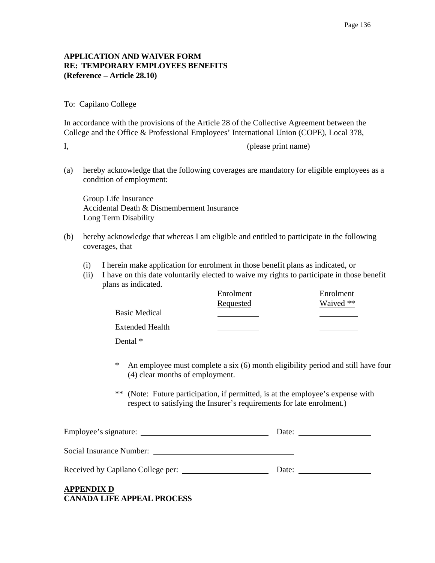## **APPLICATION AND WAIVER FORM RE: TEMPORARY EMPLOYEES BENEFITS (Reference – Article 28.10)**

To: Capilano College

In accordance with the provisions of the Article 28 of the Collective Agreement between the College and the Office & Professional Employees' International Union (COPE), Local 378,

I, please print name)

(a) hereby acknowledge that the following coverages are mandatory for eligible employees as a condition of employment:

 Group Life Insurance Accidental Death & Dismemberment Insurance Long Term Disability

- (b) hereby acknowledge that whereas I am eligible and entitled to participate in the following coverages, that
	- (i) I herein make application for enrolment in those benefit plans as indicated, or
	- (ii) I have on this date voluntarily elected to waive my rights to participate in those benefit plans as indicated.

|                        | Enrolment | Enrolment |
|------------------------|-----------|-----------|
|                        | Requested | Waived ** |
| <b>Basic Medical</b>   |           |           |
| <b>Extended Health</b> |           |           |
| Dental $*$             |           |           |

- \* An employee must complete a six (6) month eligibility period and still have four (4) clear months of employment.
- \*\* (Note: Future participation, if permitted, is at the employee's expense with respect to satisfying the Insurer's requirements for late enrolment.)

| Employee's signature:             | Date: |
|-----------------------------------|-------|
| Social Insurance Number:          |       |
| Received by Capilano College per: | Date: |
| <b>APPENDIX D</b>                 |       |

**CANADA LIFE APPEAL PROCESS**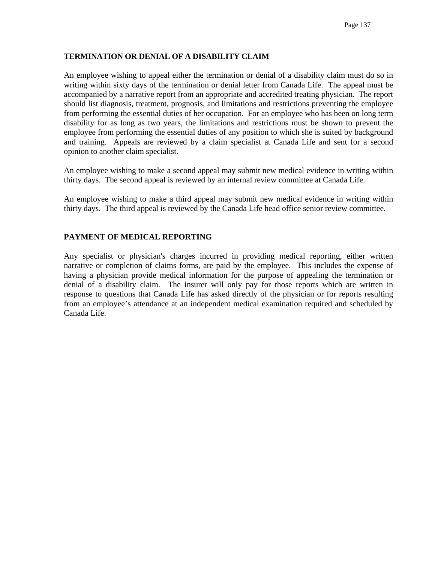## **TERMINATION OR DENIAL OF A DISABILITY CLAIM**

An employee wishing to appeal either the termination or denial of a disability claim must do so in writing within sixty days of the termination or denial letter from Canada Life. The appeal must be accompanied by a narrative report from an appropriate and accredited treating physician. The report should list diagnosis, treatment, prognosis, and limitations and restrictions preventing the employee from performing the essential duties of her occupation. For an employee who has been on long term disability for as long as two years, the limitations and restrictions must be shown to prevent the employee from performing the essential duties of any position to which she is suited by background and training. Appeals are reviewed by a claim specialist at Canada Life and sent for a second opinion to another claim specialist.

An employee wishing to make a second appeal may submit new medical evidence in writing within thirty days. The second appeal is reviewed by an internal review committee at Canada Life.

An employee wishing to make a third appeal may submit new medical evidence in writing within thirty days. The third appeal is reviewed by the Canada Life head office senior review committee.

#### **PAYMENT OF MEDICAL REPORTING**

Any specialist or physician's charges incurred in providing medical reporting, either written narrative or completion of claims forms, are paid by the employee. This includes the expense of having a physician provide medical information for the purpose of appealing the termination or denial of a disability claim. The insurer will only pay for those reports which are written in response to questions that Canada Life has asked directly of the physician or for reports resulting from an employee's attendance at an independent medical examination required and scheduled by Canada Life.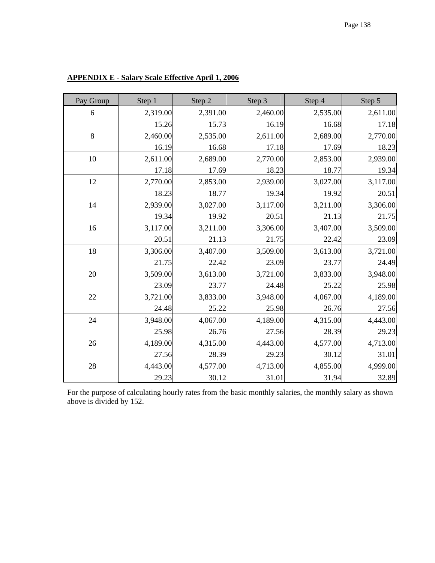| Pay Group | Step 1   | Step 2   | Step 3   | Step 4   | Step 5   |
|-----------|----------|----------|----------|----------|----------|
| 6         | 2,319.00 | 2,391.00 | 2,460.00 | 2,535.00 | 2,611.00 |
|           | 15.26    | 15.73    | 16.19    | 16.68    | 17.18    |
| 8         | 2,460.00 | 2,535.00 | 2,611.00 | 2,689.00 | 2,770.00 |
|           | 16.19    | 16.68    | 17.18    | 17.69    | 18.23    |
| $10\,$    | 2,611.00 | 2,689.00 | 2,770.00 | 2,853.00 | 2,939.00 |
|           | 17.18    | 17.69    | 18.23    | 18.77    | 19.34    |
| 12        | 2,770.00 | 2,853.00 | 2,939.00 | 3,027.00 | 3,117.00 |
|           | 18.23    | 18.77    | 19.34    | 19.92    | 20.51    |
| 14        | 2,939.00 | 3,027.00 | 3,117.00 | 3,211.00 | 3,306.00 |
|           | 19.34    | 19.92    | 20.51    | 21.13    | 21.75    |
| 16        | 3,117.00 | 3,211.00 | 3,306.00 | 3,407.00 | 3,509.00 |
|           | 20.51    | 21.13    | 21.75    | 22.42    | 23.09    |
| 18        | 3,306.00 | 3,407.00 | 3,509.00 | 3,613.00 | 3,721.00 |
|           | 21.75    | 22.42    | 23.09    | 23.77    | 24.49    |
| 20        | 3,509.00 | 3,613.00 | 3,721.00 | 3,833.00 | 3,948.00 |
|           | 23.09    | 23.77    | 24.48    | 25.22    | 25.98    |
| 22        | 3,721.00 | 3,833.00 | 3,948.00 | 4,067.00 | 4,189.00 |
|           | 24.48    | 25.22    | 25.98    | 26.76    | 27.56    |
| 24        | 3,948.00 | 4,067.00 | 4,189.00 | 4,315.00 | 4,443.00 |
|           | 25.98    | 26.76    | 27.56    | 28.39    | 29.23    |
| 26        | 4,189.00 | 4,315.00 | 4,443.00 | 4,577.00 | 4,713.00 |
|           | 27.56    | 28.39    | 29.23    | 30.12    | 31.01    |
| 28        | 4,443.00 | 4,577.00 | 4,713.00 | 4,855.00 | 4,999.00 |
|           | 29.23    | 30.12    | 31.01    | 31.94    | 32.89    |

**APPENDIX E - Salary Scale Effective April 1, 2006**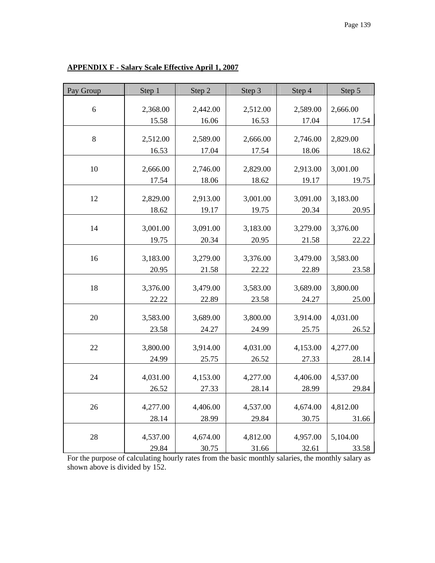| Pay Group | Step 1   | Step 2   | Step 3   | Step 4   | Step 5   |
|-----------|----------|----------|----------|----------|----------|
|           |          |          |          |          |          |
| 6         | 2,368.00 | 2,442.00 | 2,512.00 | 2,589.00 | 2,666.00 |
|           | 15.58    | 16.06    | 16.53    | 17.04    | 17.54    |
| 8         | 2,512.00 | 2,589.00 | 2,666.00 | 2,746.00 | 2,829.00 |
|           | 16.53    | 17.04    | 17.54    | 18.06    | 18.62    |
|           |          |          |          |          |          |
| 10        | 2,666.00 | 2,746.00 | 2,829.00 | 2,913.00 | 3,001.00 |
|           | 17.54    | 18.06    | 18.62    | 19.17    | 19.75    |
| 12        | 2,829.00 | 2,913.00 | 3,001.00 | 3,091.00 | 3,183.00 |
|           | 18.62    | 19.17    | 19.75    | 20.34    | 20.95    |
|           |          |          |          |          |          |
| 14        | 3,001.00 | 3,091.00 | 3,183.00 | 3,279.00 | 3,376.00 |
|           | 19.75    | 20.34    | 20.95    | 21.58    | 22.22    |
|           |          |          |          |          |          |
| 16        | 3,183.00 | 3,279.00 | 3,376.00 | 3,479.00 | 3,583.00 |
|           | 20.95    | 21.58    | 22.22    | 22.89    | 23.58    |
| 18        | 3,376.00 | 3,479.00 | 3,583.00 | 3,689.00 | 3,800.00 |
|           | 22.22    | 22.89    | 23.58    | 24.27    | 25.00    |
|           |          |          |          |          |          |
| 20        | 3,583.00 | 3,689.00 | 3,800.00 | 3,914.00 | 4,031.00 |
|           | 23.58    | 24.27    | 24.99    | 25.75    | 26.52    |
| 22        | 3,800.00 | 3,914.00 | 4,031.00 | 4,153.00 | 4,277.00 |
|           | 24.99    | 25.75    | 26.52    | 27.33    | 28.14    |
|           |          |          |          |          |          |
| 24        | 4,031.00 | 4,153.00 | 4,277.00 | 4,406.00 | 4,537.00 |
|           | 26.52    | 27.33    | 28.14    | 28.99    | 29.84    |
| 26        | 4,277.00 | 4,406.00 | 4,537.00 | 4,674.00 | 4,812.00 |
|           | 28.14    |          |          |          |          |
|           |          | 28.99    | 29.84    | 30.75    | 31.66    |
| 28        | 4,537.00 | 4,674.00 | 4,812.00 | 4,957.00 | 5,104.00 |
|           | 29.84    | 30.75    | 31.66    | 32.61    | 33.58    |

# **APPENDIX F - Salary Scale Effective April 1, 2007**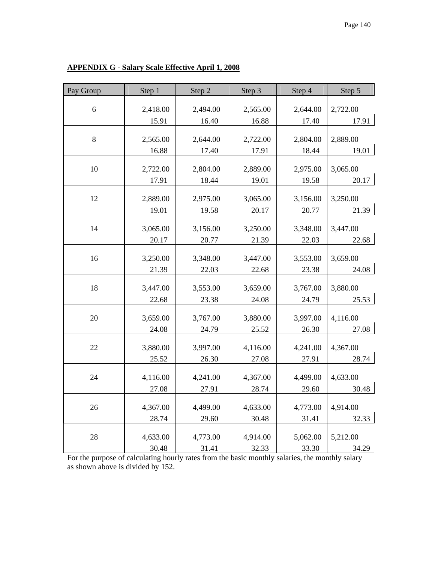| Pay Group | Step 1   | Step 2   | Step 3   | Step 4   | Step 5   |
|-----------|----------|----------|----------|----------|----------|
|           |          |          |          |          |          |
| 6         | 2,418.00 | 2,494.00 | 2,565.00 | 2,644.00 | 2,722.00 |
|           | 15.91    | 16.40    | 16.88    | 17.40    | 17.91    |
| 8         | 2,565.00 | 2,644.00 | 2,722.00 | 2,804.00 | 2,889.00 |
|           | 16.88    | 17.40    | 17.91    | 18.44    | 19.01    |
|           |          |          |          |          |          |
| 10        | 2,722.00 | 2,804.00 | 2,889.00 | 2,975.00 | 3,065.00 |
|           | 17.91    | 18.44    | 19.01    | 19.58    | 20.17    |
| 12        | 2,889.00 | 2,975.00 | 3,065.00 | 3,156.00 | 3,250.00 |
|           | 19.01    | 19.58    | 20.17    | 20.77    | 21.39    |
|           |          |          |          |          |          |
| 14        | 3,065.00 | 3,156.00 | 3,250.00 | 3,348.00 | 3,447.00 |
|           | 20.17    | 20.77    | 21.39    | 22.03    | 22.68    |
|           |          |          |          |          |          |
| 16        | 3,250.00 | 3,348.00 | 3,447.00 | 3,553.00 | 3,659.00 |
|           | 21.39    | 22.03    | 22.68    | 23.38    | 24.08    |
| 18        | 3,447.00 | 3,553.00 | 3,659.00 | 3,767.00 | 3,880.00 |
|           | 22.68    | 23.38    | 24.08    | 24.79    | 25.53    |
|           |          |          |          |          |          |
| 20        | 3,659.00 | 3,767.00 | 3,880.00 | 3,997.00 | 4,116.00 |
|           | 24.08    | 24.79    | 25.52    | 26.30    | 27.08    |
| 22        | 3,880.00 | 3,997.00 | 4,116.00 | 4,241.00 | 4,367.00 |
|           |          |          |          |          |          |
|           | 25.52    | 26.30    | 27.08    | 27.91    | 28.74    |
| 24        | 4,116.00 | 4,241.00 | 4,367.00 | 4,499.00 | 4,633.00 |
|           | 27.08    | 27.91    | 28.74    | 29.60    | 30.48    |
|           |          |          |          |          |          |
| 26        | 4,367.00 | 4,499.00 | 4,633.00 | 4,773.00 | 4,914.00 |
|           | 28.74    | 29.60    | 30.48    | 31.41    | 32.33    |
| 28        | 4,633.00 | 4,773.00 | 4,914.00 | 5,062.00 | 5,212.00 |
|           | 30.48    | 31.41    | 32.33    | 33.30    | 34.29    |
|           |          |          |          |          |          |

# **APPENDIX G - Salary Scale Effective April 1, 2008**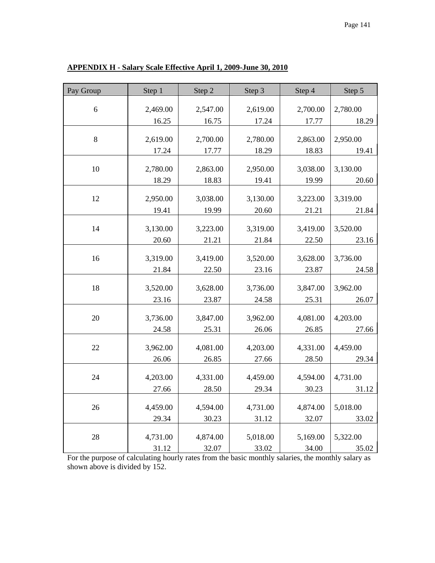| Pay Group | Step 1   | Step 2   | Step 3   | Step 4   | Step 5   |
|-----------|----------|----------|----------|----------|----------|
|           |          |          |          |          |          |
| 6         | 2,469.00 | 2,547.00 | 2,619.00 | 2,700.00 | 2,780.00 |
|           | 16.25    | 16.75    | 17.24    | 17.77    | 18.29    |
| 8         | 2,619.00 | 2,700.00 | 2,780.00 | 2,863.00 | 2,950.00 |
|           | 17.24    | 17.77    | 18.29    | 18.83    | 19.41    |
|           |          |          |          |          |          |
| 10        | 2,780.00 | 2,863.00 | 2,950.00 | 3,038.00 | 3,130.00 |
|           | 18.29    | 18.83    | 19.41    | 19.99    | 20.60    |
|           |          |          |          |          |          |
| 12        | 2,950.00 | 3,038.00 | 3,130.00 | 3,223.00 | 3,319.00 |
|           | 19.41    | 19.99    | 20.60    | 21.21    | 21.84    |
|           |          |          |          |          |          |
| 14        | 3,130.00 | 3,223.00 | 3,319.00 | 3,419.00 | 3,520.00 |
|           | 20.60    | 21.21    | 21.84    | 22.50    | 23.16    |
| 16        | 3,319.00 | 3,419.00 | 3,520.00 | 3,628.00 | 3,736.00 |
|           | 21.84    | 22.50    | 23.16    | 23.87    | 24.58    |
|           |          |          |          |          |          |
| 18        | 3,520.00 | 3,628.00 | 3,736.00 | 3,847.00 | 3,962.00 |
|           | 23.16    | 23.87    | 24.58    | 25.31    | 26.07    |
|           |          |          |          |          |          |
| 20        | 3,736.00 | 3,847.00 | 3,962.00 | 4,081.00 | 4,203.00 |
|           | 24.58    | 25.31    | 26.06    | 26.85    | 27.66    |
| 22        | 3,962.00 | 4,081.00 | 4,203.00 | 4,331.00 | 4,459.00 |
|           | 26.06    | 26.85    | 27.66    | 28.50    | 29.34    |
|           |          |          |          |          |          |
| 24        | 4,203.00 | 4,331.00 | 4,459.00 | 4,594.00 | 4,731.00 |
|           | 27.66    | 28.50    | 29.34    | 30.23    | 31.12    |
|           |          |          |          |          |          |
| 26        | 4,459.00 | 4,594.00 | 4,731.00 | 4,874.00 | 5,018.00 |
|           | 29.34    | 30.23    | 31.12    | 32.07    | 33.02    |
|           |          |          |          |          |          |
| 28        | 4,731.00 | 4,874.00 | 5,018.00 | 5,169.00 | 5,322.00 |
|           | 31.12    | 32.07    | 33.02    | 34.00    | 35.02    |

# **APPENDIX H - Salary Scale Effective April 1, 2009-June 30, 2010**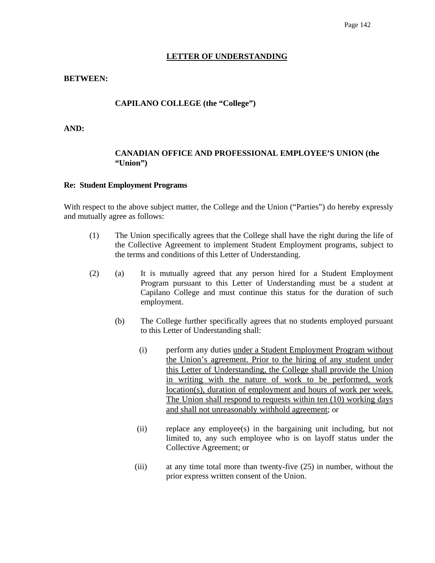#### **LETTER OF UNDERSTANDING**

#### **BETWEEN:**

#### **CAPILANO COLLEGE (the "College")**

**AND:** 

#### **CANADIAN OFFICE AND PROFESSIONAL EMPLOYEE'S UNION (the "Union")**

#### **Re: Student Employment Programs**

With respect to the above subject matter, the College and the Union ("Parties") do hereby expressly and mutually agree as follows:

- (1) The Union specifically agrees that the College shall have the right during the life of the Collective Agreement to implement Student Employment programs, subject to the terms and conditions of this Letter of Understanding.
- (2) (a) It is mutually agreed that any person hired for a Student Employment Program pursuant to this Letter of Understanding must be a student at Capilano College and must continue this status for the duration of such employment.
	- (b) The College further specifically agrees that no students employed pursuant to this Letter of Understanding shall:
		- (i) perform any duties under a Student Employment Program without the Union's agreement. Prior to the hiring of any student under this Letter of Understanding, the College shall provide the Union in writing with the nature of work to be performed, work location(s), duration of employment and hours of work per week. The Union shall respond to requests within ten (10) working days and shall not unreasonably withhold agreement; or
		- (ii) replace any employee(s) in the bargaining unit including, but not limited to, any such employee who is on layoff status under the Collective Agreement; or
		- (iii) at any time total more than twenty-five (25) in number, without the prior express written consent of the Union.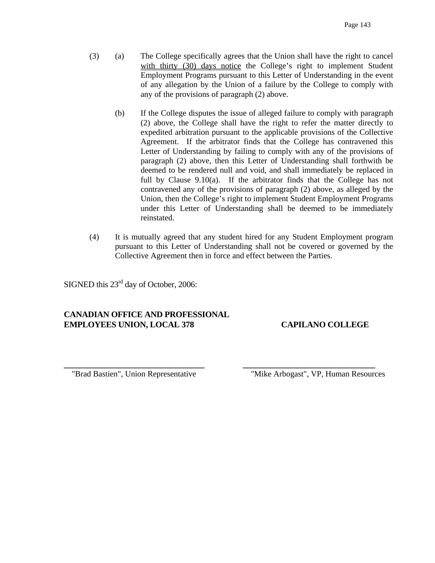- (3) (a) The College specifically agrees that the Union shall have the right to cancel with thirty (30) days notice the College's right to implement Student Employment Programs pursuant to this Letter of Understanding in the event of any allegation by the Union of a failure by the College to comply with any of the provisions of paragraph (2) above.
	- (b) If the College disputes the issue of alleged failure to comply with paragraph (2) above, the College shall have the right to refer the matter directly to expedited arbitration pursuant to the applicable provisions of the Collective Agreement. If the arbitrator finds that the College has contravened this Letter of Understanding by failing to comply with any of the provisions of paragraph (2) above, then this Letter of Understanding shall forthwith be deemed to be rendered null and void, and shall immediately be replaced in full by Clause 9.10(a). If the arbitrator finds that the College has not contravened any of the provisions of paragraph (2) above, as alleged by the Union, then the College's right to implement Student Employment Programs under this Letter of Understanding shall be deemed to be immediately reinstated.
- (4) It is mutually agreed that any student hired for any Student Employment program pursuant to this Letter of Understanding shall not be covered or governed by the Collective Agreement then in force and effect between the Parties.

**\_\_\_\_\_\_\_\_\_\_\_\_\_\_\_\_\_\_\_\_\_\_\_\_\_\_\_\_\_\_\_\_\_\_ \_\_\_\_\_\_\_\_\_\_\_\_\_\_\_\_\_\_\_\_\_\_\_\_\_\_\_\_\_\_\_\_** 

SIGNED this 23<sup>rd</sup> day of October, 2006:

# **CANADIAN OFFICE AND PROFESSIONAL EMPLOYEES UNION, LOCAL 378 CAPILANO COLLEGE**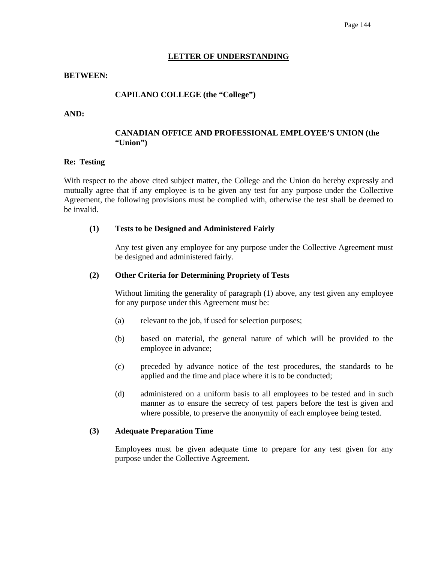#### **LETTER OF UNDERSTANDING**

#### **BETWEEN:**

#### **CAPILANO COLLEGE (the "College")**

#### **AND:**

#### **CANADIAN OFFICE AND PROFESSIONAL EMPLOYEE'S UNION (the "Union")**

#### **Re: Testing**

With respect to the above cited subject matter, the College and the Union do hereby expressly and mutually agree that if any employee is to be given any test for any purpose under the Collective Agreement, the following provisions must be complied with, otherwise the test shall be deemed to be invalid.

#### **(1) Tests to be Designed and Administered Fairly**

 Any test given any employee for any purpose under the Collective Agreement must be designed and administered fairly.

#### **(2) Other Criteria for Determining Propriety of Tests**

Without limiting the generality of paragraph (1) above, any test given any employee for any purpose under this Agreement must be:

- (a) relevant to the job, if used for selection purposes;
- (b) based on material, the general nature of which will be provided to the employee in advance;
- (c) preceded by advance notice of the test procedures, the standards to be applied and the time and place where it is to be conducted;
- (d) administered on a uniform basis to all employees to be tested and in such manner as to ensure the secrecy of test papers before the test is given and where possible, to preserve the anonymity of each employee being tested.

#### **(3) Adequate Preparation Time**

 Employees must be given adequate time to prepare for any test given for any purpose under the Collective Agreement.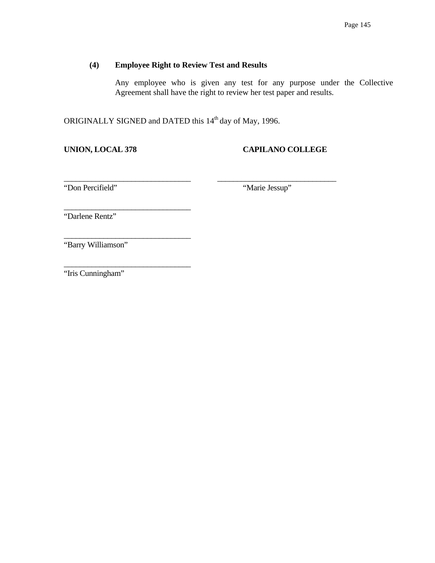# **(4) Employee Right to Review Test and Results**

 Any employee who is given any test for any purpose under the Collective Agreement shall have the right to review her test paper and results.

ORIGINALLY SIGNED and DATED this 14<sup>th</sup> day of May, 1996.

\_\_\_\_\_\_\_\_\_\_\_\_\_\_\_\_\_\_\_\_\_\_\_\_\_\_\_\_\_\_\_\_ \_\_\_\_\_\_\_\_\_\_\_\_\_\_\_\_\_\_\_\_\_\_\_\_\_\_\_\_\_\_

\_\_\_\_\_\_\_\_\_\_\_\_\_\_\_\_\_\_\_\_\_\_\_\_\_\_\_\_\_\_\_\_

\_\_\_\_\_\_\_\_\_\_\_\_\_\_\_\_\_\_\_\_\_\_\_\_\_\_\_\_\_\_\_\_

\_\_\_\_\_\_\_\_\_\_\_\_\_\_\_\_\_\_\_\_\_\_\_\_\_\_\_\_\_\_\_\_

# **UNION, LOCAL 378 CAPILANO COLLEGE**

"Don Percifield" "Marie Jessup"

"Darlene Rentz"

"Barry Williamson"

"Iris Cunningham"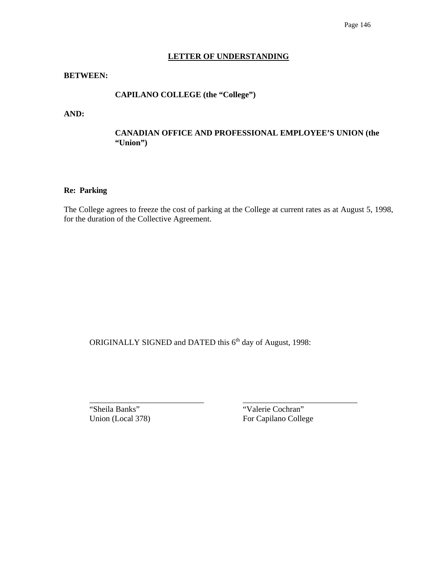#### **LETTER OF UNDERSTANDING**

#### **BETWEEN:**

# **CAPILANO COLLEGE (the "College")**

**AND:** 

## **CANADIAN OFFICE AND PROFESSIONAL EMPLOYEE'S UNION (the "Union")**

#### **Re: Parking**

The College agrees to freeze the cost of parking at the College at current rates as at August 5, 1998, for the duration of the Collective Agreement.

ORIGINALLY SIGNED and DATED this 6<sup>th</sup> day of August, 1998:

\_\_\_\_\_\_\_\_\_\_\_\_\_\_\_\_\_\_\_\_\_\_\_\_\_\_\_\_ \_\_\_\_\_\_\_\_\_\_\_\_\_\_\_\_\_\_\_\_\_\_\_\_\_\_\_\_ "Sheila Banks" "Valerie Cochran"

Union (Local 378) For Capilano College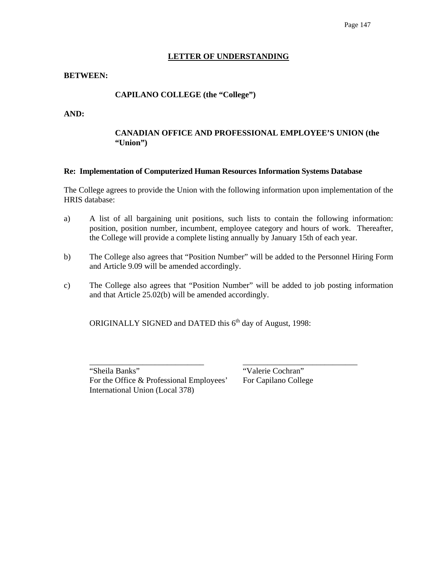#### **LETTER OF UNDERSTANDING**

#### **BETWEEN:**

## **CAPILANO COLLEGE (the "College")**

**AND:** 

## **CANADIAN OFFICE AND PROFESSIONAL EMPLOYEE'S UNION (the "Union")**

#### **Re: Implementation of Computerized Human Resources Information Systems Database**

The College agrees to provide the Union with the following information upon implementation of the HRIS database:

- a) A list of all bargaining unit positions, such lists to contain the following information: position, position number, incumbent, employee category and hours of work. Thereafter, the College will provide a complete listing annually by January 15th of each year.
- b) The College also agrees that "Position Number" will be added to the Personnel Hiring Form and Article 9.09 will be amended accordingly.
- c) The College also agrees that "Position Number" will be added to job posting information and that Article 25.02(b) will be amended accordingly.

ORIGINALLY SIGNED and DATED this 6<sup>th</sup> day of August, 1998:

\_\_\_\_\_\_\_\_\_\_\_\_\_\_\_\_\_\_\_\_\_\_\_\_\_\_\_\_ \_\_\_\_\_\_\_\_\_\_\_\_\_\_\_\_\_\_\_\_\_\_\_\_\_\_\_\_ "Sheila Banks" "Valerie Cochran" For the Office & Professional Employees' For Capilano College International Union (Local 378)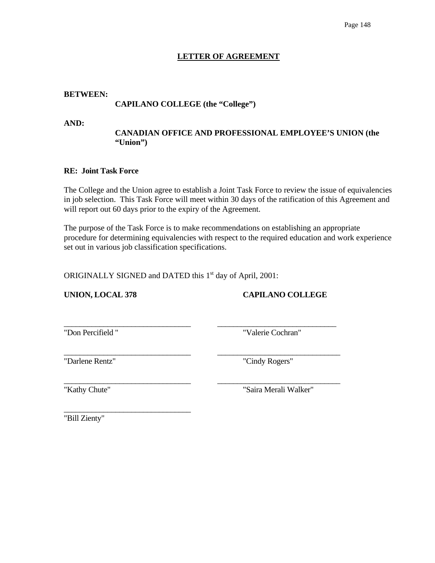# **LETTER OF AGREEMENT**

#### **BETWEEN:**

# **CAPILANO COLLEGE (the "College")**

**AND:** 

## **CANADIAN OFFICE AND PROFESSIONAL EMPLOYEE'S UNION (the "Union")**

#### **RE: Joint Task Force**

The College and the Union agree to establish a Joint Task Force to review the issue of equivalencies in job selection. This Task Force will meet within 30 days of the ratification of this Agreement and will report out 60 days prior to the expiry of the Agreement.

The purpose of the Task Force is to make recommendations on establishing an appropriate procedure for determining equivalencies with respect to the required education and work experience set out in various job classification specifications.

ORIGINALLY SIGNED and DATED this 1<sup>st</sup> day of April, 2001:

\_\_\_\_\_\_\_\_\_\_\_\_\_\_\_\_\_\_\_\_\_\_\_\_\_\_\_\_\_\_\_\_ \_\_\_\_\_\_\_\_\_\_\_\_\_\_\_\_\_\_\_\_\_\_\_\_\_\_\_\_\_\_\_

**UNION, LOCAL 378 CAPILANO COLLEGE**

\_\_\_\_\_\_\_\_\_\_\_\_\_\_\_\_\_\_\_\_\_\_\_\_\_\_\_\_\_\_\_\_ \_\_\_\_\_\_\_\_\_\_\_\_\_\_\_\_\_\_\_\_\_\_\_\_\_\_\_\_\_\_

"Don Percifield " "Valerie Cochran"

"Darlene Rentz" "Cindy Rogers"

\_\_\_\_\_\_\_\_\_\_\_\_\_\_\_\_\_\_\_\_\_\_\_\_\_\_\_\_\_\_\_\_

\_\_\_\_\_\_\_\_\_\_\_\_\_\_\_\_\_\_\_\_\_\_\_\_\_\_\_\_\_\_\_\_ \_\_\_\_\_\_\_\_\_\_\_\_\_\_\_\_\_\_\_\_\_\_\_\_\_\_\_\_\_\_\_ "Kathy Chute" "Saira Merali Walker"

"Bill Zienty"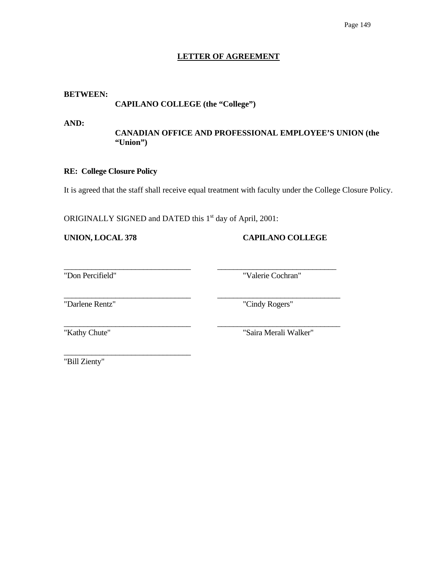## **LETTER OF AGREEMENT**

#### **BETWEEN:**

 **CAPILANO COLLEGE (the "College")** 

**AND:** 

# **CANADIAN OFFICE AND PROFESSIONAL EMPLOYEE'S UNION (the "Union")**

## **RE: College Closure Policy**

It is agreed that the staff shall receive equal treatment with faculty under the College Closure Policy.

\_\_\_\_\_\_\_\_\_\_\_\_\_\_\_\_\_\_\_\_\_\_\_\_\_\_\_\_\_\_\_\_ \_\_\_\_\_\_\_\_\_\_\_\_\_\_\_\_\_\_\_\_\_\_\_\_\_\_\_\_\_\_\_

ORIGINALLY SIGNED and DATED this 1<sup>st</sup> day of April, 2001:

**UNION, LOCAL 378 CAPILANO COLLEGE**

\_\_\_\_\_\_\_\_\_\_\_\_\_\_\_\_\_\_\_\_\_\_\_\_\_\_\_\_\_\_\_\_ \_\_\_\_\_\_\_\_\_\_\_\_\_\_\_\_\_\_\_\_\_\_\_\_\_\_\_\_\_\_ "Don Percifield" "Valerie Cochran"

"Darlene Rentz" "Cindy Rogers"

\_\_\_\_\_\_\_\_\_\_\_\_\_\_\_\_\_\_\_\_\_\_\_\_\_\_\_\_\_\_\_\_

\_\_\_\_\_\_\_\_\_\_\_\_\_\_\_\_\_\_\_\_\_\_\_\_\_\_\_\_\_\_\_\_ \_\_\_\_\_\_\_\_\_\_\_\_\_\_\_\_\_\_\_\_\_\_\_\_\_\_\_\_\_\_\_ "Kathy Chute" "Saira Merali Walker"

"Bill Zienty"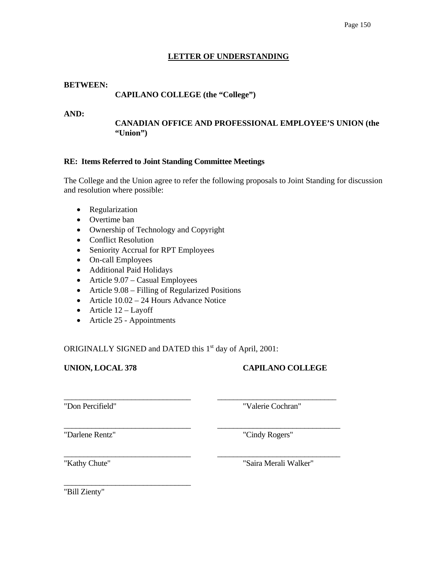## **LETTER OF UNDERSTANDING**

#### **BETWEEN:**

# **CAPILANO COLLEGE (the "College")**

#### **AND:**

## **CANADIAN OFFICE AND PROFESSIONAL EMPLOYEE'S UNION (the "Union")**

#### **RE: Items Referred to Joint Standing Committee Meetings**

The College and the Union agree to refer the following proposals to Joint Standing for discussion and resolution where possible:

- Regularization
- Overtime ban
- Ownership of Technology and Copyright
- Conflict Resolution
- Seniority Accrual for RPT Employees
- On-call Employees
- Additional Paid Holidays
- Article 9.07 Casual Employees
- Article 9.08 Filling of Regularized Positions
- Article  $10.02 24$  Hours Advance Notice
- Article  $12 -$ Layoff
- Article 25 Appointments

\_\_\_\_\_\_\_\_\_\_\_\_\_\_\_\_\_\_\_\_\_\_\_\_\_\_\_\_\_\_\_\_

ORIGINALLY SIGNED and DATED this 1<sup>st</sup> day of April, 2001:

\_\_\_\_\_\_\_\_\_\_\_\_\_\_\_\_\_\_\_\_\_\_\_\_\_\_\_\_\_\_\_\_ \_\_\_\_\_\_\_\_\_\_\_\_\_\_\_\_\_\_\_\_\_\_\_\_\_\_\_\_\_\_

\_\_\_\_\_\_\_\_\_\_\_\_\_\_\_\_\_\_\_\_\_\_\_\_\_\_\_\_\_\_\_\_ \_\_\_\_\_\_\_\_\_\_\_\_\_\_\_\_\_\_\_\_\_\_\_\_\_\_\_\_\_\_\_

\_\_\_\_\_\_\_\_\_\_\_\_\_\_\_\_\_\_\_\_\_\_\_\_\_\_\_\_\_\_\_\_ \_\_\_\_\_\_\_\_\_\_\_\_\_\_\_\_\_\_\_\_\_\_\_\_\_\_\_\_\_\_\_

# **UNION, LOCAL 378 CAPILANO COLLEGE**

"Don Percifield" "Valerie Cochran"

"Darlene Rentz" "Cindy Rogers"

"Kathy Chute" "Saira Merali Walker"

"Bill Zienty"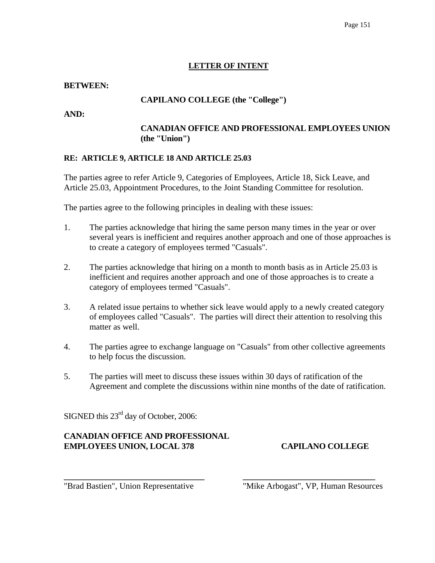# **LETTER OF INTENT**

# **BETWEEN:**

# **CAPILANO COLLEGE (the "College")**

**AND:** 

# **CANADIAN OFFICE AND PROFESSIONAL EMPLOYEES UNION (the "Union")**

# **RE: ARTICLE 9, ARTICLE 18 AND ARTICLE 25.03**

The parties agree to refer Article 9, Categories of Employees, Article 18, Sick Leave, and Article 25.03, Appointment Procedures, to the Joint Standing Committee for resolution.

The parties agree to the following principles in dealing with these issues:

- 1. The parties acknowledge that hiring the same person many times in the year or over several years is inefficient and requires another approach and one of those approaches is to create a category of employees termed "Casuals".
- 2. The parties acknowledge that hiring on a month to month basis as in Article 25.03 is inefficient and requires another approach and one of those approaches is to create a category of employees termed "Casuals".
- 3. A related issue pertains to whether sick leave would apply to a newly created category of employees called "Casuals". The parties will direct their attention to resolving this matter as well.
- 4. The parties agree to exchange language on "Casuals" from other collective agreements to help focus the discussion.
- 5. The parties will meet to discuss these issues within 30 days of ratification of the Agreement and complete the discussions within nine months of the date of ratification.

**\_\_\_\_\_\_\_\_\_\_\_\_\_\_\_\_\_\_\_\_\_\_\_\_\_\_\_\_\_\_\_\_\_\_ \_\_\_\_\_\_\_\_\_\_\_\_\_\_\_\_\_\_\_\_\_\_\_\_\_\_\_\_\_\_\_\_** 

SIGNED this  $23^{\text{rd}}$  day of October, 2006:

# **CANADIAN OFFICE AND PROFESSIONAL EMPLOYEES UNION, LOCAL 378 CAPILANO COLLEGE**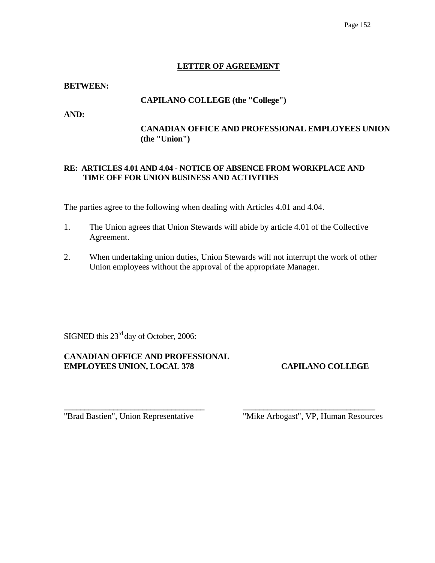# **LETTER OF AGREEMENT**

#### **BETWEEN:**

## **CAPILANO COLLEGE (the "College")**

**AND:** 

# **CANADIAN OFFICE AND PROFESSIONAL EMPLOYEES UNION (the "Union")**

# **RE: ARTICLES 4.01 AND 4.04 - NOTICE OF ABSENCE FROM WORKPLACE AND TIME OFF FOR UNION BUSINESS AND ACTIVITIES**

The parties agree to the following when dealing with Articles 4.01 and 4.04.

- 1. The Union agrees that Union Stewards will abide by article 4.01 of the Collective Agreement.
- 2. When undertaking union duties, Union Stewards will not interrupt the work of other Union employees without the approval of the appropriate Manager.

**\_\_\_\_\_\_\_\_\_\_\_\_\_\_\_\_\_\_\_\_\_\_\_\_\_\_\_\_\_\_\_\_\_\_ \_\_\_\_\_\_\_\_\_\_\_\_\_\_\_\_\_\_\_\_\_\_\_\_\_\_\_\_\_\_\_\_** 

SIGNED this 23<sup>rd</sup> day of October, 2006:

# **CANADIAN OFFICE AND PROFESSIONAL EMPLOYEES UNION, LOCAL 378 CAPILANO COLLEGE**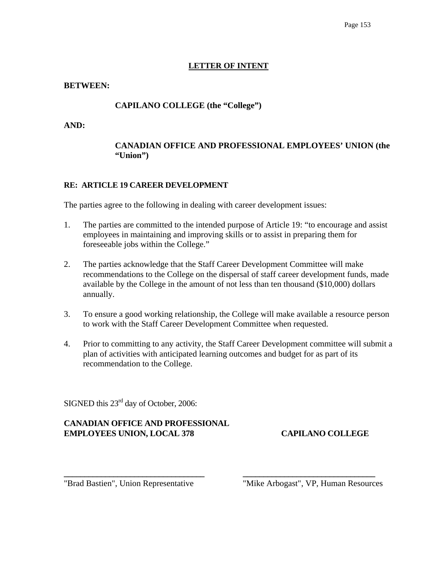# **LETTER OF INTENT**

## **BETWEEN:**

# **CAPILANO COLLEGE (the "College")**

**AND:** 

# **CANADIAN OFFICE AND PROFESSIONAL EMPLOYEES' UNION (the "Union")**

# **RE: ARTICLE 19 CAREER DEVELOPMENT**

The parties agree to the following in dealing with career development issues:

- 1. The parties are committed to the intended purpose of Article 19: "to encourage and assist employees in maintaining and improving skills or to assist in preparing them for foreseeable jobs within the College."
- 2. The parties acknowledge that the Staff Career Development Committee will make recommendations to the College on the dispersal of staff career development funds, made available by the College in the amount of not less than ten thousand (\$10,000) dollars annually.
- 3. To ensure a good working relationship, the College will make available a resource person to work with the Staff Career Development Committee when requested.
- 4. Prior to committing to any activity, the Staff Career Development committee will submit a plan of activities with anticipated learning outcomes and budget for as part of its recommendation to the College.

**\_\_\_\_\_\_\_\_\_\_\_\_\_\_\_\_\_\_\_\_\_\_\_\_\_\_\_\_\_\_\_\_\_\_ \_\_\_\_\_\_\_\_\_\_\_\_\_\_\_\_\_\_\_\_\_\_\_\_\_\_\_\_\_\_\_\_** 

SIGNED this 23<sup>rd</sup> day of October, 2006:

# **CANADIAN OFFICE AND PROFESSIONAL EMPLOYEES UNION, LOCAL 378 CAPILANO COLLEGE**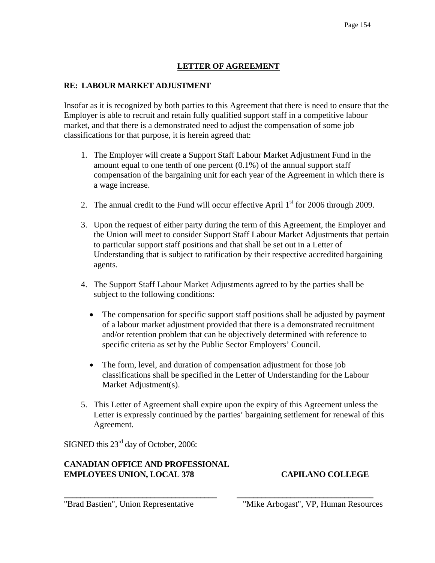# **LETTER OF AGREEMENT**

# **RE: LABOUR MARKET ADJUSTMENT**

Insofar as it is recognized by both parties to this Agreement that there is need to ensure that the Employer is able to recruit and retain fully qualified support staff in a competitive labour market, and that there is a demonstrated need to adjust the compensation of some job classifications for that purpose, it is herein agreed that:

- 1. The Employer will create a Support Staff Labour Market Adjustment Fund in the amount equal to one tenth of one percent (0.1%) of the annual support staff compensation of the bargaining unit for each year of the Agreement in which there is a wage increase.
- 2. The annual credit to the Fund will occur effective April  $1<sup>st</sup>$  for 2006 through 2009.
- 3. Upon the request of either party during the term of this Agreement, the Employer and the Union will meet to consider Support Staff Labour Market Adjustments that pertain to particular support staff positions and that shall be set out in a Letter of Understanding that is subject to ratification by their respective accredited bargaining agents.
- 4. The Support Staff Labour Market Adjustments agreed to by the parties shall be subject to the following conditions:
	- The compensation for specific support staff positions shall be adjusted by payment of a labour market adjustment provided that there is a demonstrated recruitment and/or retention problem that can be objectively determined with reference to specific criteria as set by the Public Sector Employers' Council.
	- The form, level, and duration of compensation adjustment for those job classifications shall be specified in the Letter of Understanding for the Labour Market Adjustment(s).
- 5. This Letter of Agreement shall expire upon the expiry of this Agreement unless the Letter is expressly continued by the parties' bargaining settlement for renewal of this Agreement.

**\_\_\_\_\_\_\_\_\_\_\_\_\_\_\_\_\_\_\_\_\_\_\_\_\_\_\_\_\_\_\_\_\_\_\_\_\_ \_\_\_\_\_\_\_\_\_\_\_\_\_\_\_\_\_\_\_\_\_\_\_\_\_\_\_\_\_\_\_\_\_** 

SIGNED this 23<sup>rd</sup> day of October, 2006:

# **CANADIAN OFFICE AND PROFESSIONAL EMPLOYEES UNION, LOCAL 378 CAPILANO COLLEGE**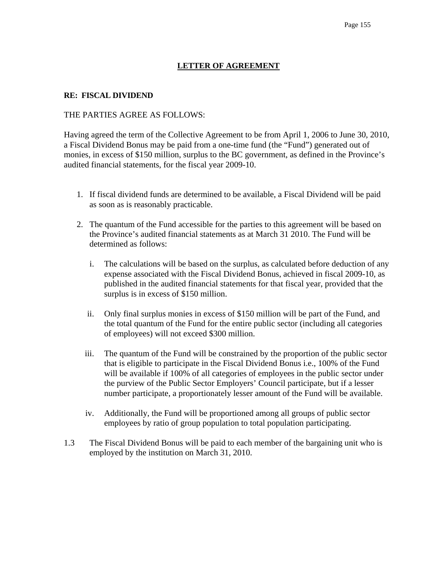# **LETTER OF AGREEMENT**

#### **RE: FISCAL DIVIDEND**

#### THE PARTIES AGREE AS FOLLOWS:

Having agreed the term of the Collective Agreement to be from April 1, 2006 to June 30, 2010, a Fiscal Dividend Bonus may be paid from a one-time fund (the "Fund") generated out of monies, in excess of \$150 million, surplus to the BC government, as defined in the Province's audited financial statements, for the fiscal year 2009-10.

- 1. If fiscal dividend funds are determined to be available, a Fiscal Dividend will be paid as soon as is reasonably practicable.
- 2. The quantum of the Fund accessible for the parties to this agreement will be based on the Province's audited financial statements as at March 31 2010. The Fund will be determined as follows:
	- i. The calculations will be based on the surplus, as calculated before deduction of any expense associated with the Fiscal Dividend Bonus, achieved in fiscal 2009-10, as published in the audited financial statements for that fiscal year, provided that the surplus is in excess of \$150 million.
	- ii. Only final surplus monies in excess of \$150 million will be part of the Fund, and the total quantum of the Fund for the entire public sector (including all categories of employees) will not exceed \$300 million.
	- iii. The quantum of the Fund will be constrained by the proportion of the public sector that is eligible to participate in the Fiscal Dividend Bonus i.e., 100% of the Fund will be available if 100% of all categories of employees in the public sector under the purview of the Public Sector Employers' Council participate, but if a lesser number participate, a proportionately lesser amount of the Fund will be available.
	- iv. Additionally, the Fund will be proportioned among all groups of public sector employees by ratio of group population to total population participating.
- 1.3 The Fiscal Dividend Bonus will be paid to each member of the bargaining unit who is employed by the institution on March 31, 2010.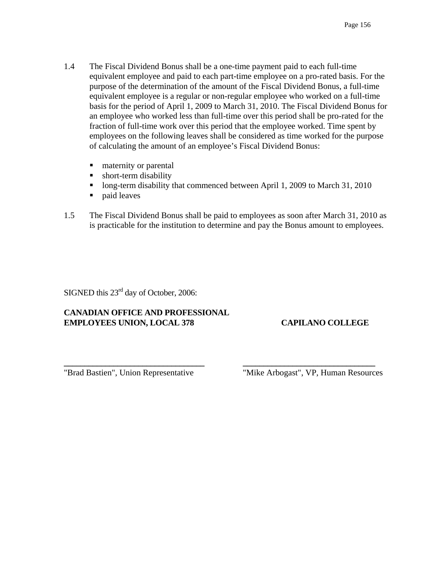- 1.4 The Fiscal Dividend Bonus shall be a one-time payment paid to each full-time equivalent employee and paid to each part-time employee on a pro-rated basis. For the purpose of the determination of the amount of the Fiscal Dividend Bonus, a full-time equivalent employee is a regular or non-regular employee who worked on a full-time basis for the period of April 1, 2009 to March 31, 2010. The Fiscal Dividend Bonus for an employee who worked less than full-time over this period shall be pro-rated for the fraction of full-time work over this period that the employee worked. Time spent by employees on the following leaves shall be considered as time worked for the purpose of calculating the amount of an employee's Fiscal Dividend Bonus:
	- maternity or parental
	- **short-term disability**
	- Iong-term disability that commenced between April 1, 2009 to March 31, 2010
	- paid leaves
- 1.5 The Fiscal Dividend Bonus shall be paid to employees as soon after March 31, 2010 as is practicable for the institution to determine and pay the Bonus amount to employees.

**\_\_\_\_\_\_\_\_\_\_\_\_\_\_\_\_\_\_\_\_\_\_\_\_\_\_\_\_\_\_\_\_\_\_ \_\_\_\_\_\_\_\_\_\_\_\_\_\_\_\_\_\_\_\_\_\_\_\_\_\_\_\_\_\_\_\_** 

SIGNED this 23<sup>rd</sup> day of October, 2006:

# **CANADIAN OFFICE AND PROFESSIONAL EMPLOYEES UNION, LOCAL 378 CAPILANO COLLEGE**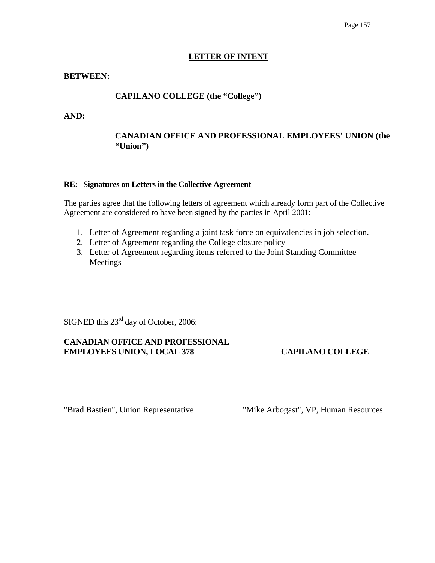#### **LETTER OF INTENT**

#### **BETWEEN:**

# **CAPILANO COLLEGE (the "College")**

**AND:** 

# **CANADIAN OFFICE AND PROFESSIONAL EMPLOYEES' UNION (the "Union")**

#### **RE: Signatures on Letters in the Collective Agreement**

The parties agree that the following letters of agreement which already form part of the Collective Agreement are considered to have been signed by the parties in April 2001:

- 1. Letter of Agreement regarding a joint task force on equivalencies in job selection.
- 2. Letter of Agreement regarding the College closure policy
- 3. Letter of Agreement regarding items referred to the Joint Standing Committee Meetings

\_\_\_\_\_\_\_\_\_\_\_\_\_\_\_\_\_\_\_\_\_\_\_\_\_\_\_\_\_\_\_\_ \_\_\_\_\_\_\_\_\_\_\_\_\_\_\_\_\_\_\_\_\_\_\_\_\_\_\_\_\_\_\_\_\_

SIGNED this  $23^{\text{rd}}$  day of October, 2006:

# **CANADIAN OFFICE AND PROFESSIONAL EMPLOYEES UNION, LOCAL 378 CAPILANO COLLEGE**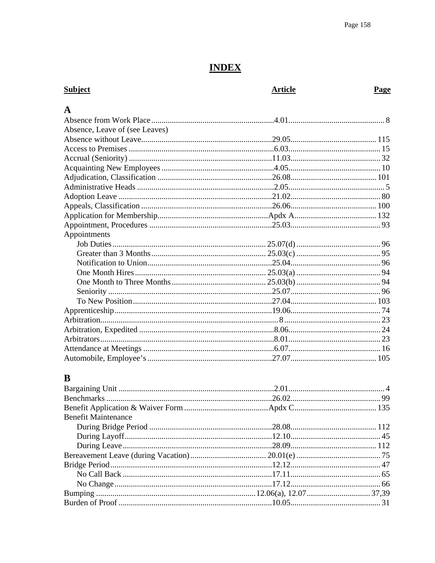# **INDEX**

| <b>Subject</b>                 | <b>Article</b> | Page |
|--------------------------------|----------------|------|
| A                              |                |      |
|                                |                |      |
| Absence, Leave of (see Leaves) |                |      |
|                                |                |      |
|                                |                |      |
|                                |                |      |
|                                |                |      |
|                                |                |      |
|                                |                |      |
|                                |                |      |
|                                |                |      |
|                                |                |      |
|                                |                |      |
| Appointments                   |                |      |
|                                |                |      |
|                                |                |      |
|                                |                |      |
|                                |                |      |
|                                |                |      |
|                                |                |      |
|                                |                |      |
|                                |                |      |
|                                |                |      |
|                                |                |      |
|                                |                |      |
|                                |                |      |
|                                |                |      |
|                                |                |      |

# $\bf{B}$

| <b>Benefit Maintenance</b> |  |
|----------------------------|--|
|                            |  |
|                            |  |
|                            |  |
|                            |  |
|                            |  |
|                            |  |
|                            |  |
|                            |  |
|                            |  |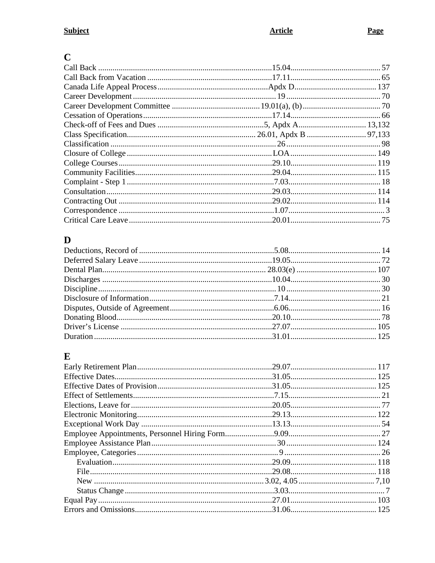# $\overline{C}$

# $\mathbf D$

# $\mathbf E$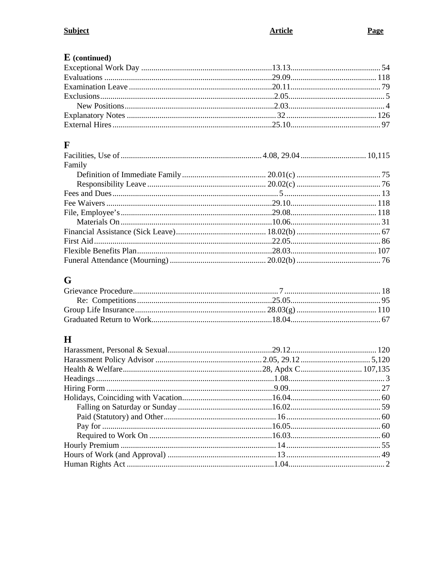# $E$  (continued)

# $\mathbf{F}$

| Family |  |
|--------|--|
|        |  |
|        |  |
|        |  |
|        |  |
|        |  |
|        |  |
|        |  |
|        |  |
|        |  |
|        |  |

# $\mathbf G$

# $\mathbf H$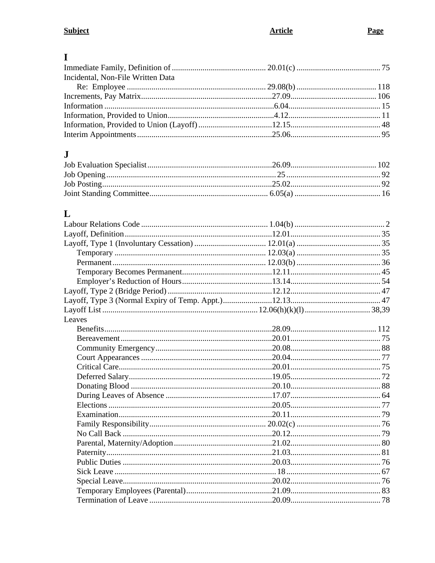# $\mathbf I$

# $\mathbf J$

# $\mathbf{L}%$

| Leaves |  |
|--------|--|
|        |  |
|        |  |
|        |  |
|        |  |
|        |  |
|        |  |
|        |  |
|        |  |
|        |  |
|        |  |
|        |  |
|        |  |
|        |  |
|        |  |
|        |  |
|        |  |
|        |  |
|        |  |
|        |  |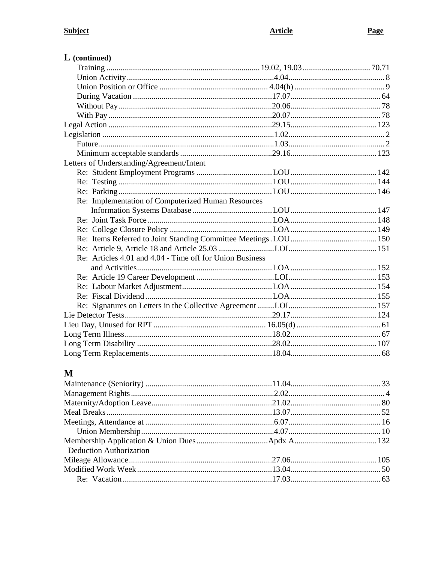| $\bf{L}$ (continued)                                     |  |
|----------------------------------------------------------|--|
|                                                          |  |
|                                                          |  |
|                                                          |  |
|                                                          |  |
|                                                          |  |
|                                                          |  |
|                                                          |  |
|                                                          |  |
|                                                          |  |
|                                                          |  |
| Letters of Understanding/Agreement/Intent                |  |
|                                                          |  |
|                                                          |  |
|                                                          |  |
| Re: Implementation of Computerized Human Resources       |  |
|                                                          |  |
|                                                          |  |
|                                                          |  |
|                                                          |  |
|                                                          |  |
| Re: Articles 4.01 and 4.04 - Time off for Union Business |  |
|                                                          |  |
|                                                          |  |
|                                                          |  |
|                                                          |  |
|                                                          |  |
|                                                          |  |
|                                                          |  |
|                                                          |  |
|                                                          |  |
|                                                          |  |

# $\mathbf M$

| <b>Deduction Authorization</b> |  |
|--------------------------------|--|
|                                |  |
|                                |  |
|                                |  |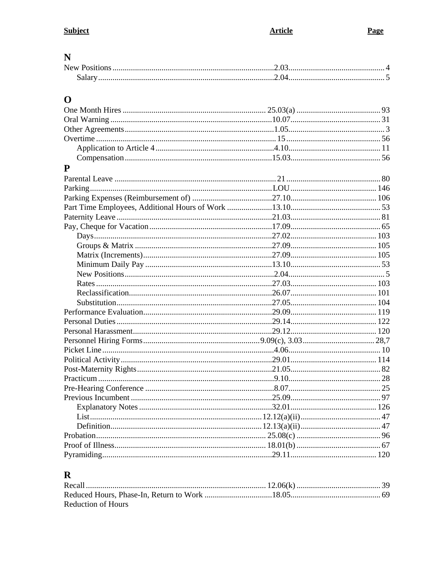# $\overline{\mathbf{N}}$

# $\mathbf 0$

| P |  |  |
|---|--|--|
|   |  |  |
|   |  |  |
|   |  |  |
|   |  |  |
|   |  |  |
|   |  |  |
|   |  |  |
|   |  |  |
|   |  |  |
|   |  |  |
|   |  |  |
|   |  |  |
|   |  |  |
|   |  |  |
|   |  |  |
|   |  |  |
|   |  |  |
|   |  |  |
|   |  |  |
|   |  |  |
|   |  |  |
|   |  |  |
|   |  |  |
|   |  |  |
|   |  |  |
|   |  |  |
|   |  |  |
|   |  |  |
|   |  |  |
|   |  |  |
|   |  |  |
|   |  |  |
|   |  |  |
|   |  |  |
|   |  |  |
|   |  |  |

# $\mathbf R$

| <b>Reduction of Hours</b> |  |
|---------------------------|--|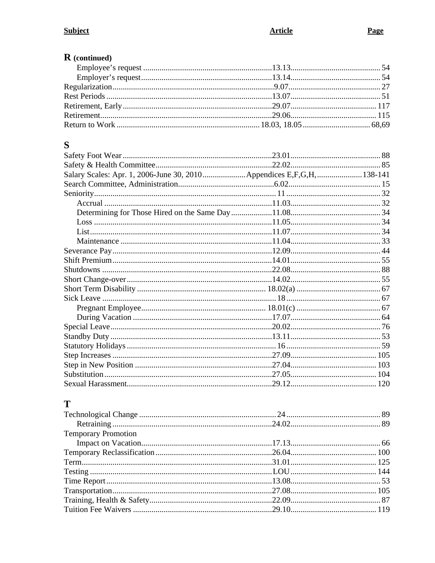| $\bf R$ (continued) |  |
|---------------------|--|
|                     |  |
|                     |  |
|                     |  |
|                     |  |
|                     |  |
|                     |  |
|                     |  |
|                     |  |

# $\mathbf S$

| Salary Scales: Apr. 1, 2006-June 30, 2010Appendices E,F,G,H,138-141 |  |
|---------------------------------------------------------------------|--|
|                                                                     |  |
|                                                                     |  |
|                                                                     |  |
|                                                                     |  |
|                                                                     |  |
|                                                                     |  |
|                                                                     |  |
|                                                                     |  |
|                                                                     |  |
|                                                                     |  |
|                                                                     |  |
|                                                                     |  |
|                                                                     |  |
|                                                                     |  |
|                                                                     |  |
|                                                                     |  |
|                                                                     |  |
|                                                                     |  |
|                                                                     |  |
|                                                                     |  |
|                                                                     |  |
|                                                                     |  |

# T

| <b>Temporary Promotion</b> |  |
|----------------------------|--|
|                            |  |
|                            |  |
|                            |  |
|                            |  |
|                            |  |
|                            |  |
|                            |  |
|                            |  |
|                            |  |